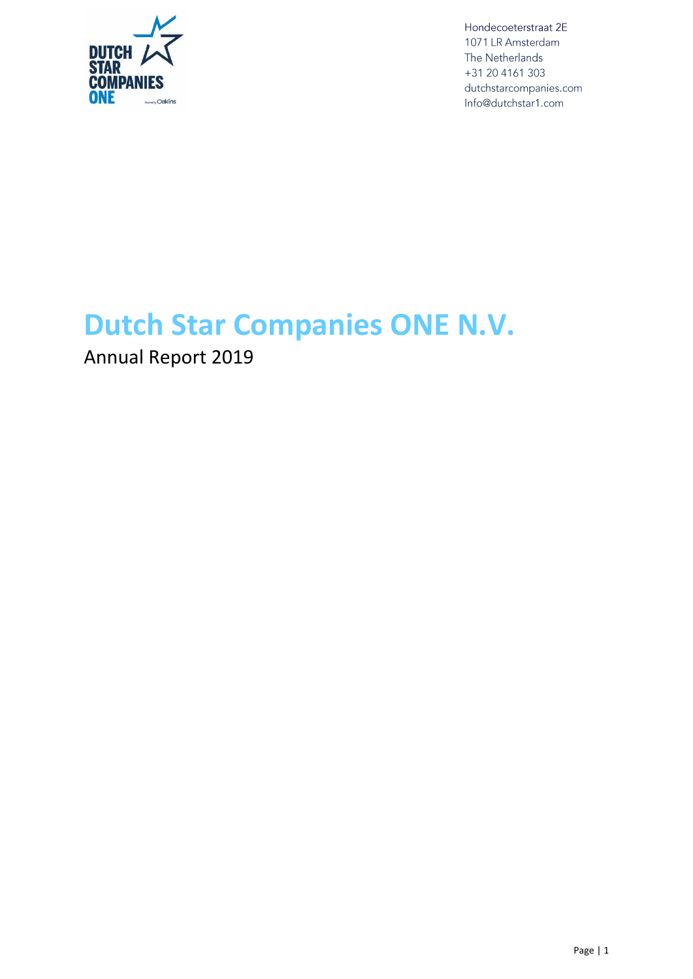

## **Dutch Star Companies ONE N.V.**

Annual Report 2019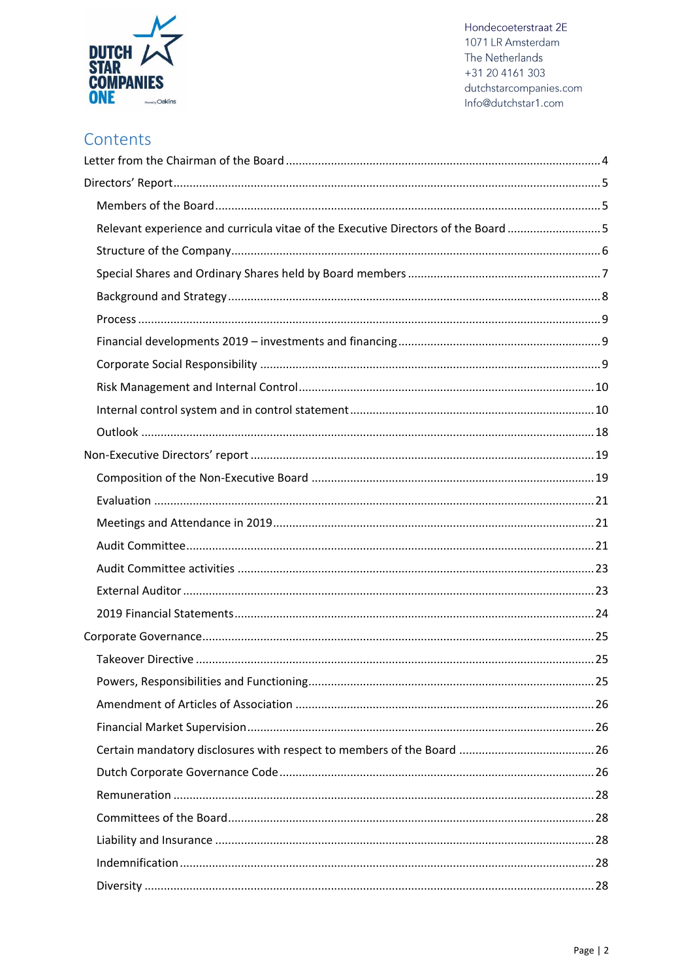

### Contents

| Relevant experience and curricula vitae of the Executive Directors of the Board 5 |  |
|-----------------------------------------------------------------------------------|--|
|                                                                                   |  |
|                                                                                   |  |
|                                                                                   |  |
|                                                                                   |  |
|                                                                                   |  |
|                                                                                   |  |
|                                                                                   |  |
|                                                                                   |  |
|                                                                                   |  |
|                                                                                   |  |
|                                                                                   |  |
|                                                                                   |  |
|                                                                                   |  |
|                                                                                   |  |
|                                                                                   |  |
|                                                                                   |  |
|                                                                                   |  |
|                                                                                   |  |
|                                                                                   |  |
|                                                                                   |  |
|                                                                                   |  |
|                                                                                   |  |
|                                                                                   |  |
|                                                                                   |  |
|                                                                                   |  |
|                                                                                   |  |
|                                                                                   |  |
|                                                                                   |  |
|                                                                                   |  |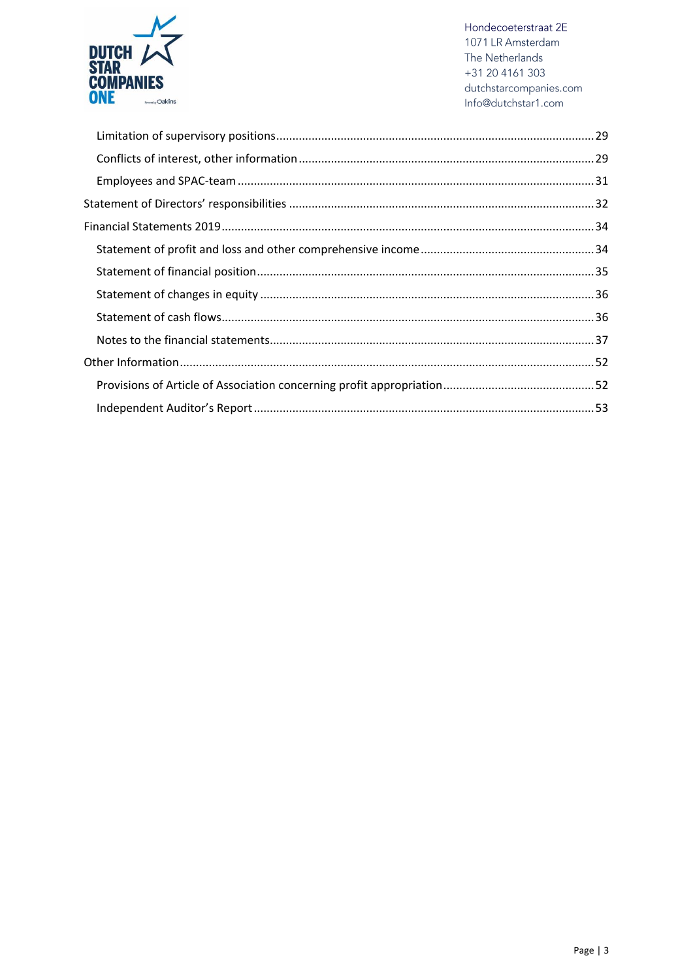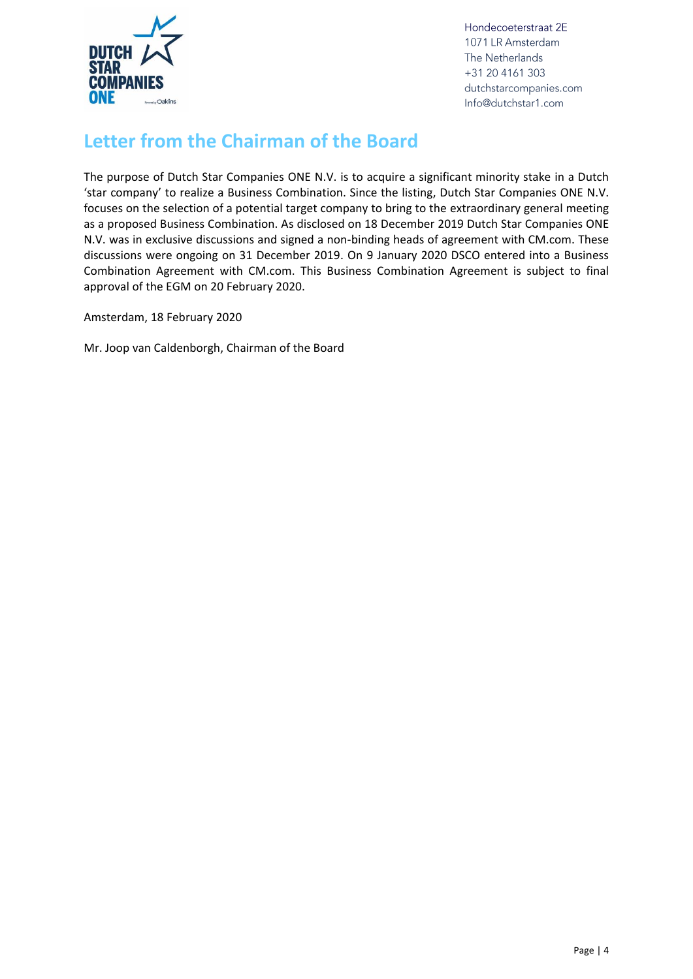

## <span id="page-3-0"></span>**Letter from the Chairman of the Board**

The purpose of Dutch Star Companies ONE N.V. is to acquire a significant minority stake in a Dutch 'star company' to realize a Business Combination. Since the listing, Dutch Star Companies ONE N.V. focuses on the selection of a potential target company to bring to the extraordinary general meeting as a proposed Business Combination. As disclosed on 18 December 2019 Dutch Star Companies ONE N.V. was in exclusive discussions and signed a non-binding heads of agreement with CM.com. These discussions were ongoing on 31 December 2019. On 9 January 2020 DSCO entered into a Business Combination Agreement with CM.com. This Business Combination Agreement is subject to final approval of the EGM on 20 February 2020.

Amsterdam, 18 February 2020

Mr. Joop van Caldenborgh, Chairman of the Board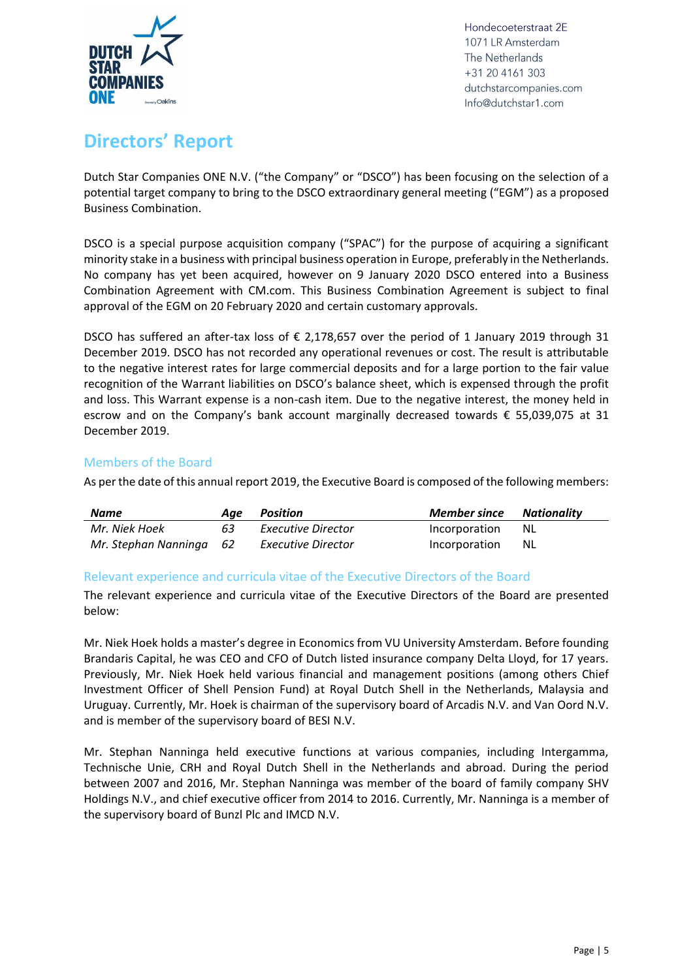

## <span id="page-4-0"></span>**Directors' Report**

Dutch Star Companies ONE N.V. ("the Company" or "DSCO") has been focusing on the selection of a potential target company to bring to the DSCO extraordinary general meeting ("EGM") as a proposed Business Combination.

DSCO is a special purpose acquisition company ("SPAC") for the purpose of acquiring a significant minority stake in a business with principal business operation in Europe, preferably in the Netherlands. No company has yet been acquired, however on 9 January 2020 DSCO entered into a Business Combination Agreement with CM.com. This Business Combination Agreement is subject to final approval of the EGM on 20 February 2020 and certain customary approvals.

DSCO has suffered an after-tax loss of  $\epsilon$  2,178,657 over the period of 1 January 2019 through 31 December 2019. DSCO has not recorded any operational revenues or cost. The result is attributable to the negative interest rates for large commercial deposits and for a large portion to the fair value recognition of the Warrant liabilities on DSCO's balance sheet, which is expensed through the profit and loss. This Warrant expense is a non-cash item. Due to the negative interest, the money held in escrow and on the Company's bank account marginally decreased towards € 55,039,075 at 31 December 2019.

#### <span id="page-4-1"></span>Members of the Board

As per the date of this annual report 2019, the Executive Board is composed of the following members:

| <b>Name</b>             | Aae | Position           | <b>Member since Nationality</b> |      |
|-------------------------|-----|--------------------|---------------------------------|------|
| Mr. Niek Hoek           | 63  | Executive Director | Incorporation                   | - NL |
| Mr. Stephan Nanninga 62 |     | Executive Director | Incorporation                   | -NL  |

#### <span id="page-4-2"></span>Relevant experience and curricula vitae of the Executive Directors of the Board

The relevant experience and curricula vitae of the Executive Directors of the Board are presented below:

Mr. Niek Hoek holds a master's degree in Economics from VU University Amsterdam. Before founding Brandaris Capital, he was CEO and CFO of Dutch listed insurance company Delta Lloyd, for 17 years. Previously, Mr. Niek Hoek held various financial and management positions (among others Chief Investment Officer of Shell Pension Fund) at Royal Dutch Shell in the Netherlands, Malaysia and Uruguay. Currently, Mr. Hoek is chairman of the supervisory board of Arcadis N.V. and Van Oord N.V. and is member of the supervisory board of BESI N.V.

Mr. Stephan Nanninga held executive functions at various companies, including Intergamma, Technische Unie, CRH and Royal Dutch Shell in the Netherlands and abroad. During the period between 2007 and 2016, Mr. Stephan Nanninga was member of the board of family company SHV Holdings N.V., and chief executive officer from 2014 to 2016. Currently, Mr. Nanninga is a member of the supervisory board of Bunzl Plc and IMCD N.V.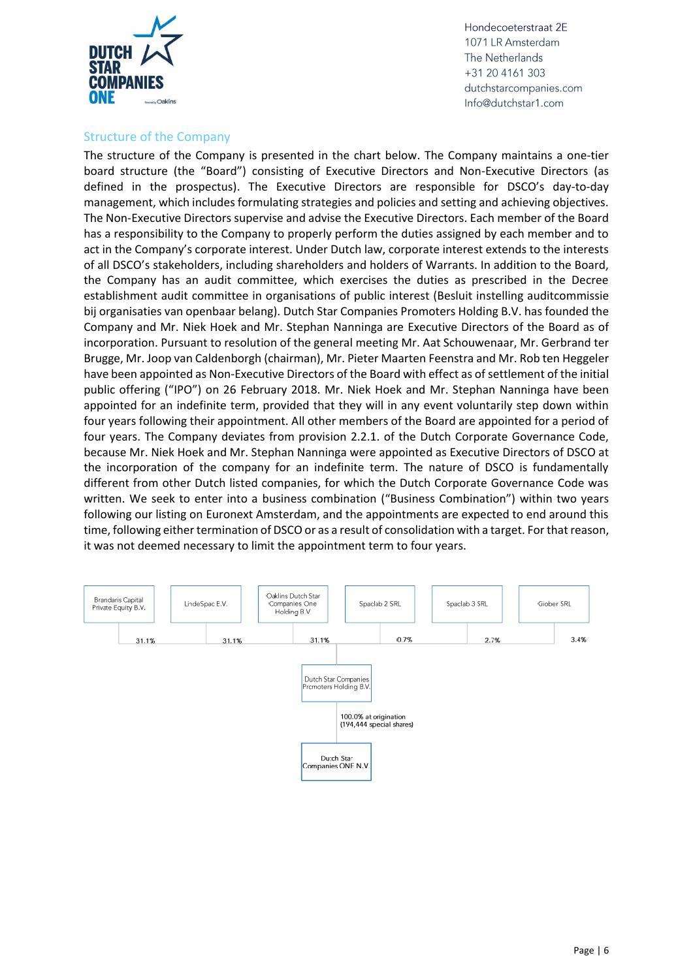

#### <span id="page-5-0"></span>Structure of the Company

The structure of the Company is presented in the chart below. The Company maintains a one-tier board structure (the "Board") consisting of Executive Directors and Non-Executive Directors (as defined in the prospectus). The Executive Directors are responsible for DSCO's day-to-day management, which includes formulating strategies and policies and setting and achieving objectives. The Non-Executive Directors supervise and advise the Executive Directors. Each member of the Board has a responsibility to the Company to properly perform the duties assigned by each member and to act in the Company's corporate interest. Under Dutch law, corporate interest extends to the interests of all DSCO's stakeholders, including shareholders and holders of Warrants. In addition to the Board, the Company has an audit committee, which exercises the duties as prescribed in the Decree establishment audit committee in organisations of public interest (Besluit instelling auditcommissie bij organisaties van openbaar belang). Dutch Star Companies Promoters Holding B.V. has founded the Company and Mr. Niek Hoek and Mr. Stephan Nanninga are Executive Directors of the Board as of incorporation. Pursuant to resolution of the general meeting Mr. Aat Schouwenaar, Mr. Gerbrand ter Brugge, Mr. Joop van Caldenborgh (chairman), Mr. Pieter Maarten Feenstra and Mr. Rob ten Heggeler have been appointed as Non-Executive Directors of the Board with effect as of settlement of the initial public offering ("IPO") on 26 February 2018. Mr. Niek Hoek and Mr. Stephan Nanninga have been appointed for an indefinite term, provided that they will in any event voluntarily step down within four years following their appointment. All other members of the Board are appointed for a period of four years. The Company deviates from provision 2.2.1. of the Dutch Corporate Governance Code, because Mr. Niek Hoek and Mr. Stephan Nanninga were appointed as Executive Directors of DSCO at the incorporation of the company for an indefinite term. The nature of DSCO is fundamentally different from other Dutch listed companies, for which the Dutch Corporate Governance Code was written. We seek to enter into a business combination ("Business Combination") within two years following our listing on Euronext Amsterdam, and the appointments are expected to end around this time, following either termination of DSCO or as a result of consolidation with a target. For that reason, it was not deemed necessary to limit the appointment term to four years.

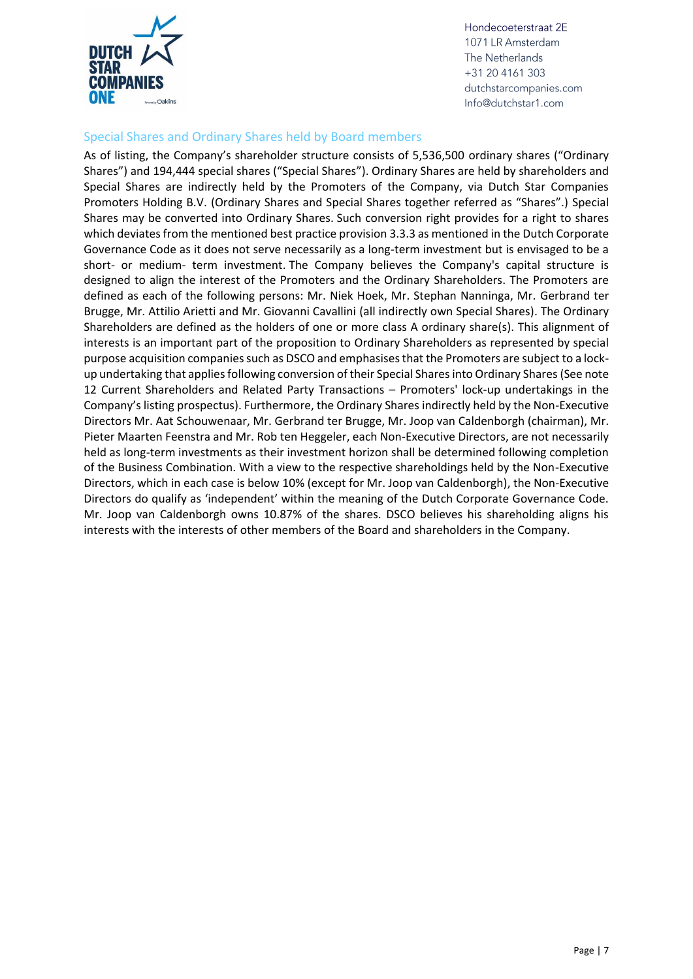

#### <span id="page-6-0"></span>Special Shares and Ordinary Shares held by Board members

As of listing, the Company's shareholder structure consists of 5,536,500 ordinary shares ("Ordinary Shares") and 194,444 special shares ("Special Shares"). Ordinary Shares are held by shareholders and Special Shares are indirectly held by the Promoters of the Company, via Dutch Star Companies Promoters Holding B.V. (Ordinary Shares and Special Shares together referred as "Shares".) Special Shares may be converted into Ordinary Shares. Such conversion right provides for a right to shares which deviates from the mentioned best practice provision 3.3.3 as mentioned in the Dutch Corporate Governance Code as it does not serve necessarily as a long-term investment but is envisaged to be a short- or medium- term investment. The Company believes the Company's capital structure is designed to align the interest of the Promoters and the Ordinary Shareholders. The Promoters are defined as each of the following persons: Mr. Niek Hoek, Mr. Stephan Nanninga, Mr. Gerbrand ter Brugge, Mr. Attilio Arietti and Mr. Giovanni Cavallini (all indirectly own Special Shares). The Ordinary Shareholders are defined as the holders of one or more class A ordinary share(s). This alignment of interests is an important part of the proposition to Ordinary Shareholders as represented by special purpose acquisition companies such as DSCO and emphasises that the Promoters are subject to a lockup undertaking that applies following conversion of their Special Shares into Ordinary Shares (See note 12 Current Shareholders and Related Party Transactions – Promoters' lock-up undertakings in the Company's listing prospectus). Furthermore, the Ordinary Shares indirectly held by the Non-Executive Directors Mr. Aat Schouwenaar, Mr. Gerbrand ter Brugge, Mr. Joop van Caldenborgh (chairman), Mr. Pieter Maarten Feenstra and Mr. Rob ten Heggeler, each Non-Executive Directors, are not necessarily held as long-term investments as their investment horizon shall be determined following completion of the Business Combination. With a view to the respective shareholdings held by the Non-Executive Directors, which in each case is below 10% (except for Mr. Joop van Caldenborgh), the Non-Executive Directors do qualify as 'independent' within the meaning of the Dutch Corporate Governance Code. Mr. Joop van Caldenborgh owns 10.87% of the shares. DSCO believes his shareholding aligns his interests with the interests of other members of the Board and shareholders in the Company.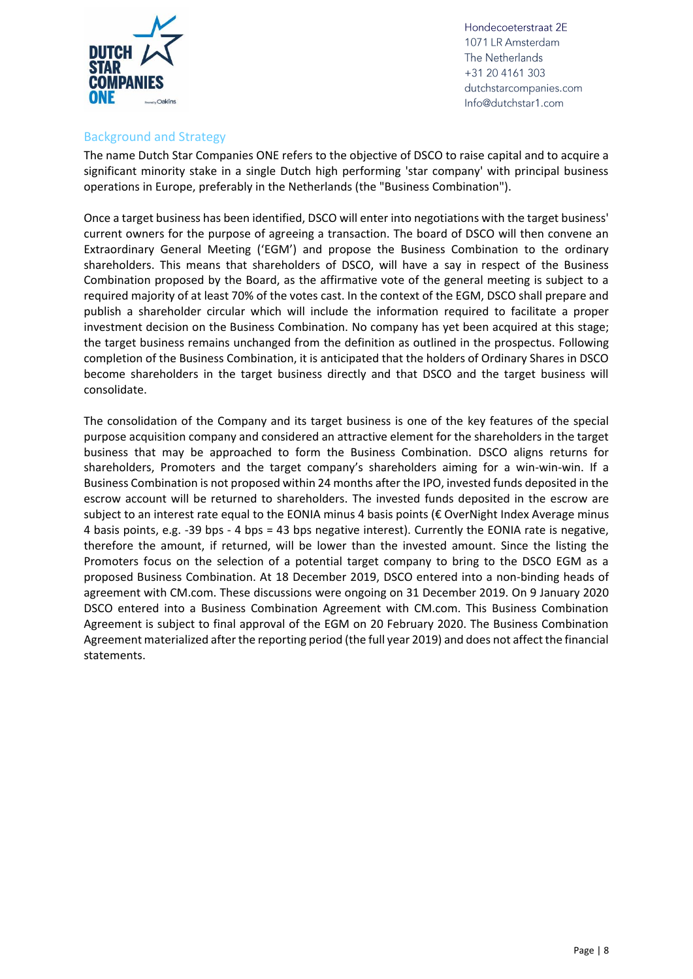

#### <span id="page-7-0"></span>Background and Strategy

The name Dutch Star Companies ONE refers to the objective of DSCO to raise capital and to acquire a significant minority stake in a single Dutch high performing 'star company' with principal business operations in Europe, preferably in the Netherlands (the "Business Combination").

Once a target business has been identified, DSCO will enter into negotiations with the target business' current owners for the purpose of agreeing a transaction. The board of DSCO will then convene an Extraordinary General Meeting ('EGM') and propose the Business Combination to the ordinary shareholders. This means that shareholders of DSCO, will have a say in respect of the Business Combination proposed by the Board, as the affirmative vote of the general meeting is subject to a required majority of at least 70% of the votes cast. In the context of the EGM, DSCO shall prepare and publish a shareholder circular which will include the information required to facilitate a proper investment decision on the Business Combination. No company has yet been acquired at this stage; the target business remains unchanged from the definition as outlined in the prospectus. Following completion of the Business Combination, it is anticipated that the holders of Ordinary Shares in DSCO become shareholders in the target business directly and that DSCO and the target business will consolidate.

The consolidation of the Company and its target business is one of the key features of the special purpose acquisition company and considered an attractive element for the shareholders in the target business that may be approached to form the Business Combination. DSCO aligns returns for shareholders, Promoters and the target company's shareholders aiming for a win-win-win. If a Business Combination is not proposed within 24 months after the IPO, invested funds deposited in the escrow account will be returned to shareholders. The invested funds deposited in the escrow are subject to an interest rate equal to the EONIA minus 4 basis points (€ OverNight Index Average minus 4 basis points, e.g. -39 bps - 4 bps = 43 bps negative interest). Currently the EONIA rate is negative, therefore the amount, if returned, will be lower than the invested amount. Since the listing the Promoters focus on the selection of a potential target company to bring to the DSCO EGM as a proposed Business Combination. At 18 December 2019, DSCO entered into a non-binding heads of agreement with CM.com. These discussions were ongoing on 31 December 2019. On 9 January 2020 DSCO entered into a Business Combination Agreement with CM.com. This Business Combination Agreement is subject to final approval of the EGM on 20 February 2020. The Business Combination Agreement materialized after the reporting period (the full year 2019) and does not affect the financial statements.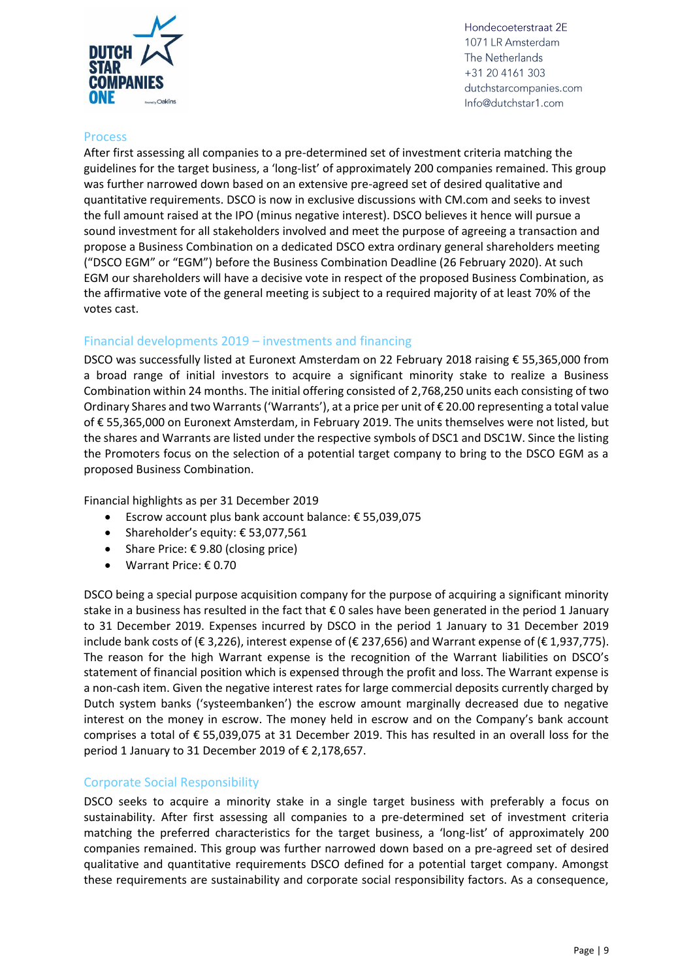

#### <span id="page-8-0"></span>**Process**

After first assessing all companies to a pre-determined set of investment criteria matching the guidelines for the target business, a 'long-list' of approximately 200 companies remained. This group was further narrowed down based on an extensive pre-agreed set of desired qualitative and quantitative requirements. DSCO is now in exclusive discussions with CM.com and seeks to invest the full amount raised at the IPO (minus negative interest). DSCO believes it hence will pursue a sound investment for all stakeholders involved and meet the purpose of agreeing a transaction and propose a Business Combination on a dedicated DSCO extra ordinary general shareholders meeting ("DSCO EGM" or "EGM") before the Business Combination Deadline (26 February 2020). At such EGM our shareholders will have a decisive vote in respect of the proposed Business Combination, as the affirmative vote of the general meeting is subject to a required majority of at least 70% of the votes cast.

#### <span id="page-8-1"></span>Financial developments 2019 – investments and financing

DSCO was successfully listed at Euronext Amsterdam on 22 February 2018 raising € 55,365,000 from a broad range of initial investors to acquire a significant minority stake to realize a Business Combination within 24 months. The initial offering consisted of 2,768,250 units each consisting of two Ordinary Shares and two Warrants('Warrants'), at a price per unit of € 20.00 representing a total value of € 55,365,000 on Euronext Amsterdam, in February 2019. The units themselves were not listed, but the shares and Warrants are listed under the respective symbols of DSC1 and DSC1W. Since the listing the Promoters focus on the selection of a potential target company to bring to the DSCO EGM as a proposed Business Combination.

Financial highlights as per 31 December 2019

- Escrow account plus bank account balance: € 55,039,075
- Shareholder's equity: € 53,077,561
- Share Price:  $\epsilon$  9.80 (closing price)
- Warrant Price: € 0.70

DSCO being a special purpose acquisition company for the purpose of acquiring a significant minority stake in a business has resulted in the fact that € 0 sales have been generated in the period 1 January to 31 December 2019. Expenses incurred by DSCO in the period 1 January to 31 December 2019 include bank costs of (€ 3,226), interest expense of (€ 237,656) and Warrant expense of (€ 1,937,775). The reason for the high Warrant expense is the recognition of the Warrant liabilities on DSCO's statement of financial position which is expensed through the profit and loss. The Warrant expense is a non-cash item. Given the negative interest rates for large commercial deposits currently charged by Dutch system banks ('systeembanken') the escrow amount marginally decreased due to negative interest on the money in escrow. The money held in escrow and on the Company's bank account comprises a total of € 55,039,075 at 31 December 2019. This has resulted in an overall loss for the period 1 January to 31 December 2019 of € 2,178,657.

#### <span id="page-8-2"></span>Corporate Social Responsibility

DSCO seeks to acquire a minority stake in a single target business with preferably a focus on sustainability. After first assessing all companies to a pre-determined set of investment criteria matching the preferred characteristics for the target business, a 'long-list' of approximately 200 companies remained. This group was further narrowed down based on a pre-agreed set of desired qualitative and quantitative requirements DSCO defined for a potential target company. Amongst these requirements are sustainability and corporate social responsibility factors. As a consequence,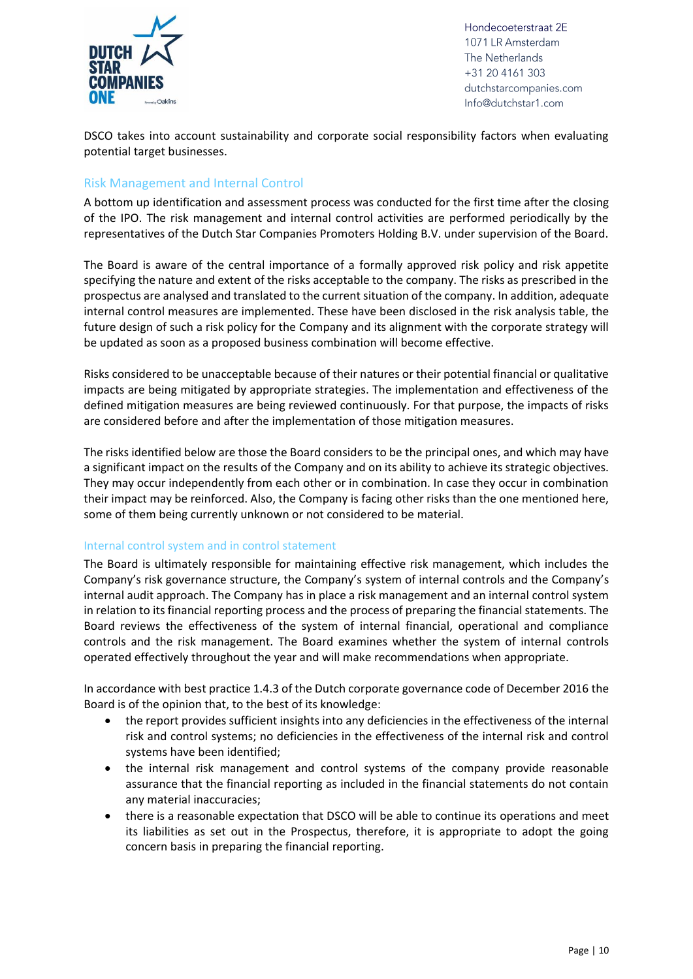

DSCO takes into account sustainability and corporate social responsibility factors when evaluating potential target businesses.

#### <span id="page-9-0"></span>Risk Management and Internal Control

A bottom up identification and assessment process was conducted for the first time after the closing of the IPO. The risk management and internal control activities are performed periodically by the representatives of the Dutch Star Companies Promoters Holding B.V. under supervision of the Board.

The Board is aware of the central importance of a formally approved risk policy and risk appetite specifying the nature and extent of the risks acceptable to the company. The risks as prescribed in the prospectus are analysed and translated to the current situation of the company. In addition, adequate internal control measures are implemented. These have been disclosed in the risk analysis table, the future design of such a risk policy for the Company and its alignment with the corporate strategy will be updated as soon as a proposed business combination will become effective.

Risks considered to be unacceptable because of their natures or their potential financial or qualitative impacts are being mitigated by appropriate strategies. The implementation and effectiveness of the defined mitigation measures are being reviewed continuously. For that purpose, the impacts of risks are considered before and after the implementation of those mitigation measures.

The risks identified below are those the Board considers to be the principal ones, and which may have a significant impact on the results of the Company and on its ability to achieve its strategic objectives. They may occur independently from each other or in combination. In case they occur in combination their impact may be reinforced. Also, the Company is facing other risks than the one mentioned here, some of them being currently unknown or not considered to be material.

#### <span id="page-9-1"></span>Internal control system and in control statement

The Board is ultimately responsible for maintaining effective risk management, which includes the Company's risk governance structure, the Company's system of internal controls and the Company's internal audit approach. The Company has in place a risk management and an internal control system in relation to its financial reporting process and the process of preparing the financial statements. The Board reviews the effectiveness of the system of internal financial, operational and compliance controls and the risk management. The Board examines whether the system of internal controls operated effectively throughout the year and will make recommendations when appropriate.

In accordance with best practice 1.4.3 of the Dutch corporate governance code of December 2016 the Board is of the opinion that, to the best of its knowledge:

- the report provides sufficient insights into any deficiencies in the effectiveness of the internal risk and control systems; no deficiencies in the effectiveness of the internal risk and control systems have been identified;
- the internal risk management and control systems of the company provide reasonable assurance that the financial reporting as included in the financial statements do not contain any material inaccuracies;
- there is a reasonable expectation that DSCO will be able to continue its operations and meet its liabilities as set out in the Prospectus, therefore, it is appropriate to adopt the going concern basis in preparing the financial reporting.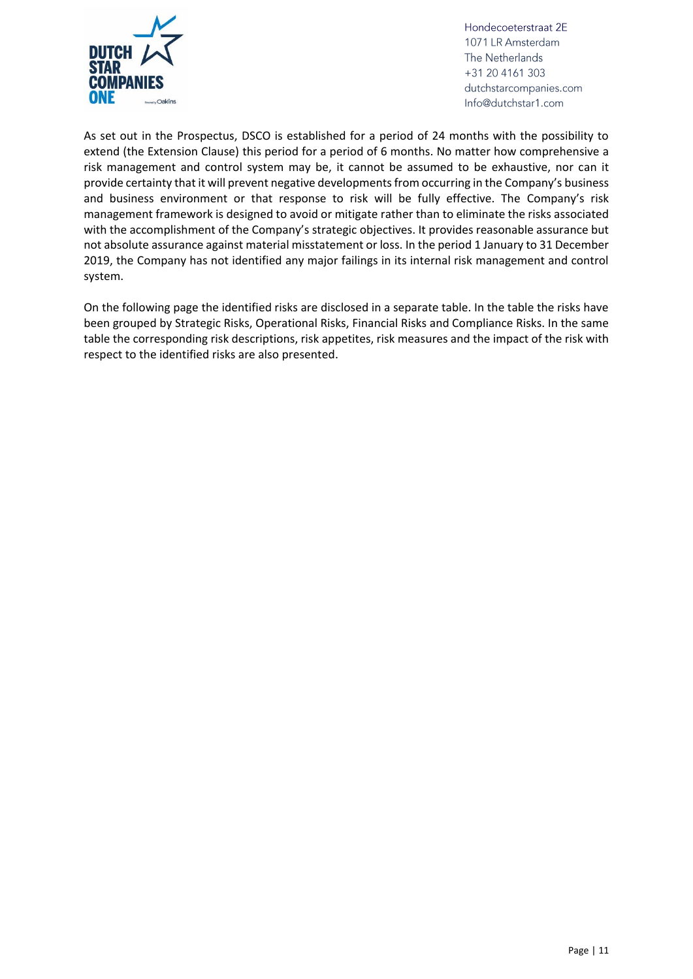

As set out in the Prospectus, DSCO is established for a period of 24 months with the possibility to extend (the Extension Clause) this period for a period of 6 months. No matter how comprehensive a risk management and control system may be, it cannot be assumed to be exhaustive, nor can it provide certainty that it will prevent negative developments from occurring in the Company's business and business environment or that response to risk will be fully effective. The Company's risk management framework is designed to avoid or mitigate rather than to eliminate the risks associated with the accomplishment of the Company's strategic objectives. It provides reasonable assurance but not absolute assurance against material misstatement or loss. In the period 1 January to 31 December 2019, the Company has not identified any major failings in its internal risk management and control system.

On the following page the identified risks are disclosed in a separate table. In the table the risks have been grouped by Strategic Risks, Operational Risks, Financial Risks and Compliance Risks. In the same table the corresponding risk descriptions, risk appetites, risk measures and the impact of the risk with respect to the identified risks are also presented.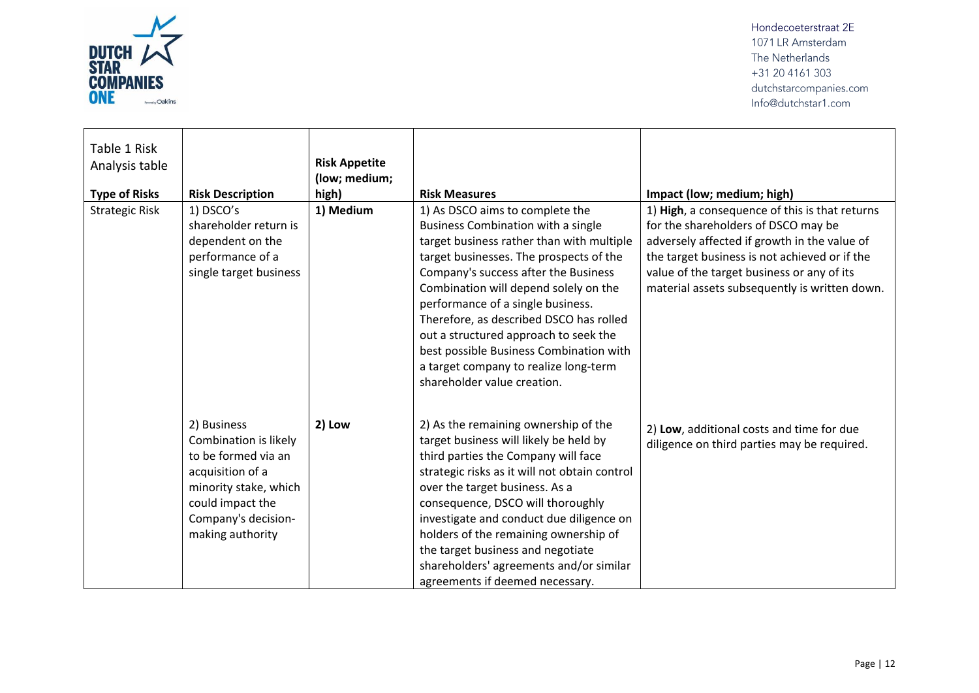

| Table 1 Risk<br>Analysis table<br><b>Type of Risks</b> | <b>Risk Description</b>                                                                                                                                                 | <b>Risk Appetite</b><br>(low; medium;<br>high) | <b>Risk Measures</b>                                                                                                                                                                                                                                                                                                                                                                                                                                                                              | Impact (low; medium; high)                                                                                                                                                                                                                                                            |
|--------------------------------------------------------|-------------------------------------------------------------------------------------------------------------------------------------------------------------------------|------------------------------------------------|---------------------------------------------------------------------------------------------------------------------------------------------------------------------------------------------------------------------------------------------------------------------------------------------------------------------------------------------------------------------------------------------------------------------------------------------------------------------------------------------------|---------------------------------------------------------------------------------------------------------------------------------------------------------------------------------------------------------------------------------------------------------------------------------------|
| <b>Strategic Risk</b>                                  | 1) DSCO's<br>shareholder return is<br>dependent on the<br>performance of a<br>single target business                                                                    | 1) Medium                                      | 1) As DSCO aims to complete the<br><b>Business Combination with a single</b><br>target business rather than with multiple<br>target businesses. The prospects of the<br>Company's success after the Business<br>Combination will depend solely on the<br>performance of a single business.<br>Therefore, as described DSCO has rolled<br>out a structured approach to seek the<br>best possible Business Combination with<br>a target company to realize long-term<br>shareholder value creation. | 1) High, a consequence of this is that returns<br>for the shareholders of DSCO may be<br>adversely affected if growth in the value of<br>the target business is not achieved or if the<br>value of the target business or any of its<br>material assets subsequently is written down. |
|                                                        | 2) Business<br>Combination is likely<br>to be formed via an<br>acquisition of a<br>minority stake, which<br>could impact the<br>Company's decision-<br>making authority | 2) Low                                         | 2) As the remaining ownership of the<br>target business will likely be held by<br>third parties the Company will face<br>strategic risks as it will not obtain control<br>over the target business. As a<br>consequence, DSCO will thoroughly<br>investigate and conduct due diligence on<br>holders of the remaining ownership of<br>the target business and negotiate<br>shareholders' agreements and/or similar<br>agreements if deemed necessary.                                             | 2) Low, additional costs and time for due<br>diligence on third parties may be required.                                                                                                                                                                                              |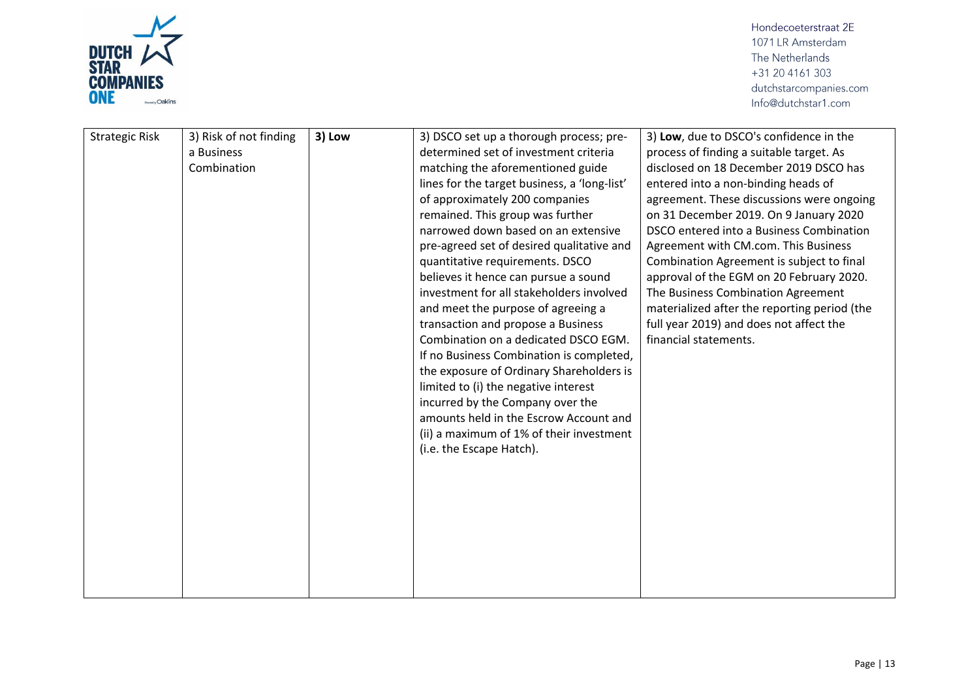

| <b>Strategic Risk</b> | 3) Risk of not finding<br>a Business<br>Combination | 3) Low | 3) DSCO set up a thorough process; pre-<br>determined set of investment criteria<br>matching the aforementioned guide<br>lines for the target business, a 'long-list'<br>of approximately 200 companies<br>remained. This group was further<br>narrowed down based on an extensive<br>pre-agreed set of desired qualitative and<br>quantitative requirements. DSCO<br>believes it hence can pursue a sound<br>investment for all stakeholders involved<br>and meet the purpose of agreeing a<br>transaction and propose a Business<br>Combination on a dedicated DSCO EGM.<br>If no Business Combination is completed,<br>the exposure of Ordinary Shareholders is<br>limited to (i) the negative interest<br>incurred by the Company over the<br>amounts held in the Escrow Account and<br>(ii) a maximum of 1% of their investment<br>(i.e. the Escape Hatch). | 3) Low, due to DSCO's confidence in the<br>process of finding a suitable target. As<br>disclosed on 18 December 2019 DSCO has<br>entered into a non-binding heads of<br>agreement. These discussions were ongoing<br>on 31 December 2019. On 9 January 2020<br>DSCO entered into a Business Combination<br>Agreement with CM.com. This Business<br>Combination Agreement is subject to final<br>approval of the EGM on 20 February 2020.<br>The Business Combination Agreement<br>materialized after the reporting period (the<br>full year 2019) and does not affect the<br>financial statements. |
|-----------------------|-----------------------------------------------------|--------|------------------------------------------------------------------------------------------------------------------------------------------------------------------------------------------------------------------------------------------------------------------------------------------------------------------------------------------------------------------------------------------------------------------------------------------------------------------------------------------------------------------------------------------------------------------------------------------------------------------------------------------------------------------------------------------------------------------------------------------------------------------------------------------------------------------------------------------------------------------|----------------------------------------------------------------------------------------------------------------------------------------------------------------------------------------------------------------------------------------------------------------------------------------------------------------------------------------------------------------------------------------------------------------------------------------------------------------------------------------------------------------------------------------------------------------------------------------------------|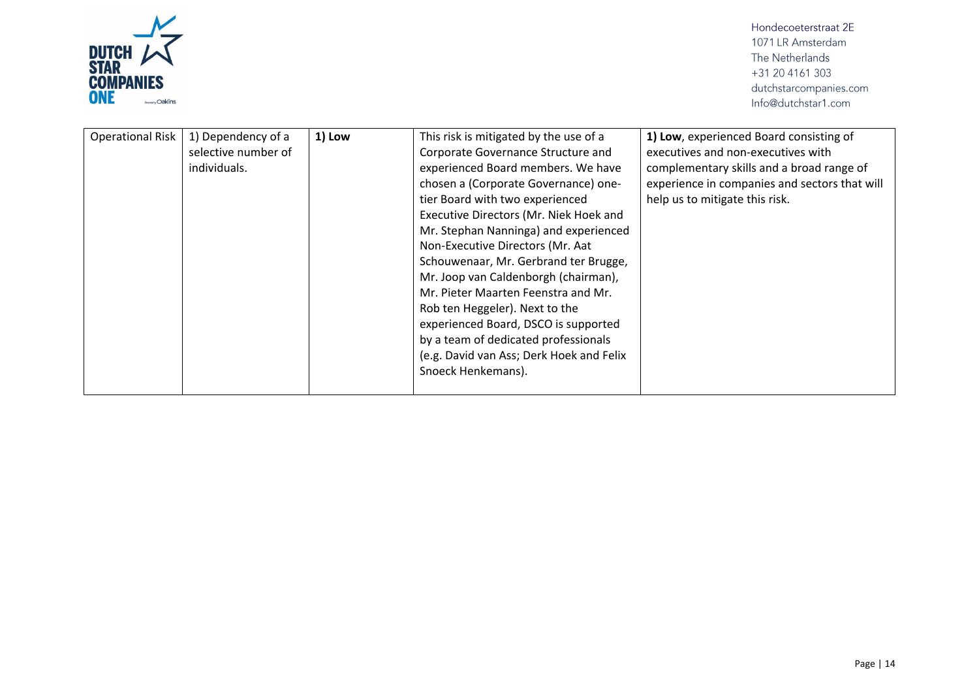

| <b>Operational Risk</b> | 1) Dependency of a<br>selective number of<br>individuals. | 1) Low | This risk is mitigated by the use of a<br>Corporate Governance Structure and<br>experienced Board members. We have<br>chosen a (Corporate Governance) one-<br>tier Board with two experienced<br>Executive Directors (Mr. Niek Hoek and<br>Mr. Stephan Nanninga) and experienced<br>Non-Executive Directors (Mr. Aat<br>Schouwenaar, Mr. Gerbrand ter Brugge,<br>Mr. Joop van Caldenborgh (chairman),<br>Mr. Pieter Maarten Feenstra and Mr.<br>Rob ten Heggeler). Next to the<br>experienced Board, DSCO is supported<br>by a team of dedicated professionals<br>(e.g. David van Ass; Derk Hoek and Felix<br>Snoeck Henkemans). | 1) Low, experienced Board consisting of<br>executives and non-executives with<br>complementary skills and a broad range of<br>experience in companies and sectors that will<br>help us to mitigate this risk. |
|-------------------------|-----------------------------------------------------------|--------|----------------------------------------------------------------------------------------------------------------------------------------------------------------------------------------------------------------------------------------------------------------------------------------------------------------------------------------------------------------------------------------------------------------------------------------------------------------------------------------------------------------------------------------------------------------------------------------------------------------------------------|---------------------------------------------------------------------------------------------------------------------------------------------------------------------------------------------------------------|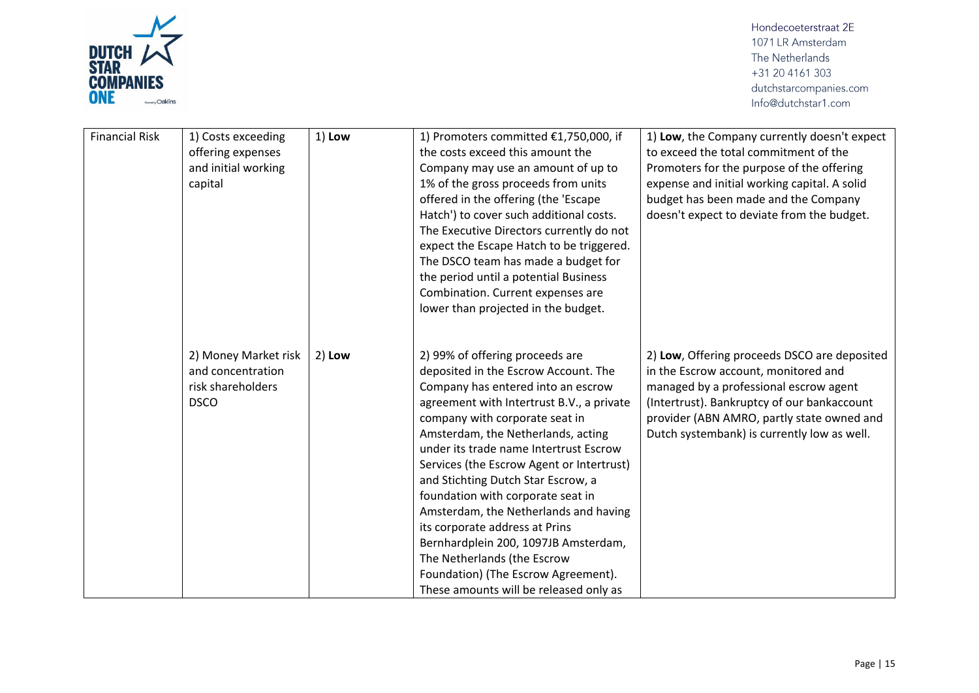

| <b>Financial Risk</b> | 1) Costs exceeding<br>offering expenses<br>and initial working<br>capital     | 1) Low   | 1) Promoters committed €1,750,000, if<br>the costs exceed this amount the<br>Company may use an amount of up to<br>1% of the gross proceeds from units<br>offered in the offering (the 'Escape<br>Hatch') to cover such additional costs.<br>The Executive Directors currently do not<br>expect the Escape Hatch to be triggered.<br>The DSCO team has made a budget for<br>the period until a potential Business<br>Combination. Current expenses are<br>lower than projected in the budget.                                                                                                                                           | 1) Low, the Company currently doesn't expect<br>to exceed the total commitment of the<br>Promoters for the purpose of the offering<br>expense and initial working capital. A solid<br>budget has been made and the Company<br>doesn't expect to deviate from the budget.   |
|-----------------------|-------------------------------------------------------------------------------|----------|-----------------------------------------------------------------------------------------------------------------------------------------------------------------------------------------------------------------------------------------------------------------------------------------------------------------------------------------------------------------------------------------------------------------------------------------------------------------------------------------------------------------------------------------------------------------------------------------------------------------------------------------|----------------------------------------------------------------------------------------------------------------------------------------------------------------------------------------------------------------------------------------------------------------------------|
|                       | 2) Money Market risk<br>and concentration<br>risk shareholders<br><b>DSCO</b> | $2)$ Low | 2) 99% of offering proceeds are<br>deposited in the Escrow Account. The<br>Company has entered into an escrow<br>agreement with Intertrust B.V., a private<br>company with corporate seat in<br>Amsterdam, the Netherlands, acting<br>under its trade name Intertrust Escrow<br>Services (the Escrow Agent or Intertrust)<br>and Stichting Dutch Star Escrow, a<br>foundation with corporate seat in<br>Amsterdam, the Netherlands and having<br>its corporate address at Prins<br>Bernhardplein 200, 1097JB Amsterdam,<br>The Netherlands (the Escrow<br>Foundation) (The Escrow Agreement).<br>These amounts will be released only as | 2) Low, Offering proceeds DSCO are deposited<br>in the Escrow account, monitored and<br>managed by a professional escrow agent<br>(Intertrust). Bankruptcy of our bankaccount<br>provider (ABN AMRO, partly state owned and<br>Dutch systembank) is currently low as well. |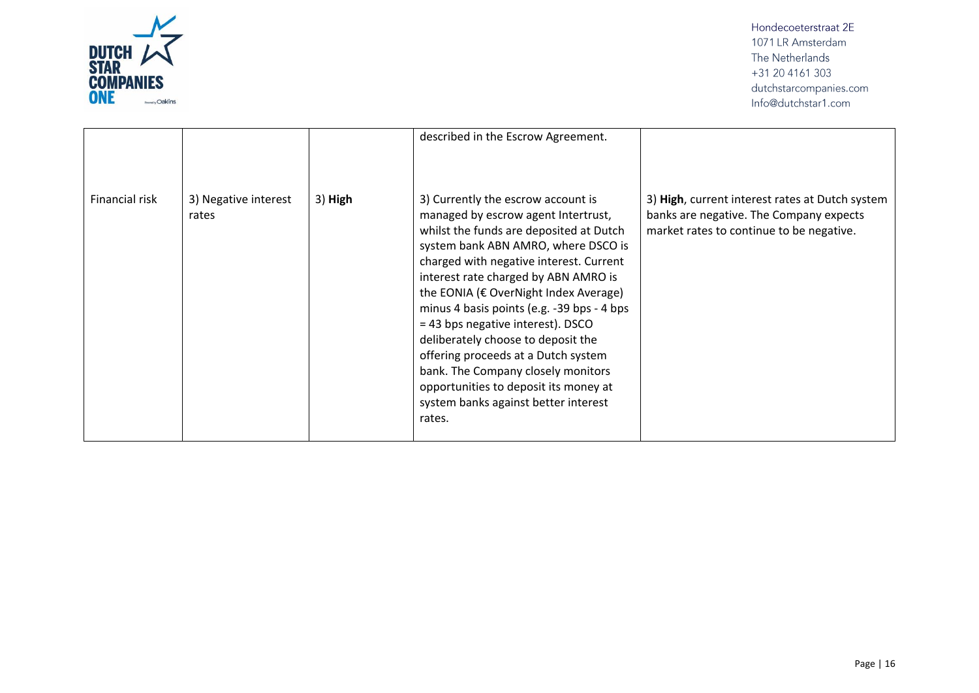

|                |                               |         | described in the Escrow Agreement.                                                                                                                                                                                                                                                                                                                                                                                                                                                                                                                                                       |                                                                                                                                        |
|----------------|-------------------------------|---------|------------------------------------------------------------------------------------------------------------------------------------------------------------------------------------------------------------------------------------------------------------------------------------------------------------------------------------------------------------------------------------------------------------------------------------------------------------------------------------------------------------------------------------------------------------------------------------------|----------------------------------------------------------------------------------------------------------------------------------------|
| Financial risk | 3) Negative interest<br>rates | 3) High | 3) Currently the escrow account is<br>managed by escrow agent Intertrust,<br>whilst the funds are deposited at Dutch<br>system bank ABN AMRO, where DSCO is<br>charged with negative interest. Current<br>interest rate charged by ABN AMRO is<br>the EONIA (€ OverNight Index Average)<br>minus 4 basis points (e.g. -39 bps - 4 bps<br>= 43 bps negative interest). DSCO<br>deliberately choose to deposit the<br>offering proceeds at a Dutch system<br>bank. The Company closely monitors<br>opportunities to deposit its money at<br>system banks against better interest<br>rates. | 3) High, current interest rates at Dutch system<br>banks are negative. The Company expects<br>market rates to continue to be negative. |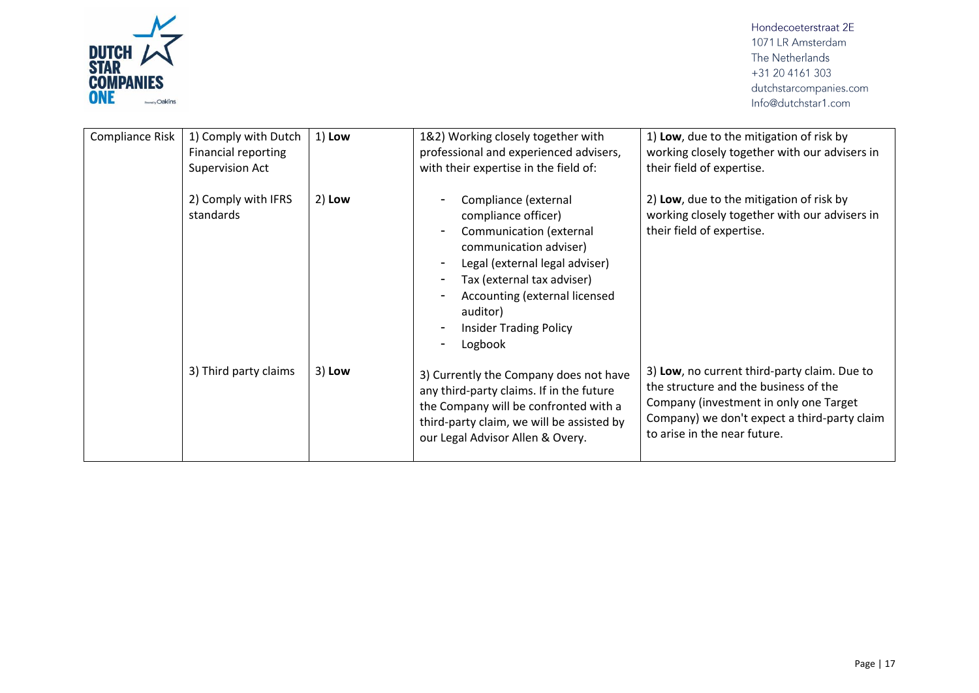

| Compliance Risk | 1) Comply with Dutch<br>Financial reporting<br><b>Supervision Act</b> | 1) Low   | 1&2) Working closely together with<br>professional and experienced advisers,<br>with their expertise in the field of:                                                                                                                                     | 1) Low, due to the mitigation of risk by<br>working closely together with our advisers in<br>their field of expertise.                                                                                          |
|-----------------|-----------------------------------------------------------------------|----------|-----------------------------------------------------------------------------------------------------------------------------------------------------------------------------------------------------------------------------------------------------------|-----------------------------------------------------------------------------------------------------------------------------------------------------------------------------------------------------------------|
|                 | 2) Comply with IFRS<br>standards                                      | $2)$ Low | Compliance (external<br>compliance officer)<br>Communication (external<br>communication adviser)<br>Legal (external legal adviser)<br>Tax (external tax adviser)<br>Accounting (external licensed<br>auditor)<br><b>Insider Trading Policy</b><br>Logbook | 2) Low, due to the mitigation of risk by<br>working closely together with our advisers in<br>their field of expertise.                                                                                          |
|                 | 3) Third party claims                                                 | 3) Low   | 3) Currently the Company does not have<br>any third-party claims. If in the future<br>the Company will be confronted with a<br>third-party claim, we will be assisted by<br>our Legal Advisor Allen & Overy.                                              | 3) Low, no current third-party claim. Due to<br>the structure and the business of the<br>Company (investment in only one Target<br>Company) we don't expect a third-party claim<br>to arise in the near future. |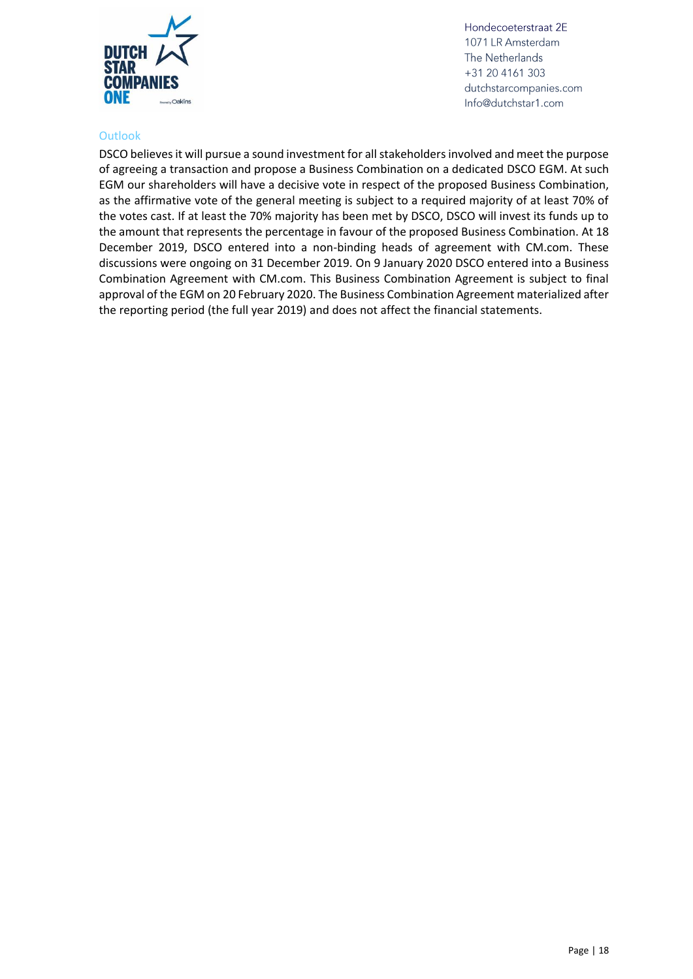

#### <span id="page-17-0"></span>**Outlook**

DSCO believes it will pursue a sound investment for all stakeholders involved and meet the purpose of agreeing a transaction and propose a Business Combination on a dedicated DSCO EGM. At such EGM our shareholders will have a decisive vote in respect of the proposed Business Combination, as the affirmative vote of the general meeting is subject to a required majority of at least 70% of the votes cast. If at least the 70% majority has been met by DSCO, DSCO will invest its funds up to the amount that represents the percentage in favour of the proposed Business Combination. At 18 December 2019, DSCO entered into a non-binding heads of agreement with CM.com. These discussions were ongoing on 31 December 2019. On 9 January 2020 DSCO entered into a Business Combination Agreement with CM.com. This Business Combination Agreement is subject to final approval of the EGM on 20 February 2020. The Business Combination Agreement materialized after the reporting period (the full year 2019) and does not affect the financial statements.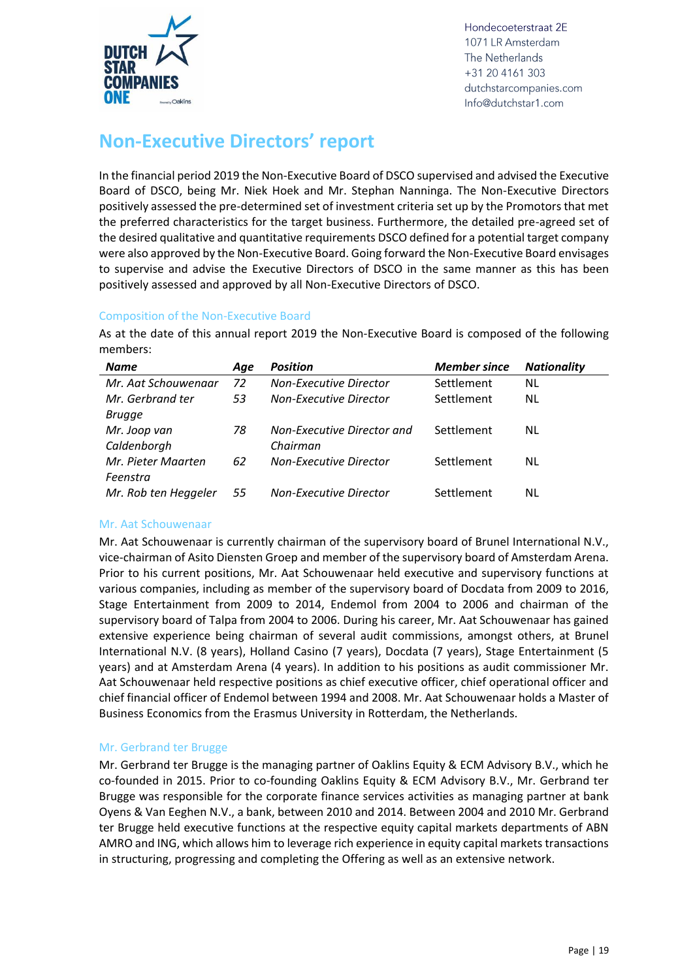

## <span id="page-18-0"></span>**Non-Executive Directors' report**

In the financial period 2019 the Non-Executive Board of DSCO supervised and advised the Executive Board of DSCO, being Mr. Niek Hoek and Mr. Stephan Nanninga. The Non-Executive Directors positively assessed the pre-determined set of investment criteria set up by the Promotors that met the preferred characteristics for the target business. Furthermore, the detailed pre-agreed set of the desired qualitative and quantitative requirements DSCO defined for a potential target company were also approved by the Non-Executive Board. Going forward the Non-Executive Board envisages to supervise and advise the Executive Directors of DSCO in the same manner as this has been positively assessed and approved by all Non-Executive Directors of DSCO.

#### <span id="page-18-1"></span>Composition of the Non-Executive Board

As at the date of this annual report 2019 the Non-Executive Board is composed of the following members:

| Name                 | Age | <b>Position</b>               | <b>Member since</b> | <b>Nationality</b> |
|----------------------|-----|-------------------------------|---------------------|--------------------|
| Mr. Aat Schouwenaar  | 72  | <b>Non-Executive Director</b> | Settlement          | NL                 |
| Mr. Gerbrand ter     | 53  | Non-Executive Director        | Settlement          | NL                 |
| <b>Brugge</b>        |     |                               |                     |                    |
| Mr. Joop van         | 78  | Non-Executive Director and    | Settlement          | NL                 |
| Caldenborgh          |     | Chairman                      |                     |                    |
| Mr. Pieter Maarten   | 62  | <b>Non-Executive Director</b> | Settlement          | NL                 |
| Feenstra             |     |                               |                     |                    |
| Mr. Rob ten Heggeler | 55  | Non-Executive Director        | Settlement          | NL                 |

#### Mr. Aat Schouwenaar

Mr. Aat Schouwenaar is currently chairman of the supervisory board of Brunel International N.V., vice-chairman of Asito Diensten Groep and member of the supervisory board of Amsterdam Arena. Prior to his current positions, Mr. Aat Schouwenaar held executive and supervisory functions at various companies, including as member of the supervisory board of Docdata from 2009 to 2016, Stage Entertainment from 2009 to 2014, Endemol from 2004 to 2006 and chairman of the supervisory board of Talpa from 2004 to 2006. During his career, Mr. Aat Schouwenaar has gained extensive experience being chairman of several audit commissions, amongst others, at Brunel International N.V. (8 years), Holland Casino (7 years), Docdata (7 years), Stage Entertainment (5 years) and at Amsterdam Arena (4 years). In addition to his positions as audit commissioner Mr. Aat Schouwenaar held respective positions as chief executive officer, chief operational officer and chief financial officer of Endemol between 1994 and 2008. Mr. Aat Schouwenaar holds a Master of Business Economics from the Erasmus University in Rotterdam, the Netherlands.

#### Mr. Gerbrand ter Brugge

Mr. Gerbrand ter Brugge is the managing partner of Oaklins Equity & ECM Advisory B.V., which he co-founded in 2015. Prior to co-founding Oaklins Equity & ECM Advisory B.V., Mr. Gerbrand ter Brugge was responsible for the corporate finance services activities as managing partner at bank Oyens & Van Eeghen N.V., a bank, between 2010 and 2014. Between 2004 and 2010 Mr. Gerbrand ter Brugge held executive functions at the respective equity capital markets departments of ABN AMRO and ING, which allows him to leverage rich experience in equity capital markets transactions in structuring, progressing and completing the Offering as well as an extensive network.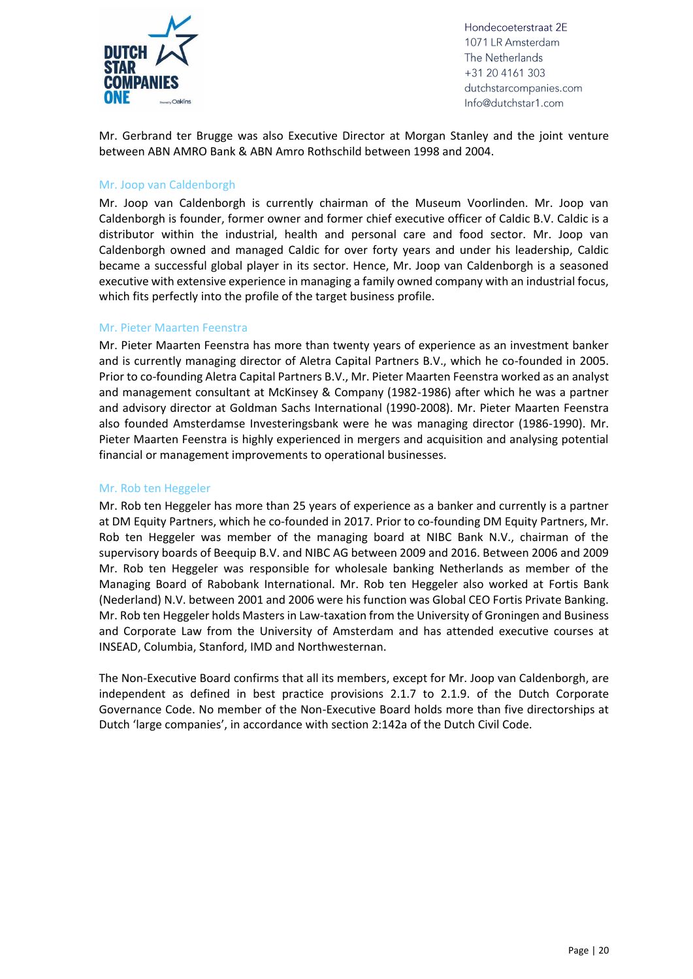

Mr. Gerbrand ter Brugge was also Executive Director at Morgan Stanley and the joint venture between ABN AMRO Bank & ABN Amro Rothschild between 1998 and 2004.

#### Mr. Joop van Caldenborgh

Mr. Joop van Caldenborgh is currently chairman of the Museum Voorlinden. Mr. Joop van Caldenborgh is founder, former owner and former chief executive officer of Caldic B.V. Caldic is a distributor within the industrial, health and personal care and food sector. Mr. Joop van Caldenborgh owned and managed Caldic for over forty years and under his leadership, Caldic became a successful global player in its sector. Hence, Mr. Joop van Caldenborgh is a seasoned executive with extensive experience in managing a family owned company with an industrial focus, which fits perfectly into the profile of the target business profile.

#### Mr. Pieter Maarten Feenstra

Mr. Pieter Maarten Feenstra has more than twenty years of experience as an investment banker and is currently managing director of Aletra Capital Partners B.V., which he co-founded in 2005. Prior to co-founding Aletra Capital Partners B.V., Mr. Pieter Maarten Feenstra worked as an analyst and management consultant at McKinsey & Company (1982-1986) after which he was a partner and advisory director at Goldman Sachs International (1990-2008). Mr. Pieter Maarten Feenstra also founded Amsterdamse Investeringsbank were he was managing director (1986-1990). Mr. Pieter Maarten Feenstra is highly experienced in mergers and acquisition and analysing potential financial or management improvements to operational businesses.

#### Mr. Rob ten Heggeler

Mr. Rob ten Heggeler has more than 25 years of experience as a banker and currently is a partner at DM Equity Partners, which he co-founded in 2017. Prior to co-founding DM Equity Partners, Mr. Rob ten Heggeler was member of the managing board at NIBC Bank N.V., chairman of the supervisory boards of Beequip B.V. and NIBC AG between 2009 and 2016. Between 2006 and 2009 Mr. Rob ten Heggeler was responsible for wholesale banking Netherlands as member of the Managing Board of Rabobank International. Mr. Rob ten Heggeler also worked at Fortis Bank (Nederland) N.V. between 2001 and 2006 were his function was Global CEO Fortis Private Banking. Mr. Rob ten Heggeler holds Masters in Law-taxation from the University of Groningen and Business and Corporate Law from the University of Amsterdam and has attended executive courses at INSEAD, Columbia, Stanford, IMD and Northwesternan.

The Non-Executive Board confirms that all its members, except for Mr. Joop van Caldenborgh, are independent as defined in best practice provisions 2.1.7 to 2.1.9. of the Dutch Corporate Governance Code. No member of the Non-Executive Board holds more than five directorships at Dutch 'large companies', in accordance with section 2:142a of the Dutch Civil Code.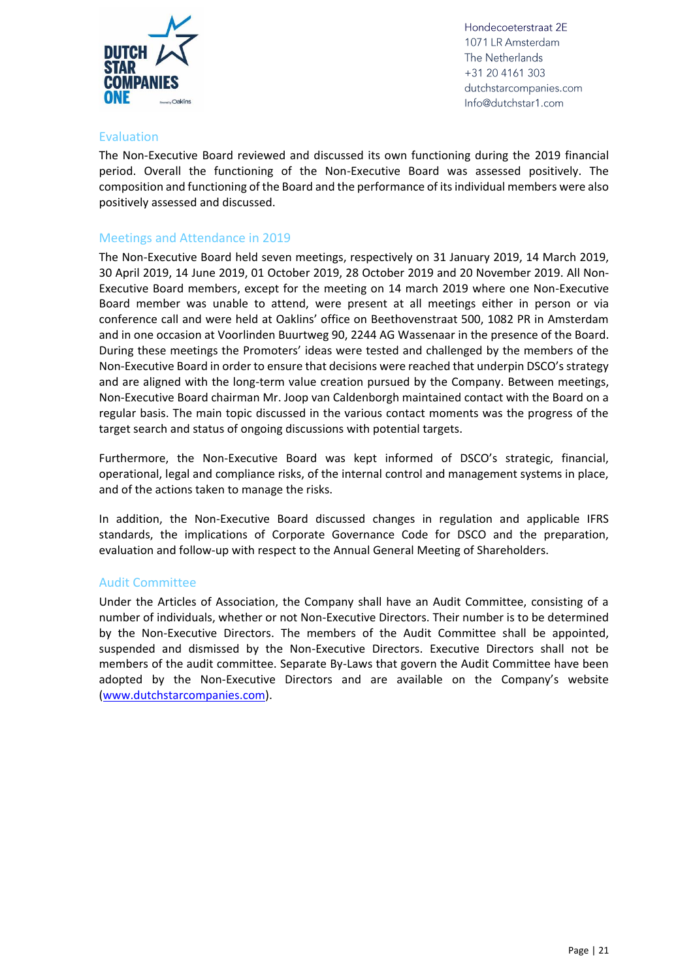

#### <span id="page-20-0"></span>Evaluation

The Non-Executive Board reviewed and discussed its own functioning during the 2019 financial period. Overall the functioning of the Non-Executive Board was assessed positively. The composition and functioning of the Board and the performance of its individual members were also positively assessed and discussed.

#### <span id="page-20-1"></span>Meetings and Attendance in 2019

The Non-Executive Board held seven meetings, respectively on 31 January 2019, 14 March 2019, 30 April 2019, 14 June 2019, 01 October 2019, 28 October 2019 and 20 November 2019. All Non-Executive Board members, except for the meeting on 14 march 2019 where one Non-Executive Board member was unable to attend, were present at all meetings either in person or via conference call and were held at Oaklins' office on Beethovenstraat 500, 1082 PR in Amsterdam and in one occasion at Voorlinden Buurtweg 90, 2244 AG Wassenaar in the presence of the Board. During these meetings the Promoters' ideas were tested and challenged by the members of the Non-Executive Board in order to ensure that decisions were reached that underpin DSCO's strategy and are aligned with the long-term value creation pursued by the Company. Between meetings, Non-Executive Board chairman Mr. Joop van Caldenborgh maintained contact with the Board on a regular basis. The main topic discussed in the various contact moments was the progress of the target search and status of ongoing discussions with potential targets.

Furthermore, the Non-Executive Board was kept informed of DSCO's strategic, financial, operational, legal and compliance risks, of the internal control and management systems in place, and of the actions taken to manage the risks.

In addition, the Non-Executive Board discussed changes in regulation and applicable IFRS standards, the implications of Corporate Governance Code for DSCO and the preparation, evaluation and follow-up with respect to the Annual General Meeting of Shareholders.

#### <span id="page-20-2"></span>Audit Committee

Under the Articles of Association, the Company shall have an Audit Committee, consisting of a number of individuals, whether or not Non-Executive Directors. Their number is to be determined by the Non-Executive Directors. The members of the Audit Committee shall be appointed, suspended and dismissed by the Non-Executive Directors. Executive Directors shall not be members of the audit committee. Separate By-Laws that govern the Audit Committee have been adopted by the Non-Executive Directors and are available on the Company's website [\(www.dutchstarcompanies.com\)](http://www.dutchstarcompaniesone.com/).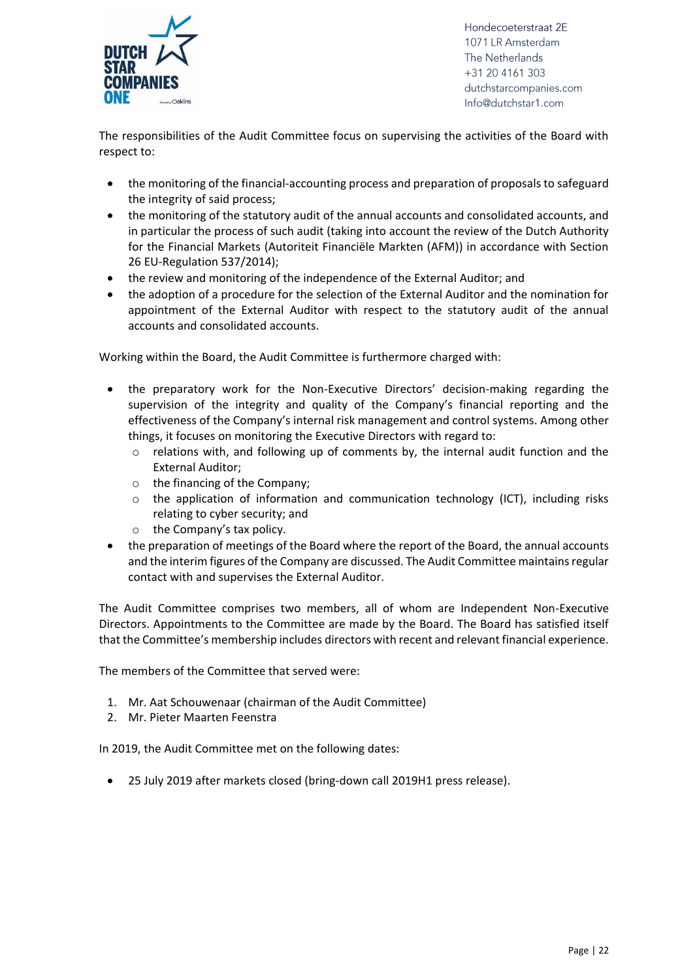

The responsibilities of the Audit Committee focus on supervising the activities of the Board with respect to:

- the monitoring of the financial-accounting process and preparation of proposals to safeguard the integrity of said process;
- the monitoring of the statutory audit of the annual accounts and consolidated accounts, and in particular the process of such audit (taking into account the review of the Dutch Authority for the Financial Markets (Autoriteit Financiële Markten (AFM)) in accordance with Section 26 EU-Regulation 537/2014);
- the review and monitoring of the independence of the External Auditor; and
- the adoption of a procedure for the selection of the External Auditor and the nomination for appointment of the External Auditor with respect to the statutory audit of the annual accounts and consolidated accounts.

Working within the Board, the Audit Committee is furthermore charged with:

- the preparatory work for the Non-Executive Directors' decision-making regarding the supervision of the integrity and quality of the Company's financial reporting and the effectiveness of the Company's internal risk management and control systems. Among other things, it focuses on monitoring the Executive Directors with regard to:
	- $\circ$  relations with, and following up of comments by, the internal audit function and the External Auditor;
	- o the financing of the Company;
	- o the application of information and communication technology (ICT), including risks relating to cyber security; and
	- o the Company's tax policy.
- the preparation of meetings of the Board where the report of the Board, the annual accounts and the interim figures of the Company are discussed. The Audit Committee maintains regular contact with and supervises the External Auditor.

The Audit Committee comprises two members, all of whom are Independent Non-Executive Directors. Appointments to the Committee are made by the Board. The Board has satisfied itself that the Committee's membership includes directors with recent and relevant financial experience.

The members of the Committee that served were:

- 1. Mr. Aat Schouwenaar (chairman of the Audit Committee)
- 2. Mr. Pieter Maarten Feenstra

In 2019, the Audit Committee met on the following dates:

• 25 July 2019 after markets closed (bring-down call 2019H1 press release).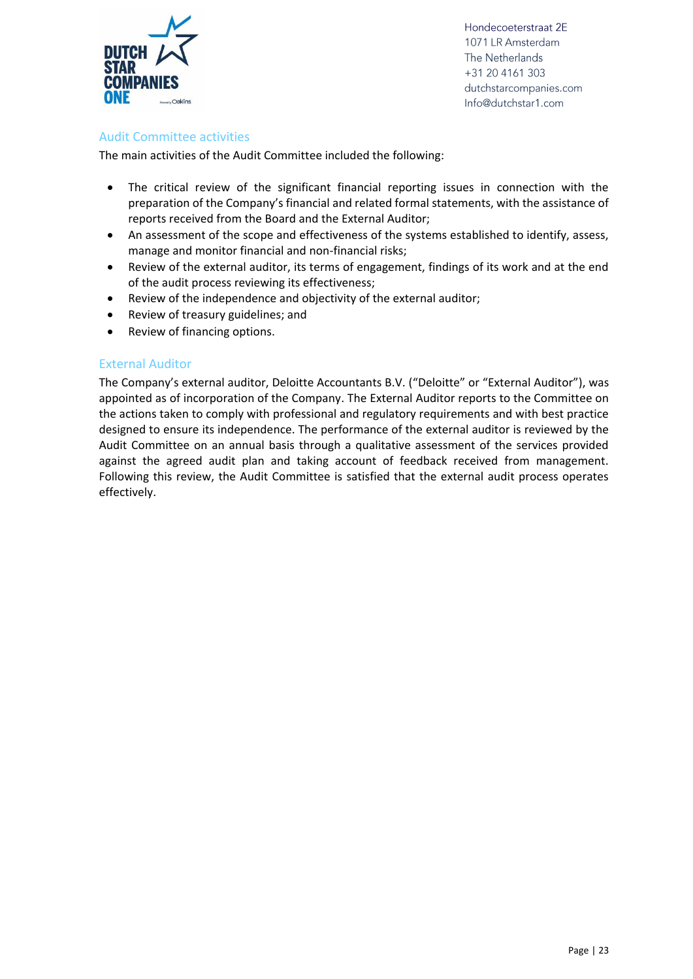

#### <span id="page-22-0"></span>Audit Committee activities

The main activities of the Audit Committee included the following:

- The critical review of the significant financial reporting issues in connection with the preparation of the Company's financial and related formal statements, with the assistance of reports received from the Board and the External Auditor;
- An assessment of the scope and effectiveness of the systems established to identify, assess, manage and monitor financial and non-financial risks;
- Review of the external auditor, its terms of engagement, findings of its work and at the end of the audit process reviewing its effectiveness;
- Review of the independence and objectivity of the external auditor;
- Review of treasury guidelines; and
- Review of financing options.

#### <span id="page-22-1"></span>External Auditor

The Company's external auditor, Deloitte Accountants B.V. ("Deloitte" or "External Auditor"), was appointed as of incorporation of the Company. The External Auditor reports to the Committee on the actions taken to comply with professional and regulatory requirements and with best practice designed to ensure its independence. The performance of the external auditor is reviewed by the Audit Committee on an annual basis through a qualitative assessment of the services provided against the agreed audit plan and taking account of feedback received from management. Following this review, the Audit Committee is satisfied that the external audit process operates effectively.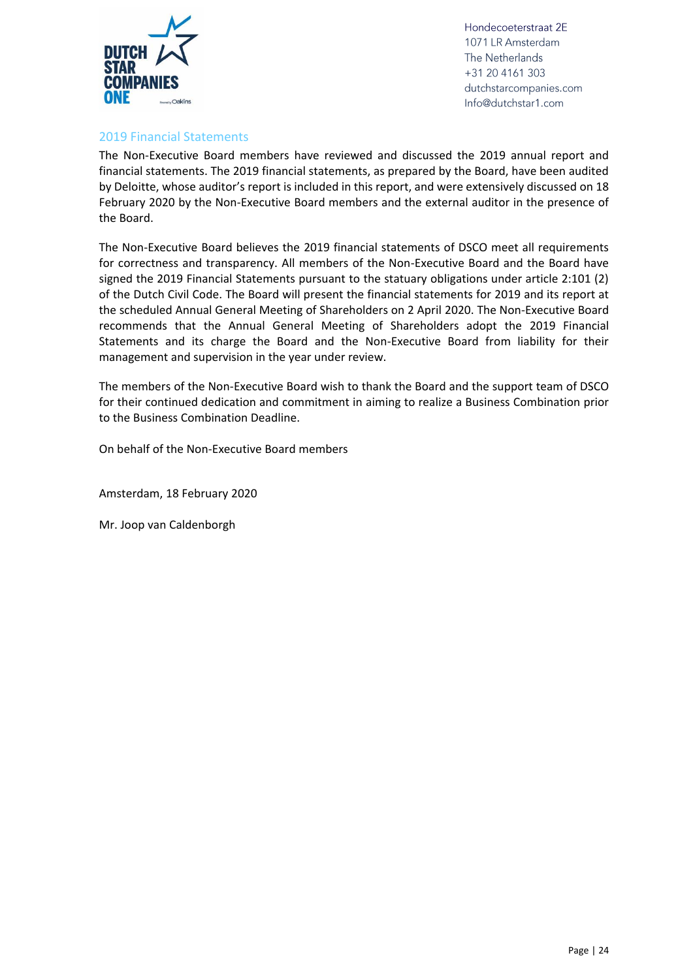

#### <span id="page-23-0"></span>2019 Financial Statements

The Non-Executive Board members have reviewed and discussed the 2019 annual report and financial statements. The 2019 financial statements, as prepared by the Board, have been audited by Deloitte, whose auditor's report is included in this report, and were extensively discussed on 18 February 2020 by the Non-Executive Board members and the external auditor in the presence of the Board.

The Non-Executive Board believes the 2019 financial statements of DSCO meet all requirements for correctness and transparency. All members of the Non-Executive Board and the Board have signed the 2019 Financial Statements pursuant to the statuary obligations under article 2:101 (2) of the Dutch Civil Code. The Board will present the financial statements for 2019 and its report at the scheduled Annual General Meeting of Shareholders on 2 April 2020. The Non-Executive Board recommends that the Annual General Meeting of Shareholders adopt the 2019 Financial Statements and its charge the Board and the Non-Executive Board from liability for their management and supervision in the year under review.

The members of the Non-Executive Board wish to thank the Board and the support team of DSCO for their continued dedication and commitment in aiming to realize a Business Combination prior to the Business Combination Deadline.

On behalf of the Non-Executive Board members

Amsterdam, 18 February 2020

Mr. Joop van Caldenborgh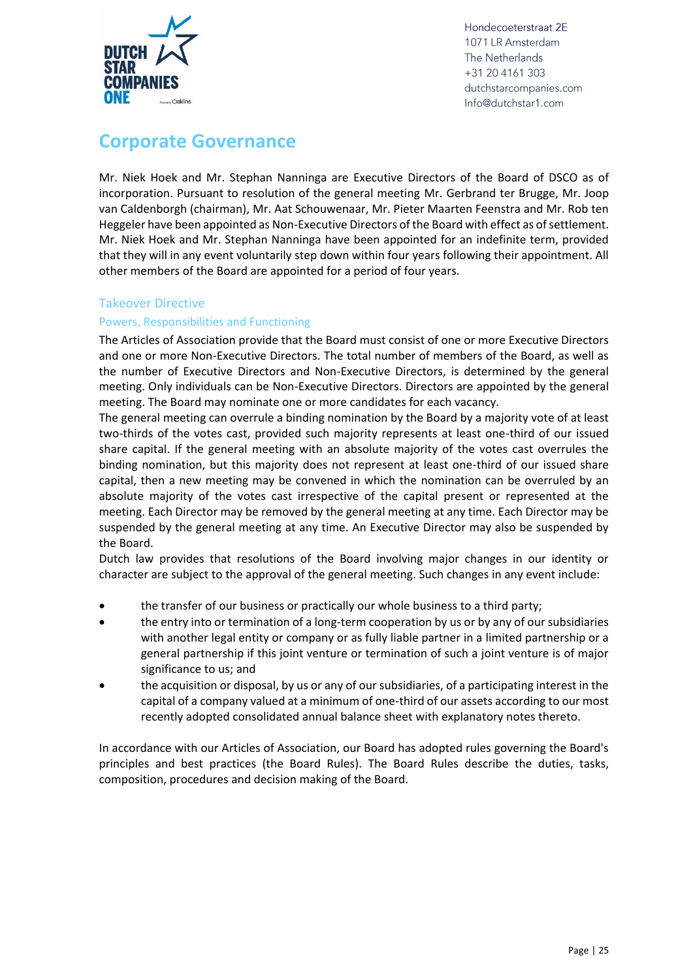

### <span id="page-24-0"></span>**Corporate Governance**

Mr. Niek Hoek and Mr. Stephan Nanninga are Executive Directors of the Board of DSCO as of incorporation. Pursuant to resolution of the general meeting Mr. Gerbrand ter Brugge, Mr. Joop van Caldenborgh (chairman), Mr. Aat Schouwenaar, Mr. Pieter Maarten Feenstra and Mr. Rob ten Heggeler have been appointed as Non-Executive Directors of the Board with effect as of settlement. Mr. Niek Hoek and Mr. Stephan Nanninga have been appointed for an indefinite term, provided that they will in any event voluntarily step down within four years following their appointment. All other members of the Board are appointed for a period of four years.

#### <span id="page-24-1"></span>Takeover Directive

#### <span id="page-24-2"></span>Powers, Responsibilities and Functioning

The Articles of Association provide that the Board must consist of one or more Executive Directors and one or more Non-Executive Directors. The total number of members of the Board, as well as the number of Executive Directors and Non-Executive Directors, is determined by the general meeting. Only individuals can be Non-Executive Directors. Directors are appointed by the general meeting. The Board may nominate one or more candidates for each vacancy.

The general meeting can overrule a binding nomination by the Board by a majority vote of at least two-thirds of the votes cast, provided such majority represents at least one-third of our issued share capital. If the general meeting with an absolute majority of the votes cast overrules the binding nomination, but this majority does not represent at least one-third of our issued share capital, then a new meeting may be convened in which the nomination can be overruled by an absolute majority of the votes cast irrespective of the capital present or represented at the meeting. Each Director may be removed by the general meeting at any time. Each Director may be suspended by the general meeting at any time. An Executive Director may also be suspended by the Board.

Dutch law provides that resolutions of the Board involving major changes in our identity or character are subject to the approval of the general meeting. Such changes in any event include:

- the transfer of our business or practically our whole business to a third party;
- the entry into or termination of a long-term cooperation by us or by any of our subsidiaries with another legal entity or company or as fully liable partner in a limited partnership or a general partnership if this joint venture or termination of such a joint venture is of major significance to us; and
- the acquisition or disposal, by us or any of our subsidiaries, of a participating interest in the capital of a company valued at a minimum of one-third of our assets according to our most recently adopted consolidated annual balance sheet with explanatory notes thereto.

In accordance with our Articles of Association, our Board has adopted rules governing the Board's principles and best practices (the Board Rules). The Board Rules describe the duties, tasks, composition, procedures and decision making of the Board.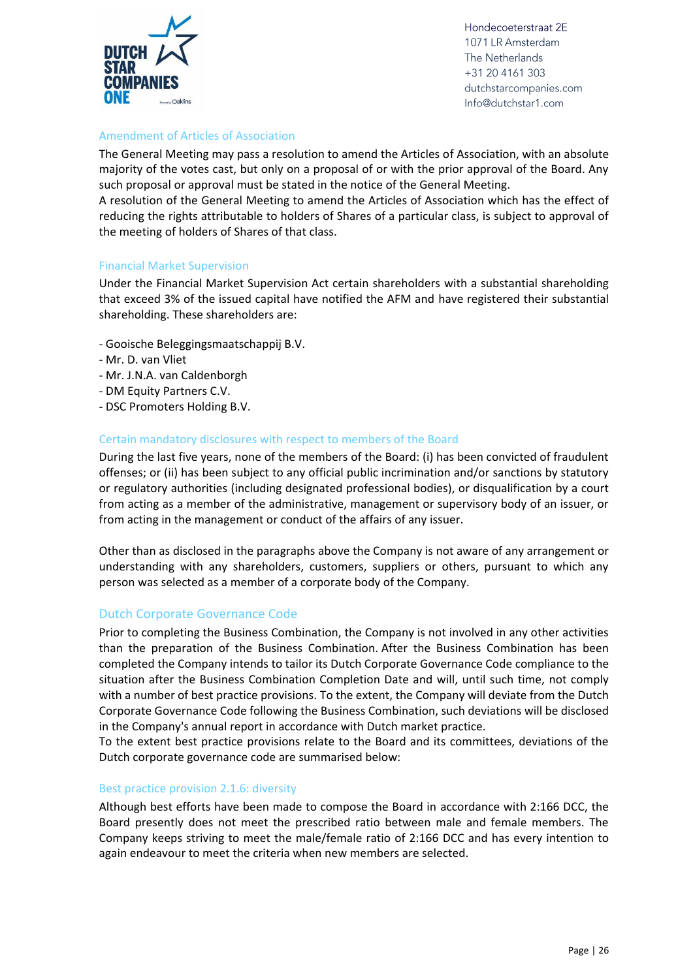

#### <span id="page-25-0"></span>Amendment of Articles of Association

The General Meeting may pass a resolution to amend the Articles of Association, with an absolute majority of the votes cast, but only on a proposal of or with the prior approval of the Board. Any such proposal or approval must be stated in the notice of the General Meeting.

A resolution of the General Meeting to amend the Articles of Association which has the effect of reducing the rights attributable to holders of Shares of a particular class, is subject to approval of the meeting of holders of Shares of that class.

#### <span id="page-25-1"></span>Financial Market Supervision

Under the Financial Market Supervision Act certain shareholders with a substantial shareholding that exceed 3% of the issued capital have notified the AFM and have registered their substantial shareholding. These shareholders are:

- Gooische Beleggingsmaatschappij B.V.
- Mr. D. van Vliet
- Mr. J.N.A. van Caldenborgh
- DM Equity Partners C.V.
- DSC Promoters Holding B.V.

#### <span id="page-25-2"></span>Certain mandatory disclosures with respect to members of the Board

During the last five years, none of the members of the Board: (i) has been convicted of fraudulent offenses; or (ii) has been subject to any official public incrimination and/or sanctions by statutory or regulatory authorities (including designated professional bodies), or disqualification by a court from acting as a member of the administrative, management or supervisory body of an issuer, or from acting in the management or conduct of the affairs of any issuer.

Other than as disclosed in the paragraphs above the Company is not aware of any arrangement or understanding with any shareholders, customers, suppliers or others, pursuant to which any person was selected as a member of a corporate body of the Company.

#### <span id="page-25-3"></span>Dutch Corporate Governance Code

Prior to completing the Business Combination, the Company is not involved in any other activities than the preparation of the Business Combination. After the Business Combination has been completed the Company intends to tailor its Dutch Corporate Governance Code compliance to the situation after the Business Combination Completion Date and will, until such time, not comply with a number of best practice provisions. To the extent, the Company will deviate from the Dutch Corporate Governance Code following the Business Combination, such deviations will be disclosed in the Company's annual report in accordance with Dutch market practice.

To the extent best practice provisions relate to the Board and its committees, deviations of the Dutch corporate governance code are summarised below:

#### Best practice provision 2.1.6: diversity

Although best efforts have been made to compose the Board in accordance with 2:166 DCC, the Board presently does not meet the prescribed ratio between male and female members. The Company keeps striving to meet the male/female ratio of 2:166 DCC and has every intention to again endeavour to meet the criteria when new members are selected.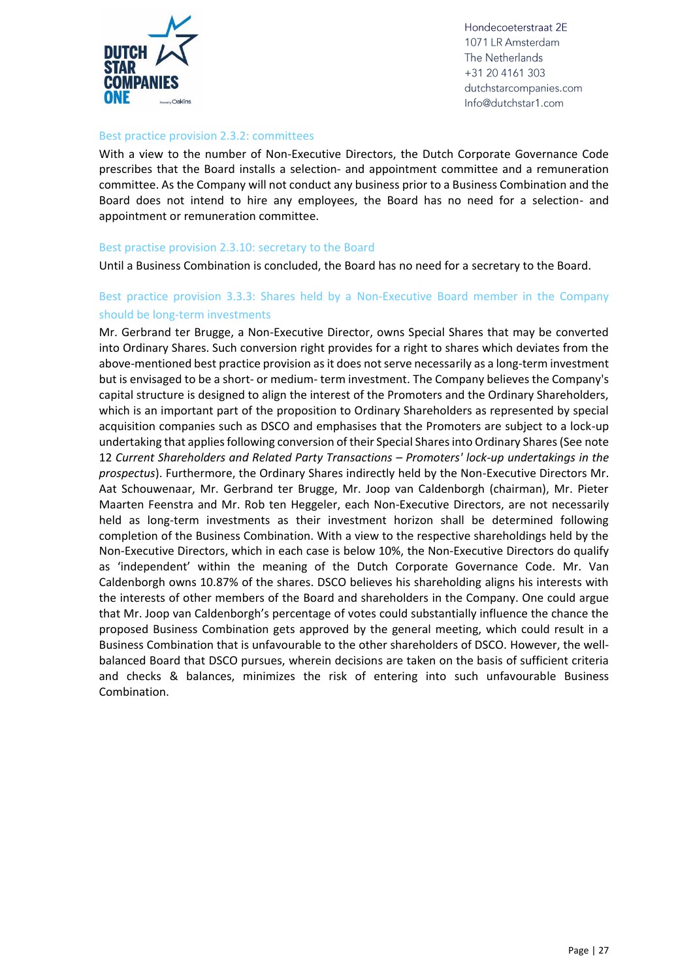

#### Best practice provision 2.3.2: committees

With a view to the number of Non-Executive Directors, the Dutch Corporate Governance Code prescribes that the Board installs a selection- and appointment committee and a remuneration committee. As the Company will not conduct any business prior to a Business Combination and the Board does not intend to hire any employees, the Board has no need for a selection- and appointment or remuneration committee.

#### Best practise provision 2.3.10: secretary to the Board

Until a Business Combination is concluded, the Board has no need for a secretary to the Board.

#### Best practice provision 3.3.3: Shares held by a Non-Executive Board member in the Company should be long-term investments

Mr. Gerbrand ter Brugge, a Non-Executive Director, owns Special Shares that may be converted into Ordinary Shares. Such conversion right provides for a right to shares which deviates from the above-mentioned best practice provision as it does not serve necessarily as a long-term investment but is envisaged to be a short- or medium- term investment. The Company believes the Company's capital structure is designed to align the interest of the Promoters and the Ordinary Shareholders, which is an important part of the proposition to Ordinary Shareholders as represented by special acquisition companies such as DSCO and emphasises that the Promoters are subject to a lock-up undertaking that applies following conversion of their Special Shares into Ordinary Shares (See note 12 Current Shareholders and Related Party Transactions - Promoters' lock-up undertakings in the *prospectus*). Furthermore, the Ordinary Shares indirectly held by the Non-Executive Directors Mr. Aat Schouwenaar, Mr. Gerbrand ter Brugge, Mr. Joop van Caldenborgh (chairman), Mr. Pieter Maarten Feenstra and Mr. Rob ten Heggeler, each Non-Executive Directors, are not necessarily held as long-term investments as their investment horizon shall be determined following completion of the Business Combination. With a view to the respective shareholdings held by the Non-Executive Directors, which in each case is below 10%, the Non-Executive Directors do qualify as 'independent' within the meaning of the Dutch Corporate Governance Code. Mr. Van Caldenborgh owns 10.87% of the shares. DSCO believes his shareholding aligns his interests with the interests of other members of the Board and shareholders in the Company. One could argue that Mr. Joop van Caldenborgh's percentage of votes could substantially influence the chance the proposed Business Combination gets approved by the general meeting, which could result in a Business Combination that is unfavourable to the other shareholders of DSCO. However, the wellbalanced Board that DSCO pursues, wherein decisions are taken on the basis of sufficient criteria and checks & balances, minimizes the risk of entering into such unfavourable Business Combination.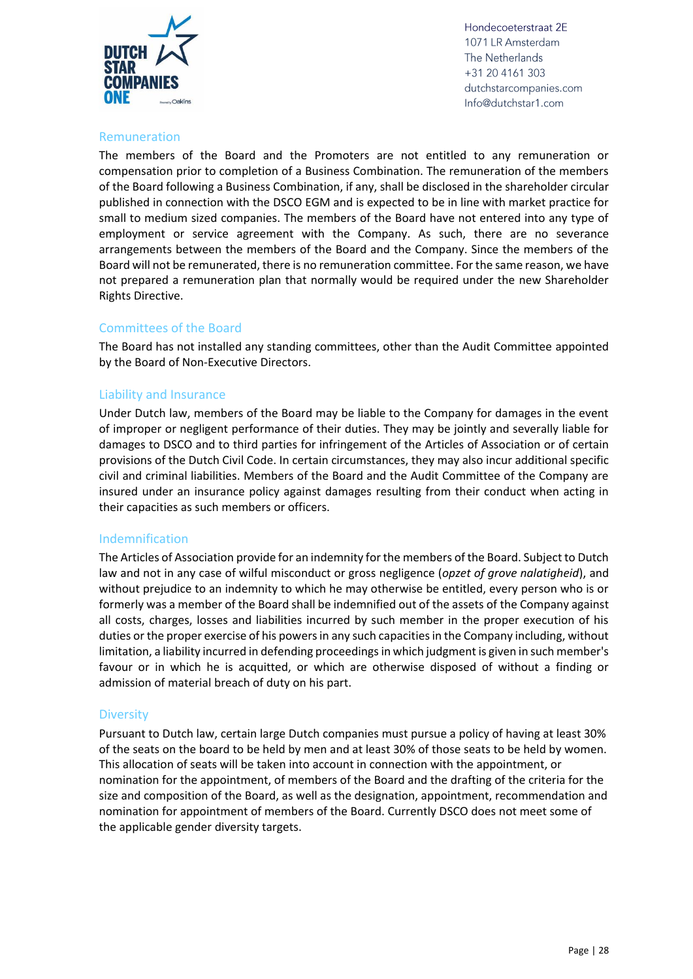

#### <span id="page-27-0"></span>Remuneration

The members of the Board and the Promoters are not entitled to any remuneration or compensation prior to completion of a Business Combination. The remuneration of the members of the Board following a Business Combination, if any, shall be disclosed in the shareholder circular published in connection with the DSCO EGM and is expected to be in line with market practice for small to medium sized companies. The members of the Board have not entered into any type of employment or service agreement with the Company. As such, there are no severance arrangements between the members of the Board and the Company. Since the members of the Board will not be remunerated, there is no remuneration committee. For the same reason, we have not prepared a remuneration plan that normally would be required under the new Shareholder Rights Directive.

#### <span id="page-27-1"></span>Committees of the Board

The Board has not installed any standing committees, other than the Audit Committee appointed by the Board of Non-Executive Directors.

#### <span id="page-27-2"></span>Liability and Insurance

Under Dutch law, members of the Board may be liable to the Company for damages in the event of improper or negligent performance of their duties. They may be jointly and severally liable for damages to DSCO and to third parties for infringement of the Articles of Association or of certain provisions of the Dutch Civil Code. In certain circumstances, they may also incur additional specific civil and criminal liabilities. Members of the Board and the Audit Committee of the Company are insured under an insurance policy against damages resulting from their conduct when acting in their capacities as such members or officers.

#### <span id="page-27-3"></span>Indemnification

The Articles of Association provide for an indemnity for the members of the Board. Subject to Dutch law and not in any case of wilful misconduct or gross negligence (*opzet of grove nalatigheid*), and without prejudice to an indemnity to which he may otherwise be entitled, every person who is or formerly was a member of the Board shall be indemnified out of the assets of the Company against all costs, charges, losses and liabilities incurred by such member in the proper execution of his duties or the proper exercise of his powers in any such capacities in the Company including, without limitation, a liability incurred in defending proceedings in which judgment is given in such member's favour or in which he is acquitted, or which are otherwise disposed of without a finding or admission of material breach of duty on his part.

#### <span id="page-27-4"></span>**Diversity**

Pursuant to Dutch law, certain large Dutch companies must pursue a policy of having at least 30% of the seats on the board to be held by men and at least 30% of those seats to be held by women. This allocation of seats will be taken into account in connection with the appointment, or nomination for the appointment, of members of the Board and the drafting of the criteria for the size and composition of the Board, as well as the designation, appointment, recommendation and nomination for appointment of members of the Board. Currently DSCO does not meet some of the applicable gender diversity targets.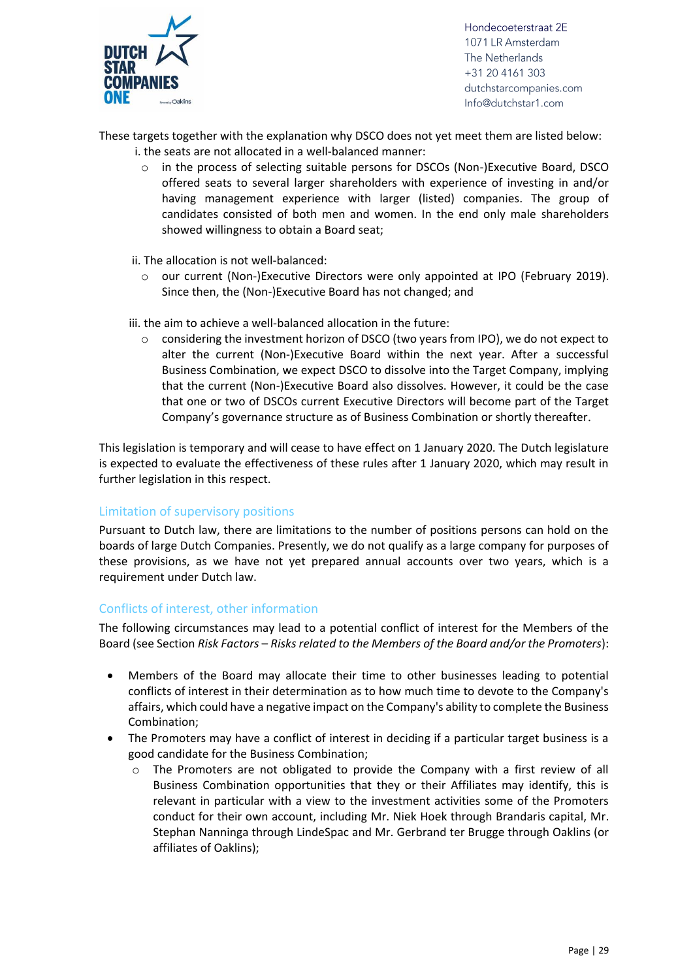

These targets together with the explanation why DSCO does not yet meet them are listed below:

- i. the seats are not allocated in a well-balanced manner:
	- o in the process of selecting suitable persons for DSCOs (Non-)Executive Board, DSCO offered seats to several larger shareholders with experience of investing in and/or having management experience with larger (listed) companies. The group of candidates consisted of both men and women. In the end only male shareholders showed willingness to obtain a Board seat;
	- ii. The allocation is not well-balanced:
		- $\circ$  our current (Non-)Executive Directors were only appointed at IPO (February 2019). Since then, the (Non-)Executive Board has not changed; and
- iii. the aim to achieve a well-balanced allocation in the future:
	- $\circ$  considering the investment horizon of DSCO (two years from IPO), we do not expect to alter the current (Non-)Executive Board within the next year. After a successful Business Combination, we expect DSCO to dissolve into the Target Company, implying that the current (Non-)Executive Board also dissolves. However, it could be the case that one or two of DSCOs current Executive Directors will become part of the Target Company's governance structure as of Business Combination or shortly thereafter.

This legislation is temporary and will cease to have effect on 1 January 2020. The Dutch legislature is expected to evaluate the effectiveness of these rules after 1 January 2020, which may result in further legislation in this respect.

#### <span id="page-28-0"></span>Limitation of supervisory positions

Pursuant to Dutch law, there are limitations to the number of positions persons can hold on the boards of large Dutch Companies. Presently, we do not qualify as a large company for purposes of these provisions, as we have not yet prepared annual accounts over two years, which is a requirement under Dutch law.

#### <span id="page-28-1"></span>Conflicts of interest, other information

The following circumstances may lead to a potential conflict of interest for the Members of the Board (see Section *Risk Factors* – *Risks related to the Members of the Board and/or the Promoters*):

- Members of the Board may allocate their time to other businesses leading to potential conflicts of interest in their determination as to how much time to devote to the Company's affairs, which could have a negative impact on the Company's ability to complete the Business Combination;
- The Promoters may have a conflict of interest in deciding if a particular target business is a good candidate for the Business Combination;
	- The Promoters are not obligated to provide the Company with a first review of all Business Combination opportunities that they or their Affiliates may identify, this is relevant in particular with a view to the investment activities some of the Promoters conduct for their own account, including Mr. Niek Hoek through Brandaris capital, Mr. Stephan Nanninga through LindeSpac and Mr. Gerbrand ter Brugge through Oaklins (or affiliates of Oaklins);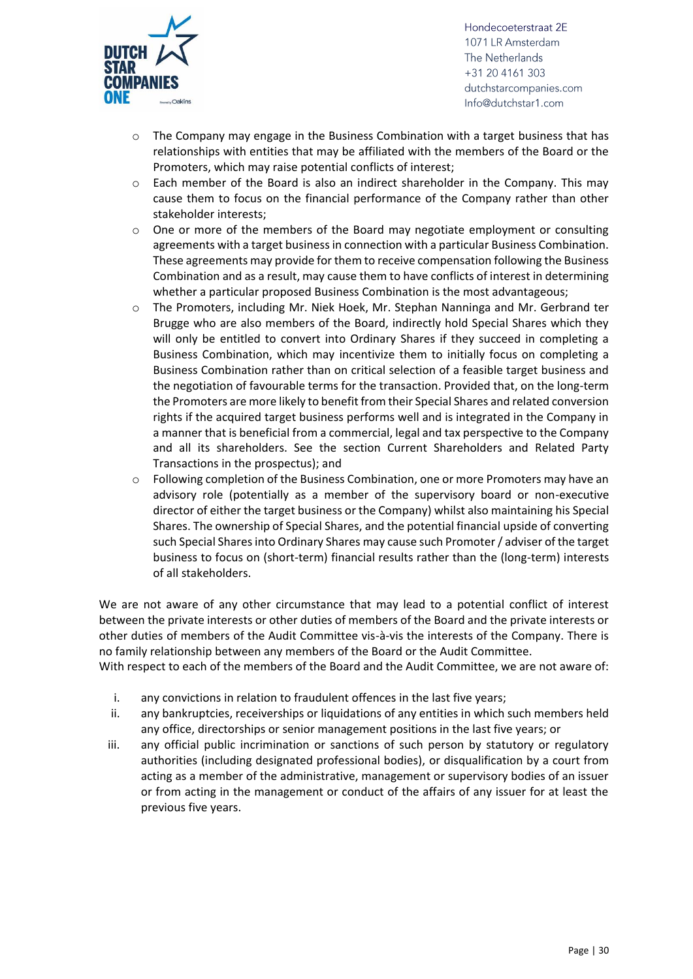

- $\circ$  The Company may engage in the Business Combination with a target business that has relationships with entities that may be affiliated with the members of the Board or the Promoters, which may raise potential conflicts of interest;
- $\circ$  Each member of the Board is also an indirect shareholder in the Company. This may cause them to focus on the financial performance of the Company rather than other stakeholder interests;
- $\circ$  One or more of the members of the Board may negotiate employment or consulting agreements with a target business in connection with a particular Business Combination. These agreements may provide for them to receive compensation following the Business Combination and as a result, may cause them to have conflicts of interest in determining whether a particular proposed Business Combination is the most advantageous;
- o The Promoters, including Mr. Niek Hoek, Mr. Stephan Nanninga and Mr. Gerbrand ter Brugge who are also members of the Board, indirectly hold Special Shares which they will only be entitled to convert into Ordinary Shares if they succeed in completing a Business Combination, which may incentivize them to initially focus on completing a Business Combination rather than on critical selection of a feasible target business and the negotiation of favourable terms for the transaction. Provided that, on the long-term the Promoters are more likely to benefit from their Special Shares and related conversion rights if the acquired target business performs well and is integrated in the Company in a manner that is beneficial from a commercial, legal and tax perspective to the Company and all its shareholders. See the section Current Shareholders and Related Party Transactions in the prospectus); and
- $\circ$  Following completion of the Business Combination, one or more Promoters may have an advisory role (potentially as a member of the supervisory board or non-executive director of either the target business or the Company) whilst also maintaining his Special Shares. The ownership of Special Shares, and the potential financial upside of converting such Special Shares into Ordinary Shares may cause such Promoter / adviser of the target business to focus on (short-term) financial results rather than the (long-term) interests of all stakeholders.

We are not aware of any other circumstance that may lead to a potential conflict of interest between the private interests or other duties of members of the Board and the private interests or other duties of members of the Audit Committee vis-à-vis the interests of the Company. There is no family relationship between any members of the Board or the Audit Committee.

With respect to each of the members of the Board and the Audit Committee, we are not aware of:

- i. any convictions in relation to fraudulent offences in the last five years;
- ii. any bankruptcies, receiverships or liquidations of any entities in which such members held any office, directorships or senior management positions in the last five years; or
- iii. any official public incrimination or sanctions of such person by statutory or regulatory authorities (including designated professional bodies), or disqualification by a court from acting as a member of the administrative, management or supervisory bodies of an issuer or from acting in the management or conduct of the affairs of any issuer for at least the previous five years.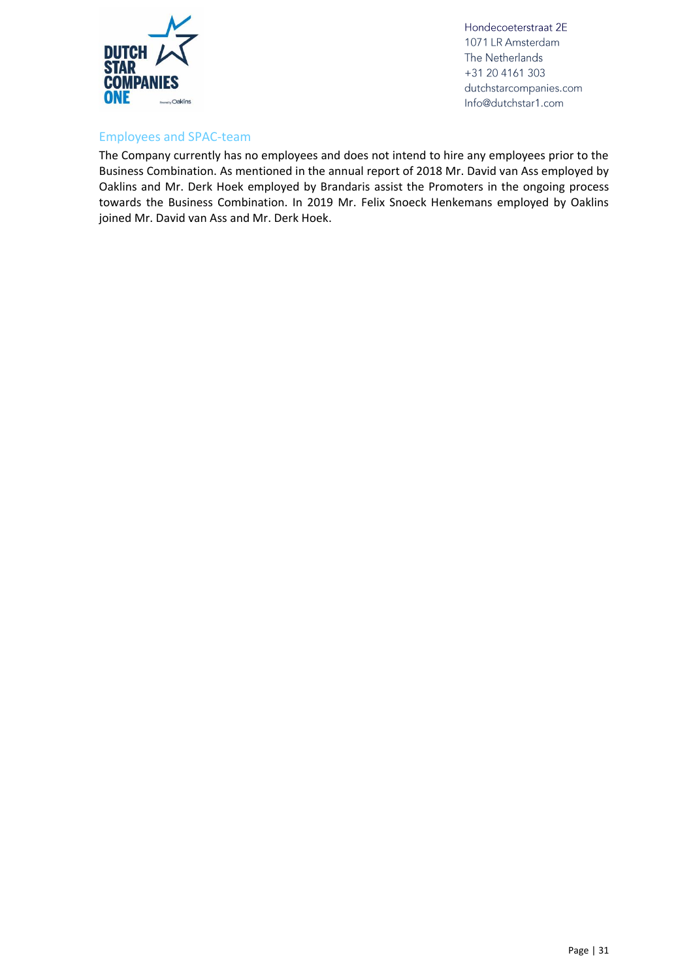

#### <span id="page-30-0"></span>Employees and SPAC-team

The Company currently has no employees and does not intend to hire any employees prior to the Business Combination. As mentioned in the annual report of 2018 Mr. David van Ass employed by Oaklins and Mr. Derk Hoek employed by Brandaris assist the Promoters in the ongoing process towards the Business Combination. In 2019 Mr. Felix Snoeck Henkemans employed by Oaklins joined Mr. David van Ass and Mr. Derk Hoek.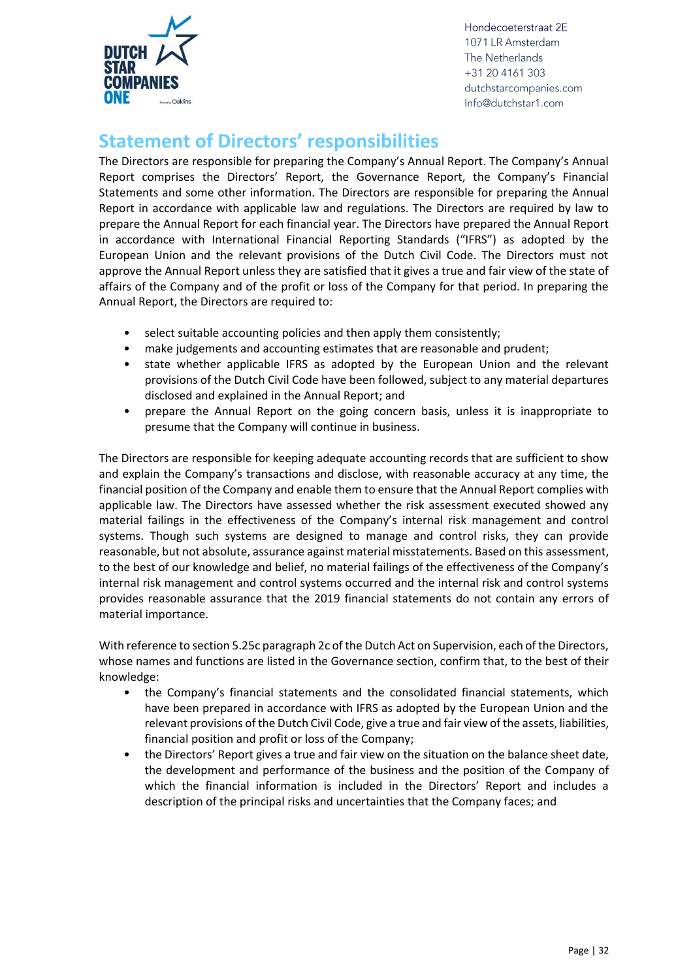

## <span id="page-31-0"></span>**Statement of Directors' responsibilities**

The Directors are responsible for preparing the Company's Annual Report. The Company's Annual Report comprises the Directors' Report, the Governance Report, the Company's Financial Statements and some other information. The Directors are responsible for preparing the Annual Report in accordance with applicable law and regulations. The Directors are required by law to prepare the Annual Report for each financial year. The Directors have prepared the Annual Report in accordance with International Financial Reporting Standards ("IFRS") as adopted by the European Union and the relevant provisions of the Dutch Civil Code. The Directors must not approve the Annual Report unless they are satisfied that it gives a true and fair view of the state of affairs of the Company and of the profit or loss of the Company for that period. In preparing the Annual Report, the Directors are required to:

- select suitable accounting policies and then apply them consistently;
- make judgements and accounting estimates that are reasonable and prudent;
- state whether applicable IFRS as adopted by the European Union and the relevant provisions of the Dutch Civil Code have been followed, subject to any material departures disclosed and explained in the Annual Report; and
- prepare the Annual Report on the going concern basis, unless it is inappropriate to presume that the Company will continue in business.

The Directors are responsible for keeping adequate accounting records that are sufficient to show and explain the Company's transactions and disclose, with reasonable accuracy at any time, the financial position of the Company and enable them to ensure that the Annual Report complies with applicable law. The Directors have assessed whether the risk assessment executed showed any material failings in the effectiveness of the Company's internal risk management and control systems. Though such systems are designed to manage and control risks, they can provide reasonable, but not absolute, assurance against material misstatements. Based on this assessment, to the best of our knowledge and belief, no material failings of the effectiveness of the Company's internal risk management and control systems occurred and the internal risk and control systems provides reasonable assurance that the 2019 financial statements do not contain any errors of material importance.

With reference to section 5.25c paragraph 2c of the Dutch Act on Supervision, each of the Directors, whose names and functions are listed in the Governance section, confirm that, to the best of their knowledge:

- the Company's financial statements and the consolidated financial statements, which have been prepared in accordance with IFRS as adopted by the European Union and the relevant provisions of the Dutch Civil Code, give a true and fair view of the assets, liabilities, financial position and profit or loss of the Company;
- the Directors' Report gives a true and fair view on the situation on the balance sheet date, the development and performance of the business and the position of the Company of which the financial information is included in the Directors' Report and includes a description of the principal risks and uncertainties that the Company faces; and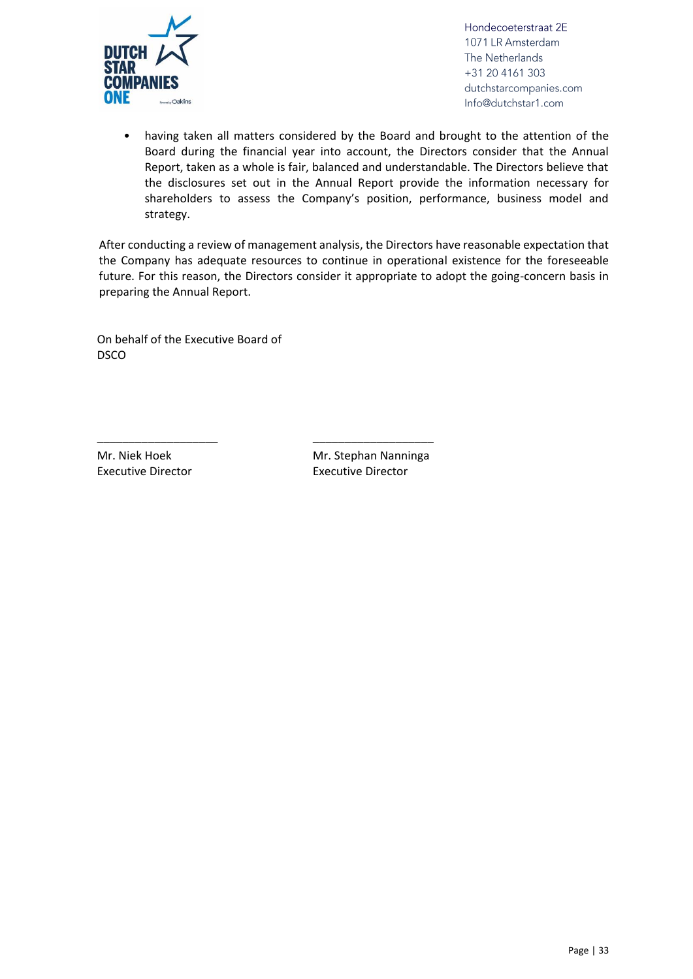

• having taken all matters considered by the Board and brought to the attention of the Board during the financial year into account, the Directors consider that the Annual Report, taken as a whole is fair, balanced and understandable. The Directors believe that the disclosures set out in the Annual Report provide the information necessary for shareholders to assess the Company's position, performance, business model and strategy.

After conducting a review of management analysis, the Directors have reasonable expectation that the Company has adequate resources to continue in operational existence for the foreseeable future. For this reason, the Directors consider it appropriate to adopt the going-concern basis in preparing the Annual Report.

On behalf of the Executive Board of DSCO

\_\_\_\_\_\_\_\_\_\_\_\_\_\_\_\_\_\_\_ \_\_\_\_\_\_\_\_\_\_\_\_\_\_\_\_\_\_\_

Mr. Niek Hoek Executive Director Mr. Stephan Nanninga Executive Director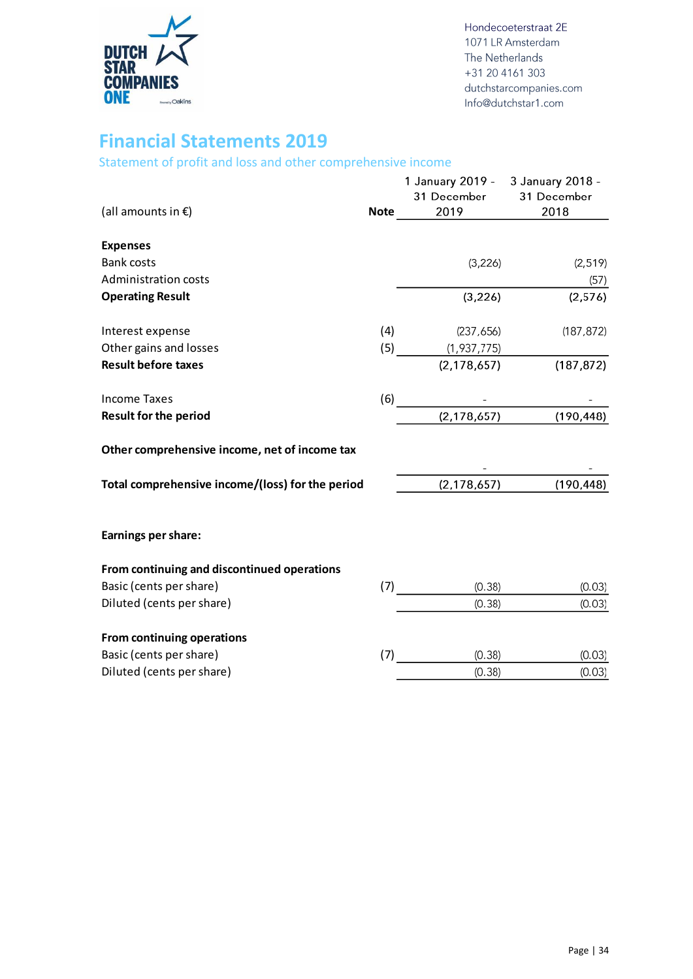

### <span id="page-33-0"></span>**Financial Statements 2019**

<span id="page-33-1"></span>Statement of profit and loss and other comprehensive income

<span id="page-33-2"></span>

| (all amounts in $E$ )                            |     | 1 January 2019 - 3 January 2018 -<br>31 December 31 December<br>$\frac{2019}{201}$<br><b>Note</b> | 2018                      |
|--------------------------------------------------|-----|---------------------------------------------------------------------------------------------------|---------------------------|
| <b>Expenses</b>                                  |     |                                                                                                   |                           |
| <b>Bank costs</b>                                |     | (3, 226)                                                                                          | (2, 519)                  |
| <b>Administration costs</b>                      |     |                                                                                                   | (57)                      |
| <b>Operating Result</b>                          |     | (3, 226)                                                                                          | (2,576)                   |
| Interest expense                                 | (4) | (237,656)                                                                                         | (187, 872)                |
| Other gains and losses                           |     | $(5)$ (1,937,775)                                                                                 |                           |
| <b>Result before taxes</b>                       |     | (2, 178, 657)                                                                                     | (187, 872)                |
| <b>Income Taxes</b>                              |     |                                                                                                   |                           |
| <b>Result for the period</b>                     |     | (6) $\frac{1}{(2,178,657)}$ (190,448)                                                             |                           |
| Other comprehensive income, net of income tax    |     |                                                                                                   |                           |
| Total comprehensive income/(loss) for the period |     |                                                                                                   | $(2, 178, 657)$ (190,448) |
| <b>Earnings per share:</b>                       |     |                                                                                                   |                           |
| From continuing and discontinued operations      |     |                                                                                                   |                           |
| Basic (cents per share)                          |     | (0.38)<br>(7)                                                                                     | (0.03)                    |
| Diluted (cents per share)                        |     | (0.38)                                                                                            | (0.03)                    |
| From continuing operations                       |     |                                                                                                   |                           |
| Basic (cents per share)                          |     | (0.38)<br>(7)                                                                                     | (0.03)                    |
| Diluted (cents per share)                        |     | (0.38)                                                                                            | (0.03)                    |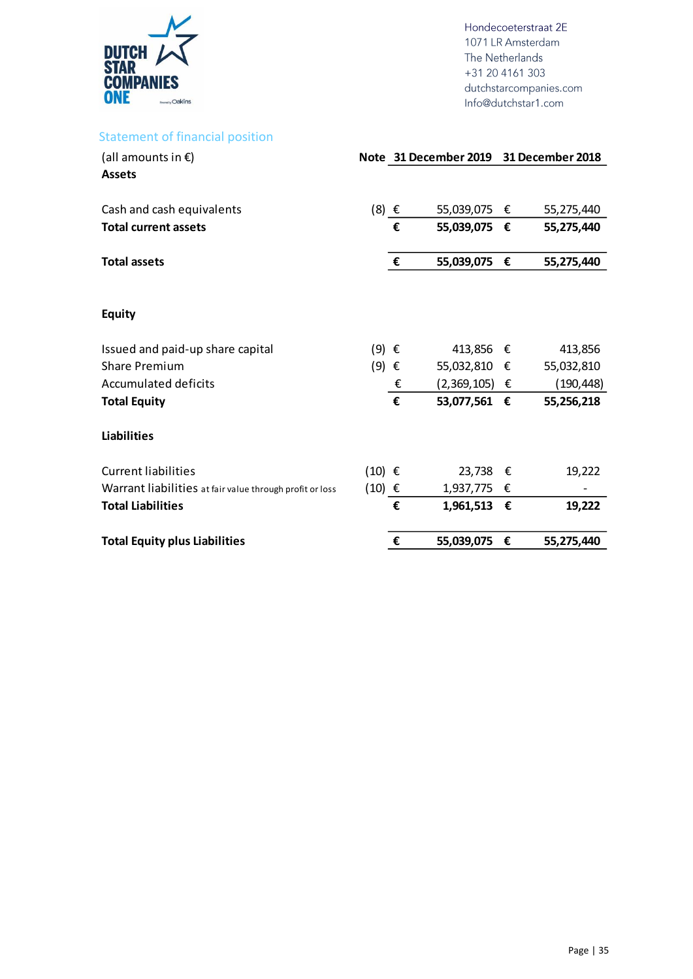

### Statement of financial position

| (all amounts in $\epsilon$ )                             |                   |   | Note 31 December 2019 31 December 2018 |   |            |
|----------------------------------------------------------|-------------------|---|----------------------------------------|---|------------|
| <b>Assets</b>                                            |                   |   |                                        |   |            |
| Cash and cash equivalents                                | $(8) \in$         |   | 55,039,075 €                           |   | 55,275,440 |
| <b>Total current assets</b>                              |                   | € | 55,039,075 €                           |   | 55,275,440 |
| <b>Total assets</b>                                      |                   | € | 55,039,075                             | € | 55,275,440 |
| <b>Equity</b>                                            |                   |   |                                        |   |            |
| Issued and paid-up share capital                         | $(9) \in$         |   | 413,856                                | € | 413,856    |
| <b>Share Premium</b>                                     | $(9)$ $\epsilon$  |   | 55,032,810 €                           |   | 55,032,810 |
| Accumulated deficits                                     |                   | € | $(2,369,105)$ €                        |   | (190, 448) |
| <b>Total Equity</b>                                      |                   | € | 53,077,561 €                           |   | 55,256,218 |
| <b>Liabilities</b>                                       |                   |   |                                        |   |            |
| <b>Current liabilities</b>                               | $(10)$ $\epsilon$ |   | 23,738                                 | € | 19,222     |
| Warrant liabilities at fair value through profit or loss | $(10)$ €          |   | 1,937,775 €                            |   |            |
| <b>Total Liabilities</b>                                 |                   | € | 1,961,513                              | € | 19,222     |
| <b>Total Equity plus Liabilities</b>                     |                   | € | 55,039,075                             | € | 55,275,440 |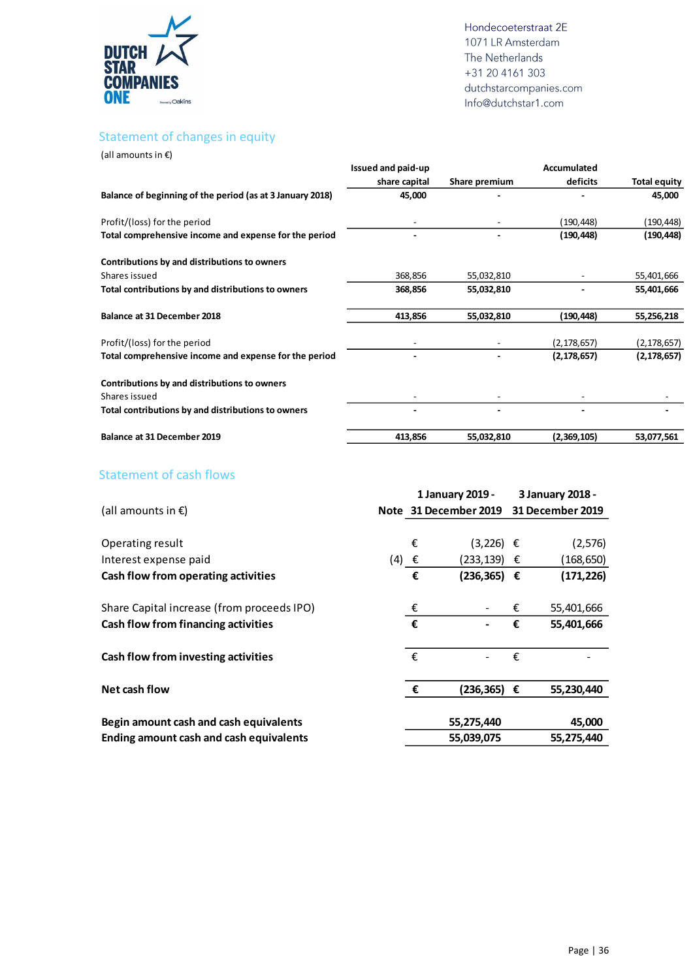

#### <span id="page-35-0"></span>Statement of changes in equity

(all amounts in €)

|                                                           | Issued and paid-up |               | Accumulated   |                     |
|-----------------------------------------------------------|--------------------|---------------|---------------|---------------------|
|                                                           | share capital      | Share premium | deficits      | <b>Total equity</b> |
| Balance of beginning of the period (as at 3 January 2018) | 45,000             |               |               | 45,000              |
| Profit/(loss) for the period                              |                    |               | (190, 448)    | (190,448)           |
| Total comprehensive income and expense for the period     |                    |               | (190, 448)    | (190,448)           |
| Contributions by and distributions to owners              |                    |               |               |                     |
| Shares issued                                             | 368,856            | 55,032,810    |               | 55,401,666          |
| Total contributions by and distributions to owners        | 368,856            | 55,032,810    |               | 55,401,666          |
| <b>Balance at 31 December 2018</b>                        | 413,856            | 55,032,810    | (190,448)     | 55,256,218          |
| Profit/(loss) for the period                              |                    |               | (2, 178, 657) | (2, 178, 657)       |
| Total comprehensive income and expense for the period     |                    |               | (2, 178, 657) | (2, 178, 657)       |
| Contributions by and distributions to owners              |                    |               |               |                     |
| Shares issued                                             |                    |               |               |                     |
| Total contributions by and distributions to owners        |                    |               |               |                     |
| <b>Balance at 31 December 2019</b>                        | 413,856            | 55,032,810    | (2,369,105)   | 53,077,561          |

#### <span id="page-35-1"></span>Statement of cash flows

|                                                |           |   | 1 January 2019 -      |   | 3 January 2018 -        |
|------------------------------------------------|-----------|---|-----------------------|---|-------------------------|
| (all amounts in $\epsilon$ )                   |           |   | Note 31 December 2019 |   | <b>31 December 2019</b> |
|                                                |           |   |                       |   |                         |
| Operating result                               |           | € | $(3,226) \in$         |   | (2, 576)                |
| Interest expense paid                          | $(4) \in$ |   | (233,139) €           |   | (168, 650)              |
| Cash flow from operating activities            |           | € | $(236, 365)$ €        |   | (171, 226)              |
| Share Capital increase (from proceeds IPO)     |           | € |                       | € | 55,401,666              |
| Cash flow from financing activities            |           | € |                       | € | 55,401,666              |
| Cash flow from investing activities            |           | € |                       | € |                         |
| Net cash flow                                  |           | € | $(236, 365) \in$      |   | 55,230,440              |
| Begin amount cash and cash equivalents         |           |   | 55,275,440            |   | 45,000                  |
| <b>Ending amount cash and cash equivalents</b> |           |   | 55,039,075            |   | 55,275,440              |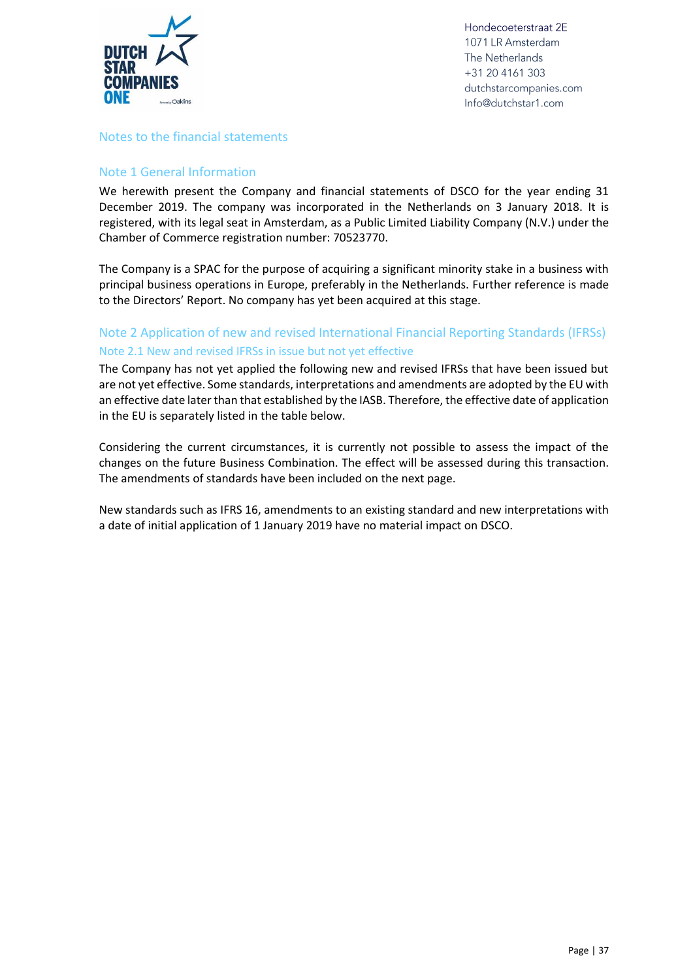

#### <span id="page-36-0"></span>Notes to the financial statements

#### Note 1 General Information

We herewith present the Company and financial statements of DSCO for the year ending 31 December 2019. The company was incorporated in the Netherlands on 3 January 2018. It is registered, with its legal seat in Amsterdam, as a Public Limited Liability Company (N.V.) under the Chamber of Commerce registration number: 70523770.

The Company is a SPAC for the purpose of acquiring a significant minority stake in a business with principal business operations in Europe, preferably in the Netherlands. Further reference is made to the Directors' Report. No company has yet been acquired at this stage.

#### Note 2 Application of new and revised International Financial Reporting Standards (IFRSs) Note 2.1 New and revised IFRSs in issue but not yet effective

The Company has not yet applied the following new and revised IFRSs that have been issued but are not yet effective. Some standards, interpretations and amendments are adopted by the EU with an effective date later than that established by the IASB. Therefore, the effective date of application in the EU is separately listed in the table below.

Considering the current circumstances, it is currently not possible to assess the impact of the changes on the future Business Combination. The effect will be assessed during this transaction. The amendments of standards have been included on the next page.

New standards such as IFRS 16, amendments to an existing standard and new interpretations with a date of initial application of 1 January 2019 have no material impact on DSCO.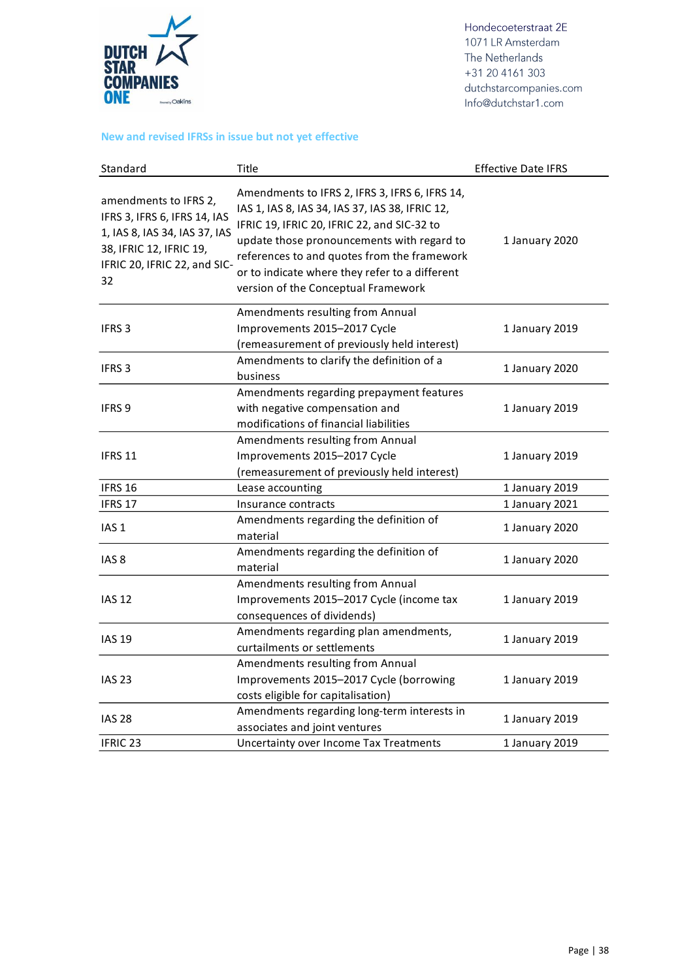

#### **New and revised IFRSs in issue but not yet effective**

| Standard                                                                                                                                                | Title                                                                                                                                                                                                                                                                                                                                  | <b>Effective Date IFRS</b> |
|---------------------------------------------------------------------------------------------------------------------------------------------------------|----------------------------------------------------------------------------------------------------------------------------------------------------------------------------------------------------------------------------------------------------------------------------------------------------------------------------------------|----------------------------|
| amendments to IFRS 2,<br>IFRS 3, IFRS 6, IFRS 14, IAS<br>1, IAS 8, IAS 34, IAS 37, IAS<br>38, IFRIC 12, IFRIC 19,<br>IFRIC 20, IFRIC 22, and SIC-<br>32 | Amendments to IFRS 2, IFRS 3, IFRS 6, IFRS 14,<br>IAS 1, IAS 8, IAS 34, IAS 37, IAS 38, IFRIC 12,<br>IFRIC 19, IFRIC 20, IFRIC 22, and SIC-32 to<br>update those pronouncements with regard to<br>references to and quotes from the framework<br>or to indicate where they refer to a different<br>version of the Conceptual Framework | 1 January 2020             |
| <b>IFRS 3</b>                                                                                                                                           | Amendments resulting from Annual<br>Improvements 2015-2017 Cycle<br>(remeasurement of previously held interest)                                                                                                                                                                                                                        | 1 January 2019             |
| IFRS <sub>3</sub>                                                                                                                                       | Amendments to clarify the definition of a<br>business                                                                                                                                                                                                                                                                                  | 1 January 2020             |
| IFRS <sub>9</sub>                                                                                                                                       | Amendments regarding prepayment features<br>with negative compensation and<br>modifications of financial liabilities                                                                                                                                                                                                                   | 1 January 2019             |
| <b>IFRS 11</b>                                                                                                                                          | Amendments resulting from Annual<br>Improvements 2015-2017 Cycle<br>(remeasurement of previously held interest)                                                                                                                                                                                                                        | 1 January 2019             |
| IFRS 16                                                                                                                                                 | Lease accounting                                                                                                                                                                                                                                                                                                                       | 1 January 2019             |
| IFRS 17                                                                                                                                                 | Insurance contracts                                                                                                                                                                                                                                                                                                                    | 1 January 2021             |
| IAS <sub>1</sub>                                                                                                                                        | Amendments regarding the definition of<br>material                                                                                                                                                                                                                                                                                     | 1 January 2020             |
| IAS <sub>8</sub>                                                                                                                                        | Amendments regarding the definition of<br>material                                                                                                                                                                                                                                                                                     | 1 January 2020             |
| <b>IAS 12</b>                                                                                                                                           | Amendments resulting from Annual<br>Improvements 2015-2017 Cycle (income tax<br>consequences of dividends)                                                                                                                                                                                                                             | 1 January 2019             |
| <b>IAS 19</b>                                                                                                                                           | Amendments regarding plan amendments,<br>curtailments or settlements                                                                                                                                                                                                                                                                   | 1 January 2019             |
| <b>IAS 23</b>                                                                                                                                           | Amendments resulting from Annual<br>Improvements 2015-2017 Cycle (borrowing<br>costs eligible for capitalisation)                                                                                                                                                                                                                      | 1 January 2019             |
| <b>IAS 28</b>                                                                                                                                           | Amendments regarding long-term interests in<br>associates and joint ventures                                                                                                                                                                                                                                                           | 1 January 2019             |
| IFRIC <sub>23</sub>                                                                                                                                     | Uncertainty over Income Tax Treatments                                                                                                                                                                                                                                                                                                 | 1 January 2019             |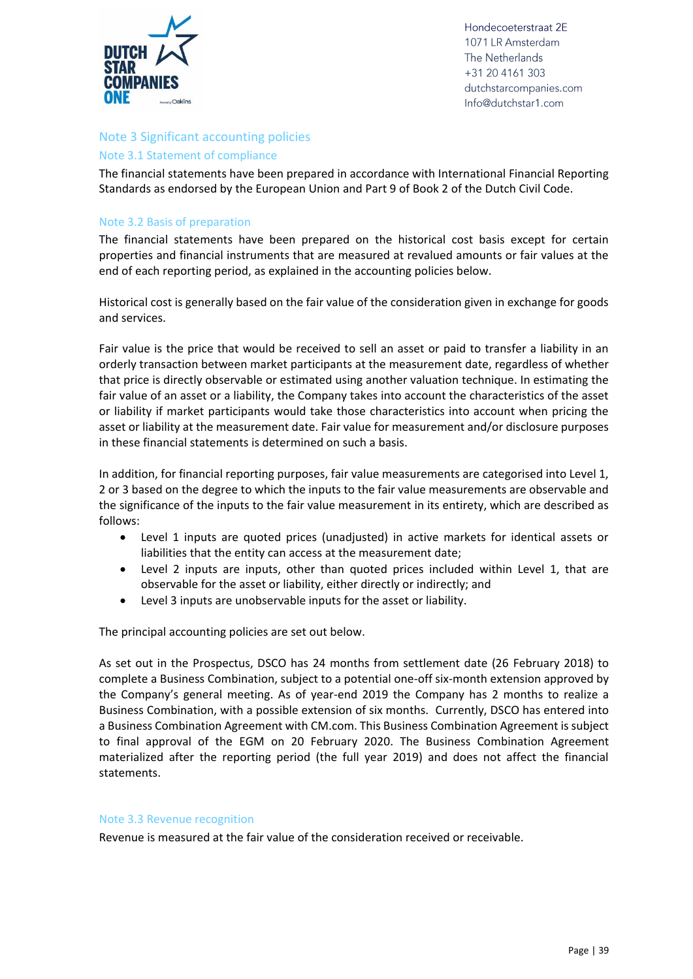

#### Note 3 Significant accounting policies

#### Note 3.1 Statement of compliance

The financial statements have been prepared in accordance with International Financial Reporting Standards as endorsed by the European Union and Part 9 of Book 2 of the Dutch Civil Code.

#### Note 3.2 Basis of preparation

The financial statements have been prepared on the historical cost basis except for certain properties and financial instruments that are measured at revalued amounts or fair values at the end of each reporting period, as explained in the accounting policies below.

Historical cost is generally based on the fair value of the consideration given in exchange for goods and services.

Fair value is the price that would be received to sell an asset or paid to transfer a liability in an orderly transaction between market participants at the measurement date, regardless of whether that price is directly observable or estimated using another valuation technique. In estimating the fair value of an asset or a liability, the Company takes into account the characteristics of the asset or liability if market participants would take those characteristics into account when pricing the asset or liability at the measurement date. Fair value for measurement and/or disclosure purposes in these financial statements is determined on such a basis.

In addition, for financial reporting purposes, fair value measurements are categorised into Level 1, 2 or 3 based on the degree to which the inputs to the fair value measurements are observable and the significance of the inputs to the fair value measurement in its entirety, which are described as follows:

- Level 1 inputs are quoted prices (unadjusted) in active markets for identical assets or liabilities that the entity can access at the measurement date;
- Level 2 inputs are inputs, other than quoted prices included within Level 1, that are observable for the asset or liability, either directly or indirectly; and
- Level 3 inputs are unobservable inputs for the asset or liability.

The principal accounting policies are set out below.

As set out in the Prospectus, DSCO has 24 months from settlement date (26 February 2018) to complete a Business Combination, subject to a potential one-off six-month extension approved by the Company's general meeting. As of year-end 2019 the Company has 2 months to realize a Business Combination, with a possible extension of six months. Currently, DSCO has entered into a Business Combination Agreement with CM.com. This Business Combination Agreement is subject to final approval of the EGM on 20 February 2020. The Business Combination Agreement materialized after the reporting period (the full year 2019) and does not affect the financial statements.

#### Note 3.3 Revenue recognition

Revenue is measured at the fair value of the consideration received or receivable.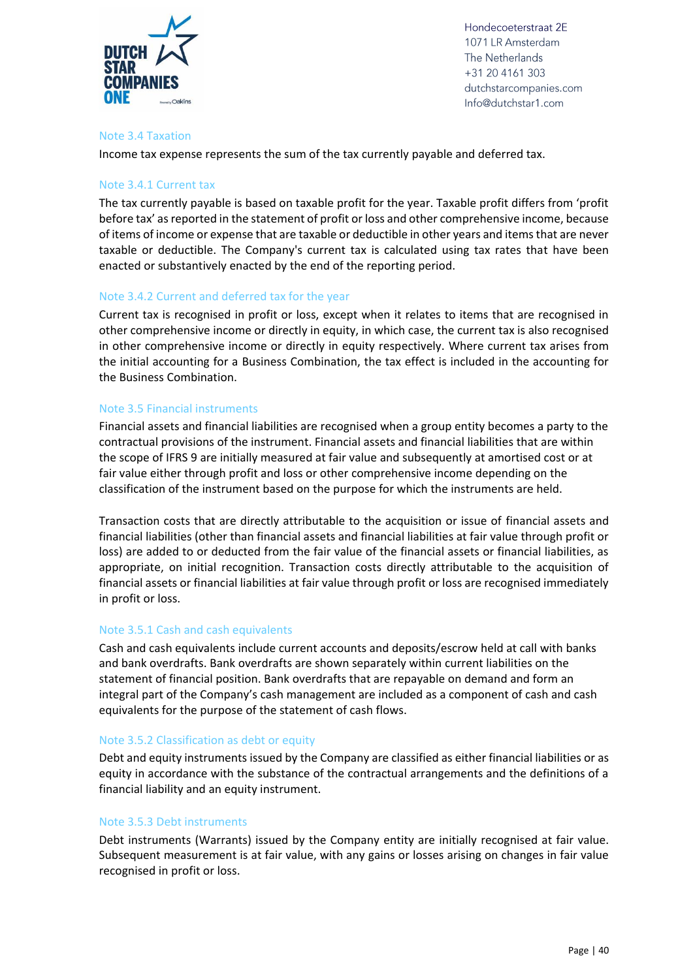

#### Note 3.4 Taxation

Income tax expense represents the sum of the tax currently payable and deferred tax.

#### Note 3.4.1 Current tax

The tax currently payable is based on taxable profit for the year. Taxable profit differs from 'profit before tax' as reported in the statement of profit or loss and other comprehensive income, because of items of income or expense that are taxable or deductible in other years and items that are never taxable or deductible. The Company's current tax is calculated using tax rates that have been enacted or substantively enacted by the end of the reporting period.

#### Note 3.4.2 Current and deferred tax for the year

Current tax is recognised in profit or loss, except when it relates to items that are recognised in other comprehensive income or directly in equity, in which case, the current tax is also recognised in other comprehensive income or directly in equity respectively. Where current tax arises from the initial accounting for a Business Combination, the tax effect is included in the accounting for the Business Combination.

#### Note 3.5 Financial instruments

Financial assets and financial liabilities are recognised when a group entity becomes a party to the contractual provisions of the instrument. Financial assets and financial liabilities that are within the scope of IFRS 9 are initially measured at fair value and subsequently at amortised cost or at fair value either through profit and loss or other comprehensive income depending on the classification of the instrument based on the purpose for which the instruments are held.

Transaction costs that are directly attributable to the acquisition or issue of financial assets and financial liabilities (other than financial assets and financial liabilities at fair value through profit or loss) are added to or deducted from the fair value of the financial assets or financial liabilities, as appropriate, on initial recognition. Transaction costs directly attributable to the acquisition of financial assets or financial liabilities at fair value through profit or loss are recognised immediately in profit or loss.

#### Note 3.5.1 Cash and cash equivalents

Cash and cash equivalents include current accounts and deposits/escrow held at call with banks and bank overdrafts. Bank overdrafts are shown separately within current liabilities on the statement of financial position. Bank overdrafts that are repayable on demand and form an integral part of the Company's cash management are included as a component of cash and cash equivalents for the purpose of the statement of cash flows.

#### Note 3.5.2 Classification as debt or equity

Debt and equity instruments issued by the Company are classified as either financial liabilities or as equity in accordance with the substance of the contractual arrangements and the definitions of a financial liability and an equity instrument.

#### Note 3.5.3 Debt instruments

Debt instruments (Warrants) issued by the Company entity are initially recognised at fair value. Subsequent measurement is at fair value, with any gains or losses arising on changes in fair value recognised in profit or loss.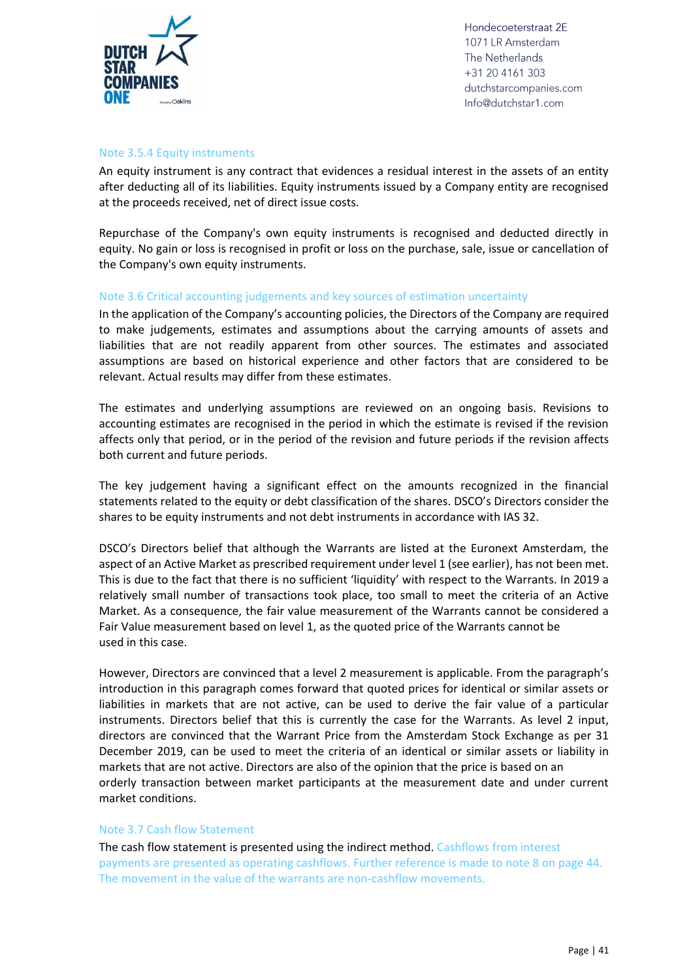

#### Note 3.5.4 Equity instruments

An equity instrument is any contract that evidences a residual interest in the assets of an entity after deducting all of its liabilities. Equity instruments issued by a Company entity are recognised at the proceeds received, net of direct issue costs.

Repurchase of the Company's own equity instruments is recognised and deducted directly in equity. No gain or loss is recognised in profit or loss on the purchase, sale, issue or cancellation of the Company's own equity instruments.

#### Note 3.6 Critical accounting judgements and key sources of estimation uncertainty

In the application of the Company's accounting policies, the Directors of the Company are required to make judgements, estimates and assumptions about the carrying amounts of assets and liabilities that are not readily apparent from other sources. The estimates and associated assumptions are based on historical experience and other factors that are considered to be relevant. Actual results may differ from these estimates.

The estimates and underlying assumptions are reviewed on an ongoing basis. Revisions to accounting estimates are recognised in the period in which the estimate is revised if the revision affects only that period, or in the period of the revision and future periods if the revision affects both current and future periods.

The key judgement having a significant effect on the amounts recognized in the financial statements related to the equity or debt classification of the shares. DSCO's Directors consider the shares to be equity instruments and not debt instruments in accordance with IAS 32.

DSCO's Directors belief that although the Warrants are listed at the Euronext Amsterdam, the aspect of an Active Market as prescribed requirement under level 1 (see earlier), has not been met. This is due to the fact that there is no sufficient 'liquidity' with respect to the Warrants. In 2019 a relatively small number of transactions took place, too small to meet the criteria of an Active Market. As a consequence, the fair value measurement of the Warrants cannot be considered a Fair Value measurement based on level 1, as the quoted price of the Warrants cannot be used in this case.

However, Directors are convinced that a level 2 measurement is applicable. From the paragraph's introduction in this paragraph comes forward that quoted prices for identical or similar assets or liabilities in markets that are not active, can be used to derive the fair value of a particular instruments. Directors belief that this is currently the case for the Warrants. As level 2 input, directors are convinced that the Warrant Price from the Amsterdam Stock Exchange as per 31 December 2019, can be used to meet the criteria of an identical or similar assets or liability in markets that are not active. Directors are also of the opinion that the price is based on an orderly transaction between market participants at the measurement date and under current market conditions.

#### Note 3.7 Cash flow Statement

The cash flow statement is presented using the indirect method. Cashflows from interest payments are presented as operating cashflows. Further reference is made to note 8 on page 44. The movement in the value of the warrants are non-cashflow movements.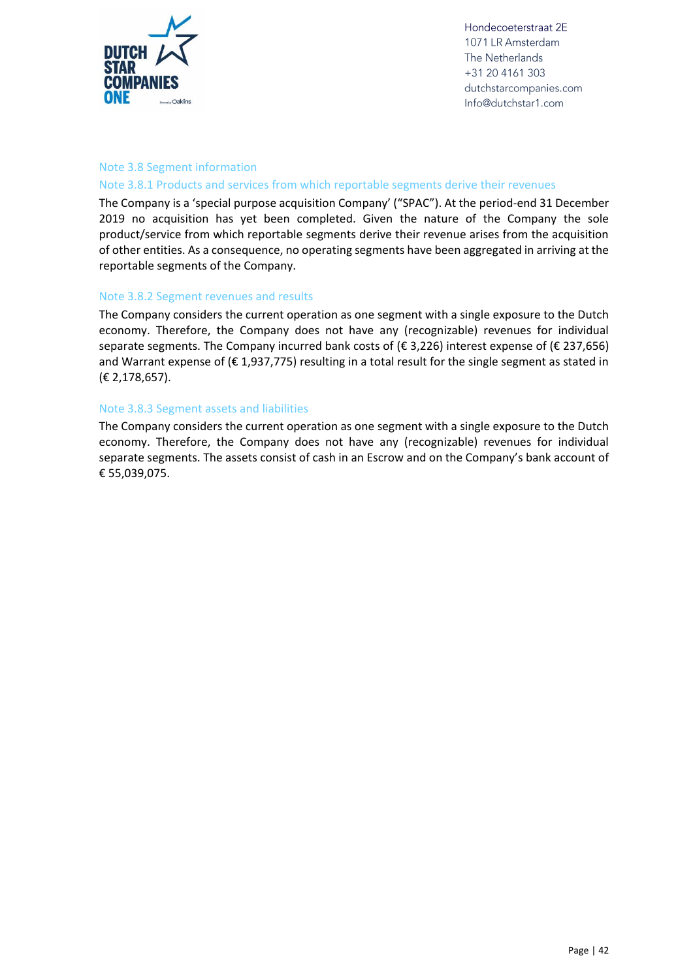

#### Note 3.8 Segment information

#### Note 3.8.1 Products and services from which reportable segments derive their revenues

The Company is a 'special purpose acquisition Company' ("SPAC"). At the period-end 31 December 2019 no acquisition has yet been completed. Given the nature of the Company the sole product/service from which reportable segments derive their revenue arises from the acquisition of other entities. As a consequence, no operating segments have been aggregated in arriving at the reportable segments of the Company.

#### Note 3.8.2 Segment revenues and results

The Company considers the current operation as one segment with a single exposure to the Dutch economy. Therefore, the Company does not have any (recognizable) revenues for individual separate segments. The Company incurred bank costs of (€ 3,226) interest expense of (€ 237,656) and Warrant expense of  $(E 1, 937, 775)$  resulting in a total result for the single segment as stated in (€ 2,178,657).

#### Note 3.8.3 Segment assets and liabilities

The Company considers the current operation as one segment with a single exposure to the Dutch economy. Therefore, the Company does not have any (recognizable) revenues for individual separate segments. The assets consist of cash in an Escrow and on the Company's bank account of € 55,039,075.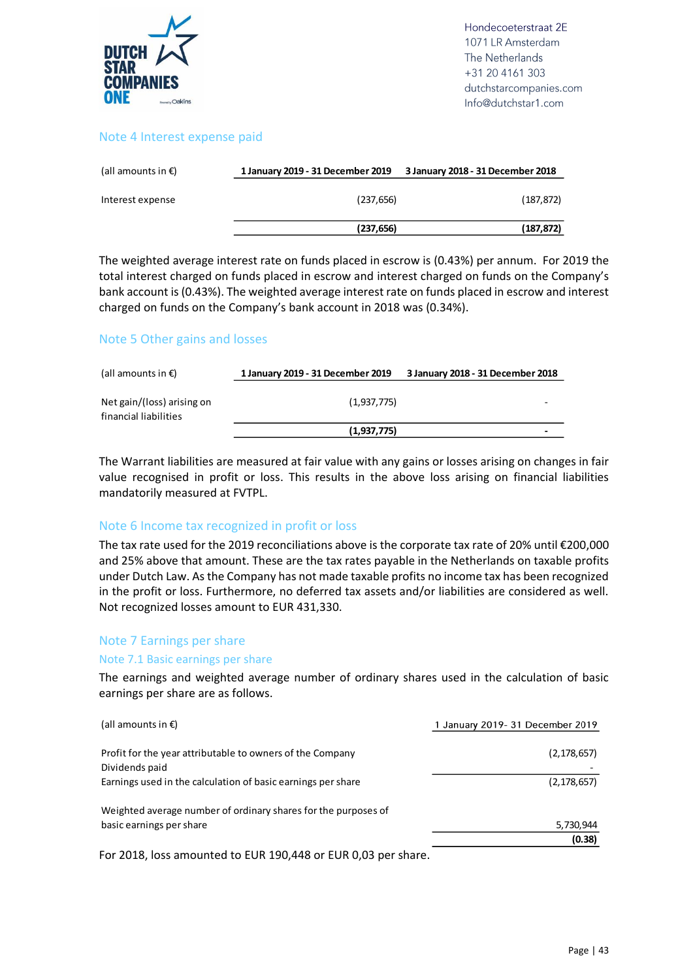

#### Note 4 Interest expense paid

| (all amounts in $\epsilon$ ) | 1 January 2019 - 31 December 2019 | 3 January 2018 - 31 December 2018 |
|------------------------------|-----------------------------------|-----------------------------------|
| Interest expense             | (237, 656)                        | (187.872)                         |
|                              | (237, 656)                        | (187, 872)                        |

The weighted average interest rate on funds placed in escrow is (0.43%) per annum. For 2019 the total interest charged on funds placed in escrow and interest charged on funds on the Company's bank account is (0.43%). The weighted average interest rate on funds placed in escrow and interest charged on funds on the Company's bank account in 2018 was (0.34%).

#### Note 5 Other gains and losses

| (all amounts in $\epsilon$ )                        | 1 January 2019 - 31 December 2019 | 3 January 2018 - 31 December 2018 |
|-----------------------------------------------------|-----------------------------------|-----------------------------------|
| Net gain/(loss) arising on<br>financial liabilities | (1,937,775)                       |                                   |
|                                                     | (1,937,775)                       |                                   |

The Warrant liabilities are measured at fair value with any gains or losses arising on changes in fair value recognised in profit or loss. This results in the above loss arising on financial liabilities mandatorily measured at FVTPL.

#### Note 6 Income tax recognized in profit or loss

The tax rate used for the 2019 reconciliations above is the corporate tax rate of 20% until €200,000 and 25% above that amount. These are the tax rates payable in the Netherlands on taxable profits under Dutch Law. As the Company has not made taxable profits no income tax has been recognized in the profit or loss. Furthermore, no deferred tax assets and/or liabilities are considered as well. Not recognized losses amount to EUR 431,330.

#### Note 7 Earnings per share

#### Note 7.1 Basic earnings per share

The earnings and weighted average number of ordinary shares used in the calculation of basic earnings per share are as follows.

| (all amounts in $\epsilon$ )                                                | 1 January 2019- 31 December 2019 |
|-----------------------------------------------------------------------------|----------------------------------|
| Profit for the year attributable to owners of the Company<br>Dividends paid | (2, 178, 657)                    |
| Earnings used in the calculation of basic earnings per share                | (2, 178, 657)                    |
| Weighted average number of ordinary shares for the purposes of              |                                  |
| basic earnings per share                                                    | 5,730,944                        |
|                                                                             | (0.38)                           |

For 2018, loss amounted to EUR 190,448 or EUR 0,03 per share.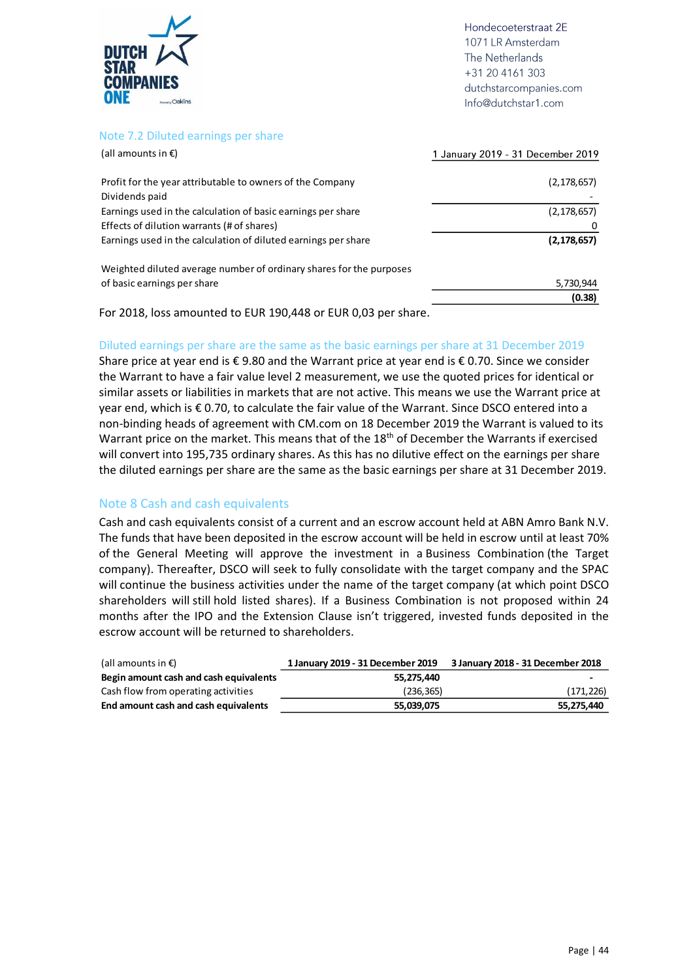

#### Note 7.2 Diluted earnings per share

| (all amounts in $\epsilon$ )                                        | 1 January 2019 - 31 December 2019 |
|---------------------------------------------------------------------|-----------------------------------|
| Profit for the year attributable to owners of the Company           | (2, 178, 657)                     |
| Dividends paid                                                      |                                   |
| Earnings used in the calculation of basic earnings per share        | (2, 178, 657)                     |
| Effects of dilution warrants (# of shares)                          | 0                                 |
| Earnings used in the calculation of diluted earnings per share      | (2, 178, 657)                     |
| Weighted diluted average number of ordinary shares for the purposes |                                   |
| of basic earnings per share                                         | 5,730,944                         |
|                                                                     | (0.38)                            |

For 2018, loss amounted to EUR 190,448 or EUR 0,03 per share.

#### Diluted earnings per share are the same as the basic earnings per share at 31 December 2019

Share price at year end is € 9.80 and the Warrant price at year end is € 0.70. Since we consider the Warrant to have a fair value level 2 measurement, we use the quoted prices for identical or similar assets or liabilities in markets that are not active. This means we use the Warrant price at year end, which is € 0.70, to calculate the fair value of the Warrant. Since DSCO entered into a non-binding heads of agreement with CM.com on 18 December 2019 the Warrant is valued to its Warrant price on the market. This means that of the 18<sup>th</sup> of December the Warrants if exercised will convert into 195,735 ordinary shares. As this has no dilutive effect on the earnings per share the diluted earnings per share are the same as the basic earnings per share at 31 December 2019.

#### Note 8 Cash and cash equivalents

Cash and cash equivalents consist of a current and an escrow account held at ABN Amro Bank N.V. The funds that have been deposited in the escrow account will be held in escrow until at least 70% of the General Meeting will approve the investment in a Business Combination (the Target company). Thereafter, DSCO will seek to fully consolidate with the target company and the SPAC will continue the business activities under the name of the target company (at which point DSCO shareholders will still hold listed shares). If a Business Combination is not proposed within 24 months after the IPO and the Extension Clause isn't triggered, invested funds deposited in the escrow account will be returned to shareholders.

| (all amounts in $\epsilon$ )           | 1 January 2019 - 31 December 2019 | 3 January 2018 - 31 December 2018 |
|----------------------------------------|-----------------------------------|-----------------------------------|
| Begin amount cash and cash equivalents | 55.275.440                        |                                   |
| Cash flow from operating activities    | (236, 365)                        | (171, 226)                        |
| End amount cash and cash equivalents   | 55,039,075                        | 55,275,440                        |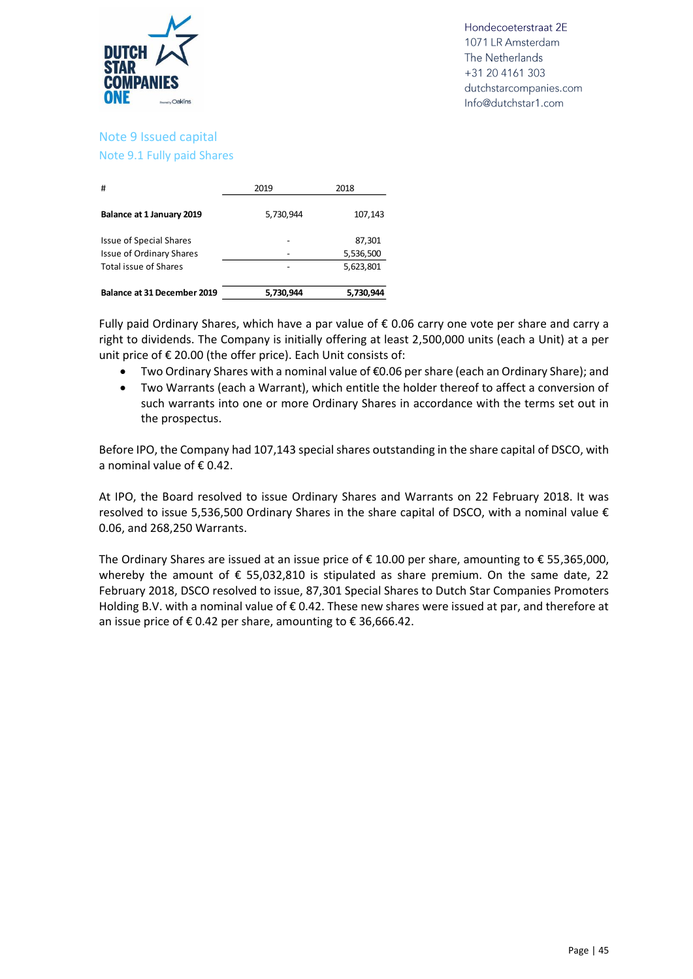

#### Note 9 Issued capital Note 9.1 Fully paid Shares

| #                               | 2019      | 2018      |
|---------------------------------|-----------|-----------|
| Balance at 1 January 2019       | 5,730,944 | 107,143   |
| <b>Issue of Special Shares</b>  |           | 87,301    |
| <b>Issue of Ordinary Shares</b> |           | 5,536,500 |
| Total issue of Shares           |           | 5,623,801 |
| Balance at 31 December 2019     | 5,730,944 | 5,730,944 |

Fully paid Ordinary Shares, which have a par value of  $\epsilon$  0.06 carry one vote per share and carry a right to dividends. The Company is initially offering at least 2,500,000 units (each a Unit) at a per unit price of € 20.00 (the offer price). Each Unit consists of:

- Two Ordinary Shares with a nominal value of €0.06 per share (each an Ordinary Share); and
- Two Warrants (each a Warrant), which entitle the holder thereof to affect a conversion of such warrants into one or more Ordinary Shares in accordance with the terms set out in the prospectus.

Before IPO, the Company had 107,143 special shares outstanding in the share capital of DSCO, with a nominal value of € 0.42.

At IPO, the Board resolved to issue Ordinary Shares and Warrants on 22 February 2018. It was resolved to issue 5,536,500 Ordinary Shares in the share capital of DSCO, with a nominal value  $\epsilon$ 0.06, and 268,250 Warrants.

The Ordinary Shares are issued at an issue price of  $\epsilon$  10.00 per share, amounting to  $\epsilon$  55,365,000, whereby the amount of  $\epsilon$  55,032,810 is stipulated as share premium. On the same date, 22 February 2018, DSCO resolved to issue, 87,301 Special Shares to Dutch Star Companies Promoters Holding B.V. with a nominal value of € 0.42. These new shares were issued at par, and therefore at an issue price of  $\epsilon$  0.42 per share, amounting to  $\epsilon$  36,666.42.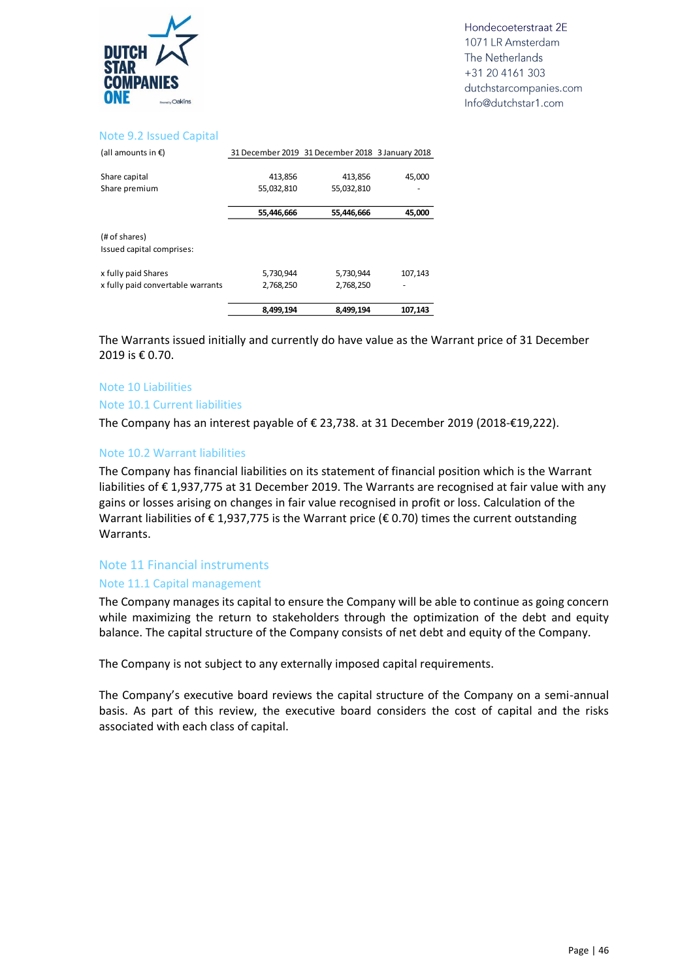

#### Note 9.2 Issued Capital

| (all amounts in $\epsilon$ )      |            | 31 December 2019 31 December 2018 3 January 2018 |         |
|-----------------------------------|------------|--------------------------------------------------|---------|
|                                   |            |                                                  |         |
| Share capital                     | 413,856    | 413,856                                          | 45,000  |
| Share premium                     | 55,032,810 | 55,032,810                                       |         |
|                                   |            |                                                  |         |
|                                   | 55,446,666 | 55,446,666                                       | 45,000  |
|                                   |            |                                                  |         |
| (# of shares)                     |            |                                                  |         |
| Issued capital comprises:         |            |                                                  |         |
|                                   |            |                                                  |         |
| x fully paid Shares               | 5,730,944  | 5,730,944                                        | 107,143 |
| x fully paid convertable warrants | 2,768,250  | 2,768,250                                        |         |
|                                   |            |                                                  |         |
|                                   | 8,499,194  | 8,499,194                                        | 107,143 |

The Warrants issued initially and currently do have value as the Warrant price of 31 December 2019 is € 0.70.

#### Note 10 Liabilities

#### Note 10.1 Current liabilities

The Company has an interest payable of € 23,738. at 31 December 2019 (2018-€19,222).

#### Note 10.2 Warrant liabilities

The Company has financial liabilities on its statement of financial position which is the Warrant liabilities of € 1,937,775 at 31 December 2019. The Warrants are recognised at fair value with any gains or losses arising on changes in fair value recognised in profit or loss. Calculation of the Warrant liabilities of  $\epsilon$  1,937,775 is the Warrant price ( $\epsilon$  0.70) times the current outstanding Warrants.

#### Note 11 Financial instruments

#### Note 11.1 Capital management

The Company manages its capital to ensure the Company will be able to continue as going concern while maximizing the return to stakeholders through the optimization of the debt and equity balance. The capital structure of the Company consists of net debt and equity of the Company.

The Company is not subject to any externally imposed capital requirements.

The Company's executive board reviews the capital structure of the Company on a semi-annual basis. As part of this review, the executive board considers the cost of capital and the risks associated with each class of capital.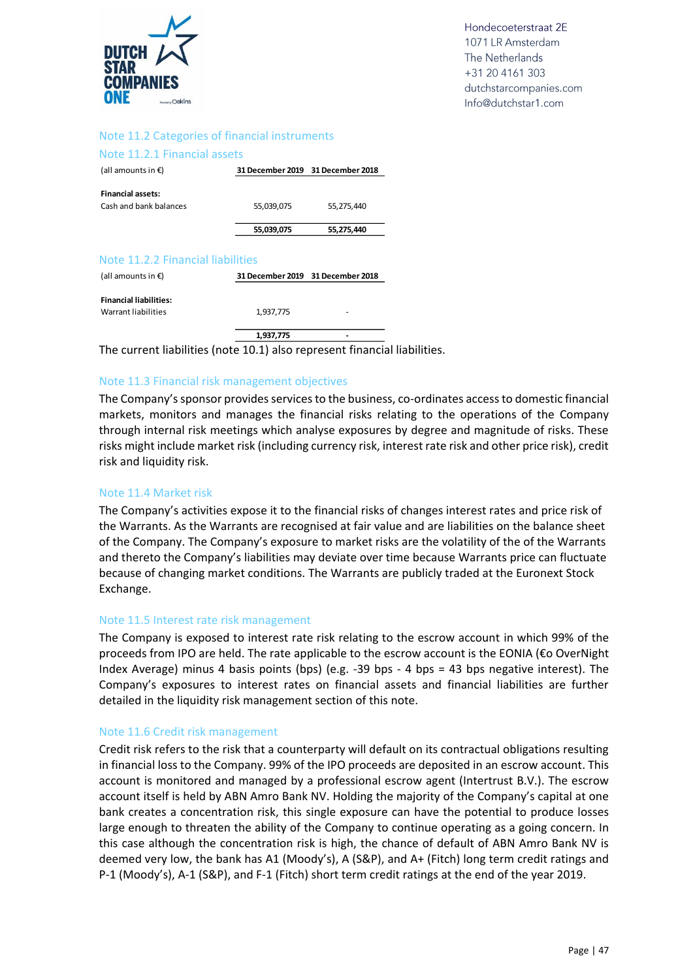

#### Note 11.2 Categories of financial instruments

#### Note 11.2.1 Financial assets

| (all amounts in $\epsilon$ )                       | 31 December 2019 31 December 2018 |            |
|----------------------------------------------------|-----------------------------------|------------|
| <b>Financial assets:</b><br>Cash and bank balances | 55,039,075                        | 55.275.440 |
|                                                    | 55,039,075                        | 55,275,440 |

#### Note 11.2.2 Financial liabilities

| (all amounts in $\epsilon$ )                         |           | 31 December 2019 31 December 2018 |
|------------------------------------------------------|-----------|-----------------------------------|
| <b>Financial liabilities:</b><br>Warrant liabilities | 1,937,775 | -                                 |
|                                                      | 1,937,775 | -                                 |

The current liabilities (note 10.1) also represent financial liabilities.

#### Note 11.3 Financial risk management objectives

The Company's sponsor provides services to the business, co-ordinates access to domestic financial markets, monitors and manages the financial risks relating to the operations of the Company through internal risk meetings which analyse exposures by degree and magnitude of risks. These risks might include market risk (including currency risk, interest rate risk and other price risk), credit risk and liquidity risk.

#### Note 11.4 Market risk

The Company's activities expose it to the financial risks of changes interest rates and price risk of the Warrants. As the Warrants are recognised at fair value and are liabilities on the balance sheet of the Company. The Company's exposure to market risks are the volatility of the of the Warrants and thereto the Company's liabilities may deviate over time because Warrants price can fluctuate because of changing market conditions. The Warrants are publicly traded at the Euronext Stock Exchange.

#### Note 11.5 Interest rate risk management

The Company is exposed to interest rate risk relating to the escrow account in which 99% of the proceeds from IPO are held. The rate applicable to the escrow account is the EONIA (€o OverNight Index Average) minus 4 basis points (bps) (e.g. -39 bps - 4 bps = 43 bps negative interest). The Company's exposures to interest rates on financial assets and financial liabilities are further detailed in the liquidity risk management section of this note.

#### Note 11.6 Credit risk management

Credit risk refers to the risk that a counterparty will default on its contractual obligations resulting in financial loss to the Company. 99% of the IPO proceeds are deposited in an escrow account. This account is monitored and managed by a professional escrow agent (Intertrust B.V.). The escrow account itself is held by ABN Amro Bank NV. Holding the majority of the Company's capital at one bank creates a concentration risk, this single exposure can have the potential to produce losses large enough to threaten the ability of the Company to continue operating as a going concern. In this case although the concentration risk is high, the chance of default of ABN Amro Bank NV is deemed very low, the bank has A1 (Moody's), A (S&P), and A+ (Fitch) long term credit ratings and P-1 (Moody's), A-1 (S&P), and F-1 (Fitch) short term credit ratings at the end of the year 2019.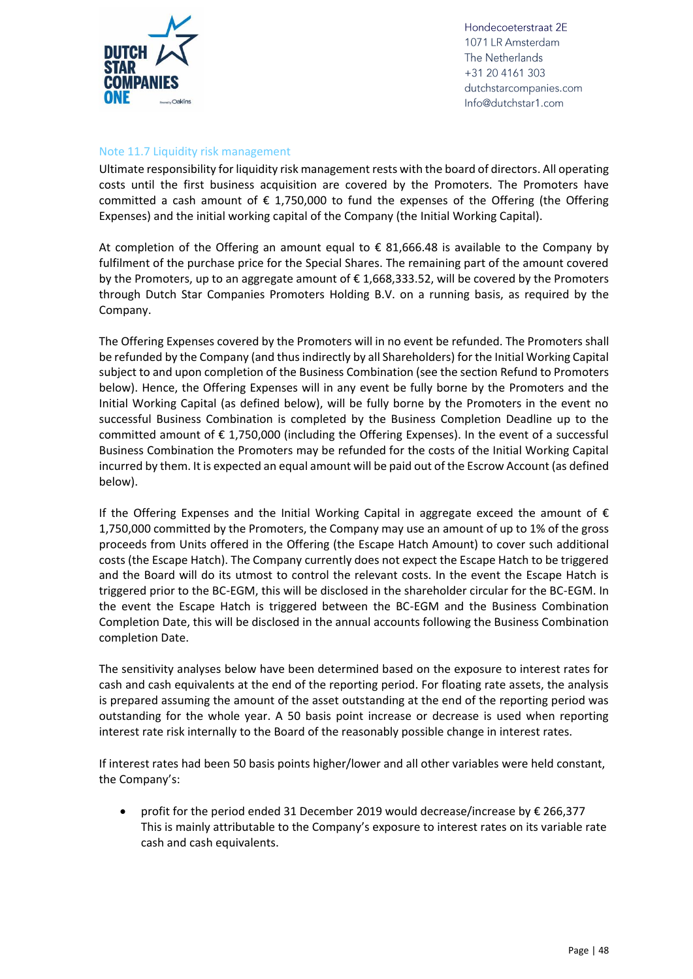

#### Note 11.7 Liquidity risk management

Ultimate responsibility for liquidity risk management rests with the board of directors. All operating costs until the first business acquisition are covered by the Promoters. The Promoters have committed a cash amount of  $\epsilon$  1,750,000 to fund the expenses of the Offering (the Offering Expenses) and the initial working capital of the Company (the Initial Working Capital).

At completion of the Offering an amount equal to  $\epsilon$  81,666.48 is available to the Company by fulfilment of the purchase price for the Special Shares. The remaining part of the amount covered by the Promoters, up to an aggregate amount of  $\epsilon$  1,668,333.52, will be covered by the Promoters through Dutch Star Companies Promoters Holding B.V. on a running basis, as required by the Company.

The Offering Expenses covered by the Promoters will in no event be refunded. The Promoters shall be refunded by the Company (and thus indirectly by all Shareholders) for the Initial Working Capital subject to and upon completion of the Business Combination (see the section Refund to Promoters below). Hence, the Offering Expenses will in any event be fully borne by the Promoters and the Initial Working Capital (as defined below), will be fully borne by the Promoters in the event no successful Business Combination is completed by the Business Completion Deadline up to the committed amount of € 1,750,000 (including the Offering Expenses). In the event of a successful Business Combination the Promoters may be refunded for the costs of the Initial Working Capital incurred by them. It is expected an equal amount will be paid out of the Escrow Account (as defined below).

If the Offering Expenses and the Initial Working Capital in aggregate exceed the amount of  $\epsilon$ 1,750,000 committed by the Promoters, the Company may use an amount of up to 1% of the gross proceeds from Units offered in the Offering (the Escape Hatch Amount) to cover such additional costs (the Escape Hatch). The Company currently does not expect the Escape Hatch to be triggered and the Board will do its utmost to control the relevant costs. In the event the Escape Hatch is triggered prior to the BC-EGM, this will be disclosed in the shareholder circular for the BC-EGM. In the event the Escape Hatch is triggered between the BC-EGM and the Business Combination Completion Date, this will be disclosed in the annual accounts following the Business Combination completion Date.

The sensitivity analyses below have been determined based on the exposure to interest rates for cash and cash equivalents at the end of the reporting period. For floating rate assets, the analysis is prepared assuming the amount of the asset outstanding at the end of the reporting period was outstanding for the whole year. A 50 basis point increase or decrease is used when reporting interest rate risk internally to the Board of the reasonably possible change in interest rates.

If interest rates had been 50 basis points higher/lower and all other variables were held constant, the Company's:

• profit for the period ended 31 December 2019 would decrease/increase by € 266,377 This is mainly attributable to the Company's exposure to interest rates on its variable rate cash and cash equivalents.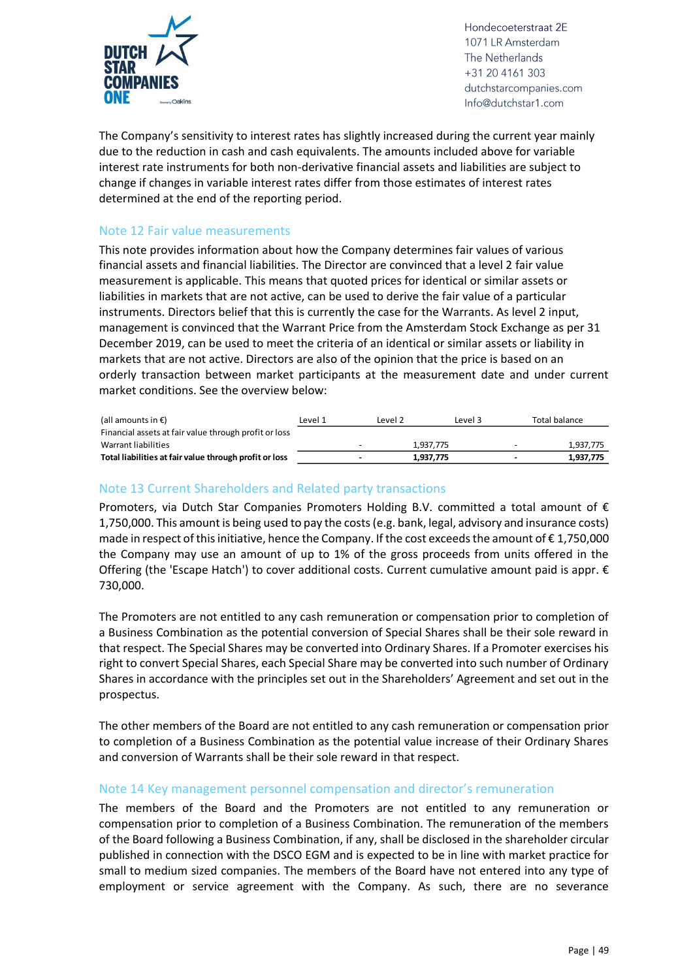

The Company's sensitivity to interest rates has slightly increased during the current year mainly due to the reduction in cash and cash equivalents. The amounts included above for variable interest rate instruments for both non-derivative financial assets and liabilities are subject to change if changes in variable interest rates differ from those estimates of interest rates determined at the end of the reporting period.

#### Note 12 Fair value measurements

This note provides information about how the Company determines fair values of various financial assets and financial liabilities. The Director are convinced that a level 2 fair value measurement is applicable. This means that quoted prices for identical or similar assets or liabilities in markets that are not active, can be used to derive the fair value of a particular instruments. Directors belief that this is currently the case for the Warrants. As level 2 input, management is convinced that the Warrant Price from the Amsterdam Stock Exchange as per 31 December 2019, can be used to meet the criteria of an identical or similar assets or liability in markets that are not active. Directors are also of the opinion that the price is based on an orderly transaction between market participants at the measurement date and under current market conditions. See the overview below:

| (all amounts in $\epsilon$ )                           | Level 1 | Level 2 | Level 3   |                          | Total balance |
|--------------------------------------------------------|---------|---------|-----------|--------------------------|---------------|
| Financial assets at fair value through profit or loss  |         |         |           |                          |               |
| Warrant liabilities                                    |         |         | 1.937.775 |                          | 1,937,775     |
| Total liabilities at fair value through profit or loss | $\sim$  |         | 1,937,775 | $\overline{\phantom{a}}$ | 1,937,775     |

#### Note 13 Current Shareholders and Related party transactions

Promoters, via Dutch Star Companies Promoters Holding B.V. committed a total amount of € 1,750,000. This amount is being used to pay the costs (e.g. bank, legal, advisory and insurance costs) made in respect of this initiative, hence the Company. If the cost exceeds the amount of  $\epsilon$  1,750,000 the Company may use an amount of up to 1% of the gross proceeds from units offered in the Offering (the 'Escape Hatch') to cover additional costs. Current cumulative amount paid is appr. € 730,000.

The Promoters are not entitled to any cash remuneration or compensation prior to completion of a Business Combination as the potential conversion of Special Shares shall be their sole reward in that respect. The Special Shares may be converted into Ordinary Shares. If a Promoter exercises his right to convert Special Shares, each Special Share may be converted into such number of Ordinary Shares in accordance with the principles set out in the Shareholders' Agreement and set out in the prospectus.

The other members of the Board are not entitled to any cash remuneration or compensation prior to completion of a Business Combination as the potential value increase of their Ordinary Shares and conversion of Warrants shall be their sole reward in that respect.

#### Note 14 Key management personnel compensation and director's remuneration

The members of the Board and the Promoters are not entitled to any remuneration or compensation prior to completion of a Business Combination. The remuneration of the members of the Board following a Business Combination, if any, shall be disclosed in the shareholder circular published in connection with the DSCO EGM and is expected to be in line with market practice for small to medium sized companies. The members of the Board have not entered into any type of employment or service agreement with the Company. As such, there are no severance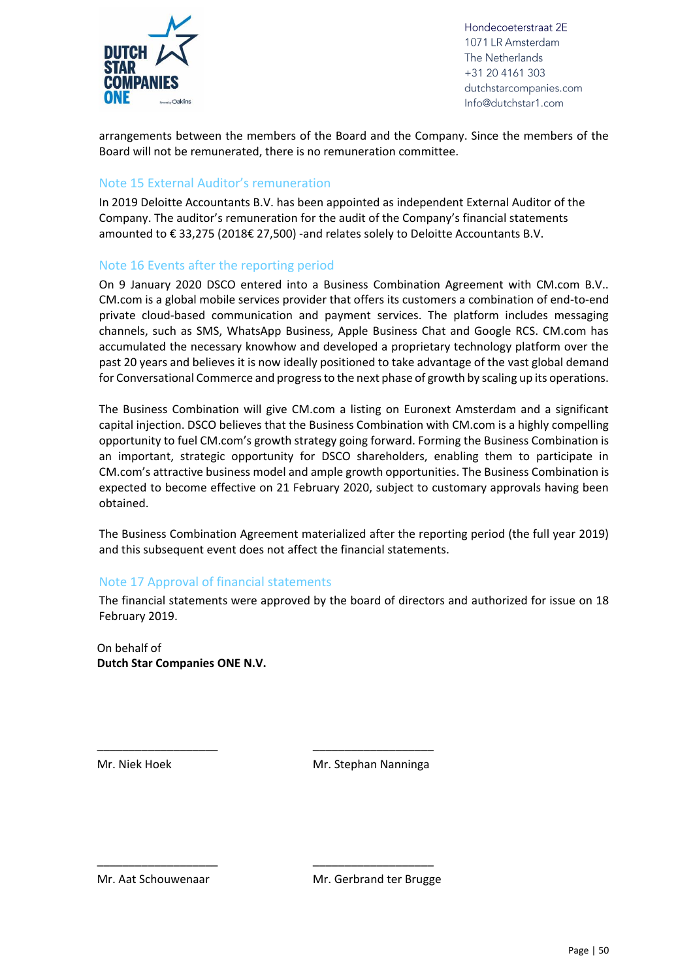

arrangements between the members of the Board and the Company. Since the members of the Board will not be remunerated, there is no remuneration committee.

#### Note 15 External Auditor's remuneration

In 2019 Deloitte Accountants B.V. has been appointed as independent External Auditor of the Company. The auditor's remuneration for the audit of the Company's financial statements amounted to € 33,275 (2018€ 27,500) -and relates solely to Deloitte Accountants B.V.

#### Note 16 Events after the reporting period

On 9 January 2020 DSCO entered into a Business Combination Agreement with CM.com B.V.. CM.com is a global mobile services provider that offers its customers a combination of end-to-end private cloud-based communication and payment services. The platform includes messaging channels, such as SMS, WhatsApp Business, Apple Business Chat and Google RCS. CM.com has accumulated the necessary knowhow and developed a proprietary technology platform over the past 20 years and believes it is now ideally positioned to take advantage of the vast global demand for Conversational Commerce and progress to the next phase of growth by scaling up its operations.

The Business Combination will give CM.com a listing on Euronext Amsterdam and a significant capital injection. DSCO believes that the Business Combination with CM.com is a highly compelling opportunity to fuel CM.com's growth strategy going forward. Forming the Business Combination is an important, strategic opportunity for DSCO shareholders, enabling them to participate in CM.com's attractive business model and ample growth opportunities. The Business Combination is expected to become effective on 21 February 2020, subject to customary approvals having been obtained.

The Business Combination Agreement materialized after the reporting period (the full year 2019) and this subsequent event does not affect the financial statements.

#### Note 17 Approval of financial statements

\_\_\_\_\_\_\_\_\_\_\_\_\_\_\_\_\_\_\_ \_\_\_\_\_\_\_\_\_\_\_\_\_\_\_\_\_\_\_

\_\_\_\_\_\_\_\_\_\_\_\_\_\_\_\_\_\_\_ \_\_\_\_\_\_\_\_\_\_\_\_\_\_\_\_\_\_\_

The financial statements were approved by the board of directors and authorized for issue on 18 February 2019.

On behalf of **Dutch Star Companies ONE N.V.**

Mr. Niek Hoek Mr. Stephan Nanninga

Mr. Aat Schouwenaar Mr. Gerbrand ter Brugge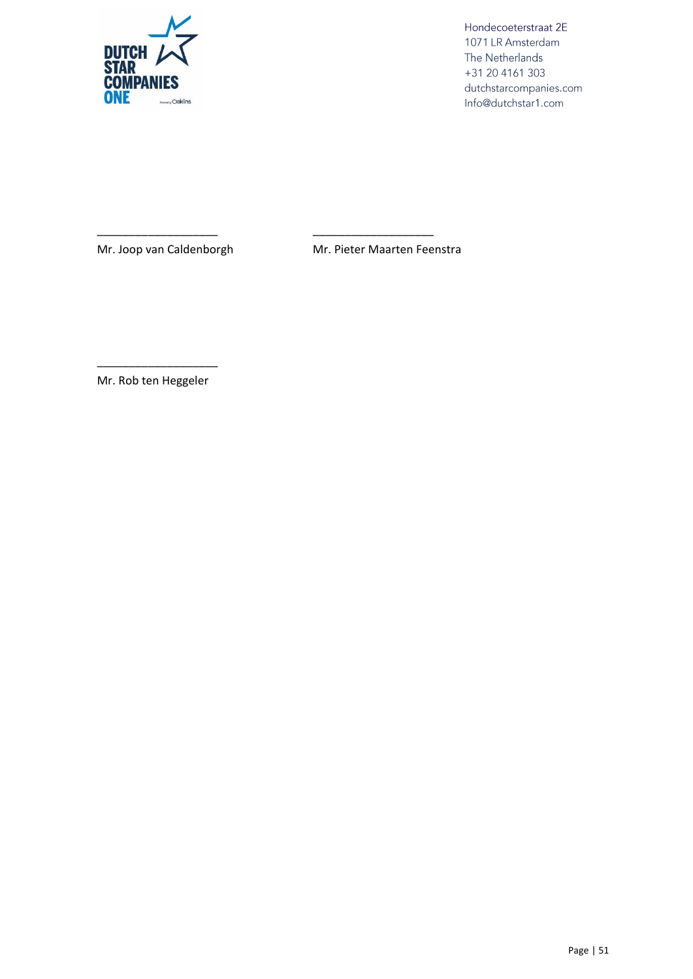

\_\_\_\_\_\_\_\_\_\_\_\_\_\_\_\_\_\_\_ \_\_\_\_\_\_\_\_\_\_\_\_\_\_\_\_\_\_\_

Mr. Joop van Caldenborgh Mr. Pieter Maarten Feenstra

\_\_\_\_\_\_\_\_\_\_\_\_\_\_\_\_\_\_\_ Mr. Rob ten Heggeler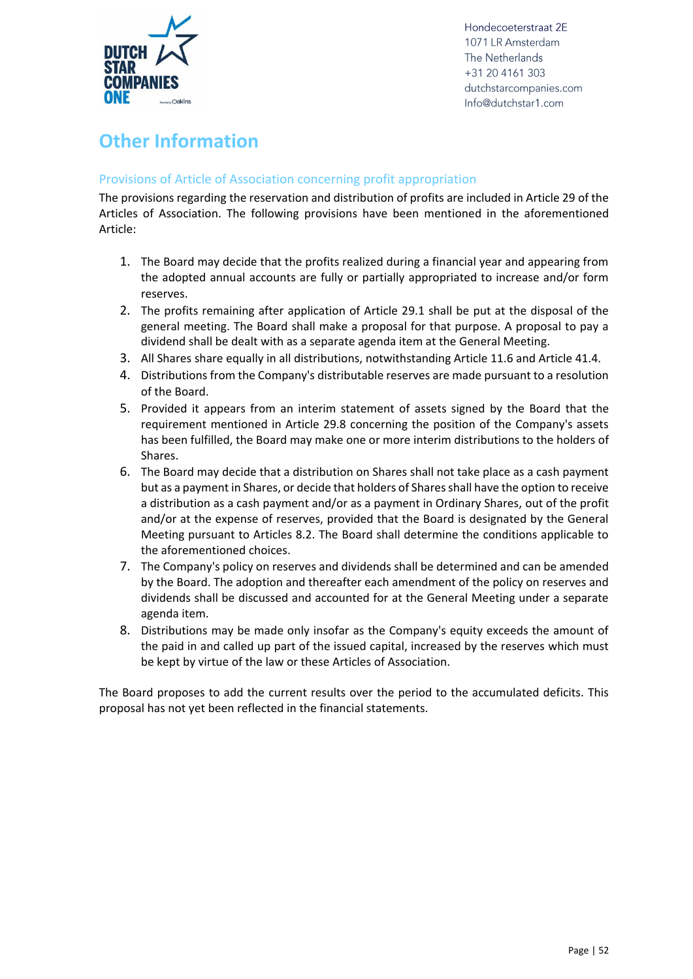

## <span id="page-51-0"></span>**Other Information**

#### <span id="page-51-1"></span>Provisions of Article of Association concerning profit appropriation

The provisions regarding the reservation and distribution of profits are included in Article 29 of the Articles of Association. The following provisions have been mentioned in the aforementioned Article:

- 1. The Board may decide that the profits realized during a financial year and appearing from the adopted annual accounts are fully or partially appropriated to increase and/or form reserves.
- 2. The profits remaining after application of Article 29.1 shall be put at the disposal of the general meeting. The Board shall make a proposal for that purpose. A proposal to pay a dividend shall be dealt with as a separate agenda item at the General Meeting.
- 3. All Shares share equally in all distributions, notwithstanding Article 11.6 and Article 41.4.
- 4. Distributions from the Company's distributable reserves are made pursuant to a resolution of the Board.
- 5. Provided it appears from an interim statement of assets signed by the Board that the requirement mentioned in Article 29.8 concerning the position of the Company's assets has been fulfilled, the Board may make one or more interim distributions to the holders of Shares.
- 6. The Board may decide that a distribution on Shares shall not take place as a cash payment but as a payment in Shares, or decide that holders of Shares shall have the option to receive a distribution as a cash payment and/or as a payment in Ordinary Shares, out of the profit and/or at the expense of reserves, provided that the Board is designated by the General Meeting pursuant to Articles 8.2. The Board shall determine the conditions applicable to the aforementioned choices.
- 7. The Company's policy on reserves and dividends shall be determined and can be amended by the Board. The adoption and thereafter each amendment of the policy on reserves and dividends shall be discussed and accounted for at the General Meeting under a separate agenda item.
- 8. Distributions may be made only insofar as the Company's equity exceeds the amount of the paid in and called up part of the issued capital, increased by the reserves which must be kept by virtue of the law or these Articles of Association.

The Board proposes to add the current results over the period to the accumulated deficits. This proposal has not yet been reflected in the financial statements.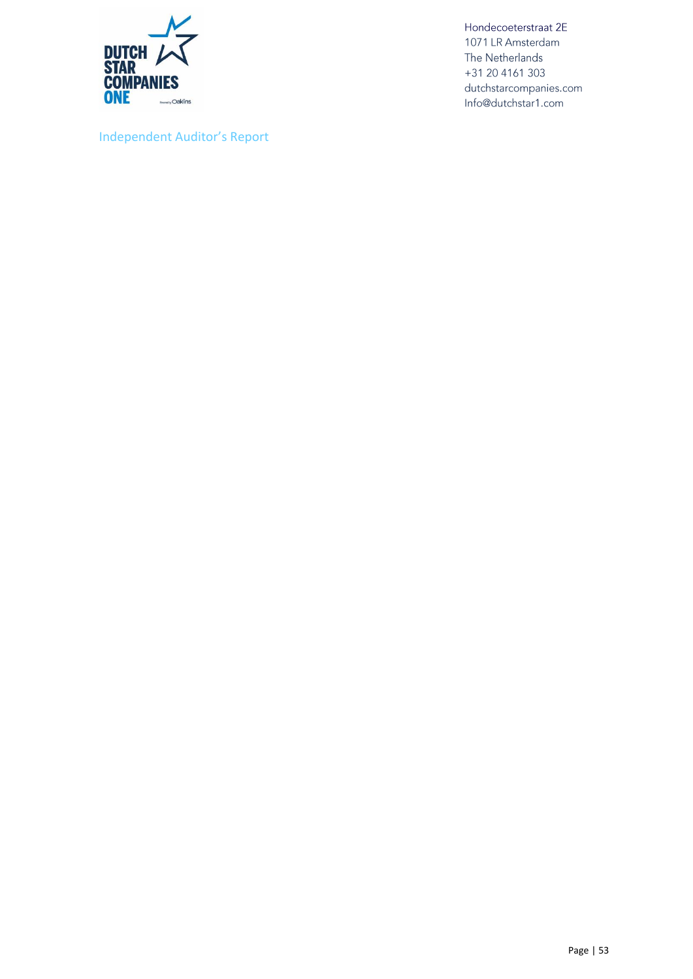

<span id="page-52-0"></span>Independent Auditor's Report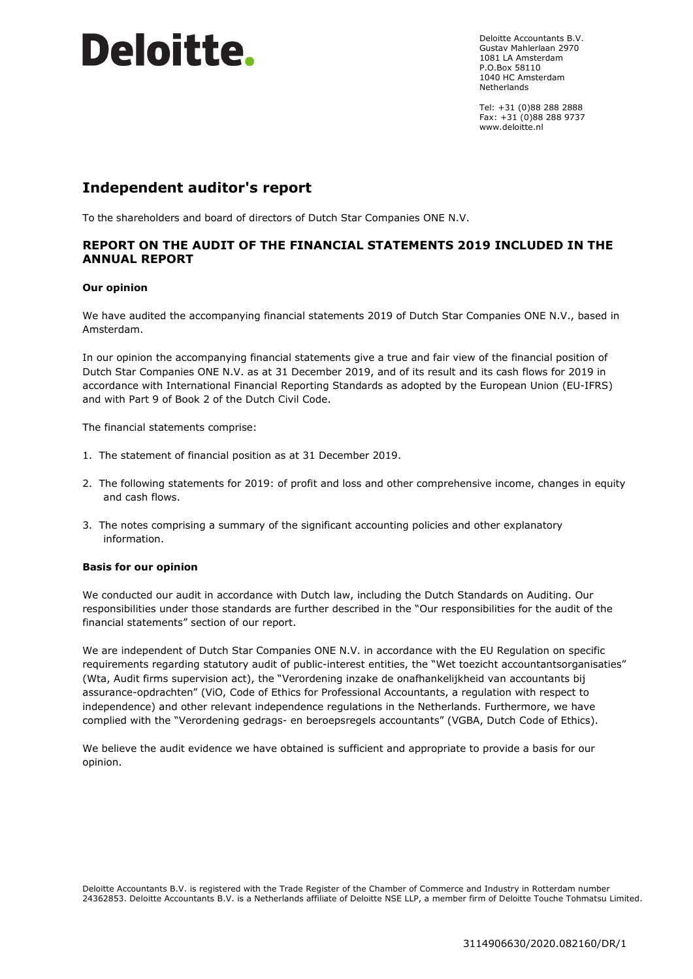Deloitte Accountants B.V. Gustav Mahlerlaan 2970 1081 LA Amsterdam P.O.Box 58110 1040 HC Amsterdam Netherlands

Tel: +31 (0)88 288 2888 Fax: +31 (0)88 288 9737 www.deloitte.nl

#### **Independent auditor's report**

To the shareholders and board of directors of Dutch Star Companies ONE N.V.

#### **REPORT ON THE AUDIT OF THE FINANCIAL STATEMENTS 2019 INCLUDED IN THE ANNUAL REPORT**

#### **Our opinion**

We have audited the accompanying financial statements 2019 of Dutch Star Companies ONE N.V., based in Amsterdam.

In our opinion the accompanying financial statements give a true and fair view of the financial position of Dutch Star Companies ONE N.V. as at 31 December 2019, and of its result and its cash flows for 2019 in accordance with International Financial Reporting Standards as adopted by the European Union (EU-IFRS) and with Part 9 of Book 2 of the Dutch Civil Code.

The financial statements comprise:

- 1. The statement of financial position as at 31 December 2019.
- 2. The following statements for 2019: of profit and loss and other comprehensive income, changes in equity and cash flows.
- 3. The notes comprising a summary of the significant accounting policies and other explanatory information.

#### **Basis for our opinion**

We conducted our audit in accordance with Dutch law, including the Dutch Standards on Auditing. Our responsibilities under those standards are further described in the "Our responsibilities for the audit of the financial statements" section of our report.

We are independent of Dutch Star Companies ONE N.V. in accordance with the EU Regulation on specific requirements regarding statutory audit of public-interest entities, the "Wet toezicht accountantsorganisaties" (Wta, Audit firms supervision act), the "Verordening inzake de onafhankelijkheid van accountants bij assurance-opdrachten" (ViO, Code of Ethics for Professional Accountants, a regulation with respect to independence) and other relevant independence regulations in the Netherlands. Furthermore, we have complied with the "Verordening gedrags- en beroepsregels accountants" (VGBA, Dutch Code of Ethics).

We believe the audit evidence we have obtained is sufficient and appropriate to provide a basis for our opinion.

Deloitte Accountants B.V. is registered with the Trade Register of the Chamber of Commerce and Industry in Rotterdam number 24362853. Deloitte Accountants B.V. is a Netherlands affiliate of Deloitte NSE LLP, a member firm of Deloitte Touche Tohmatsu Limited.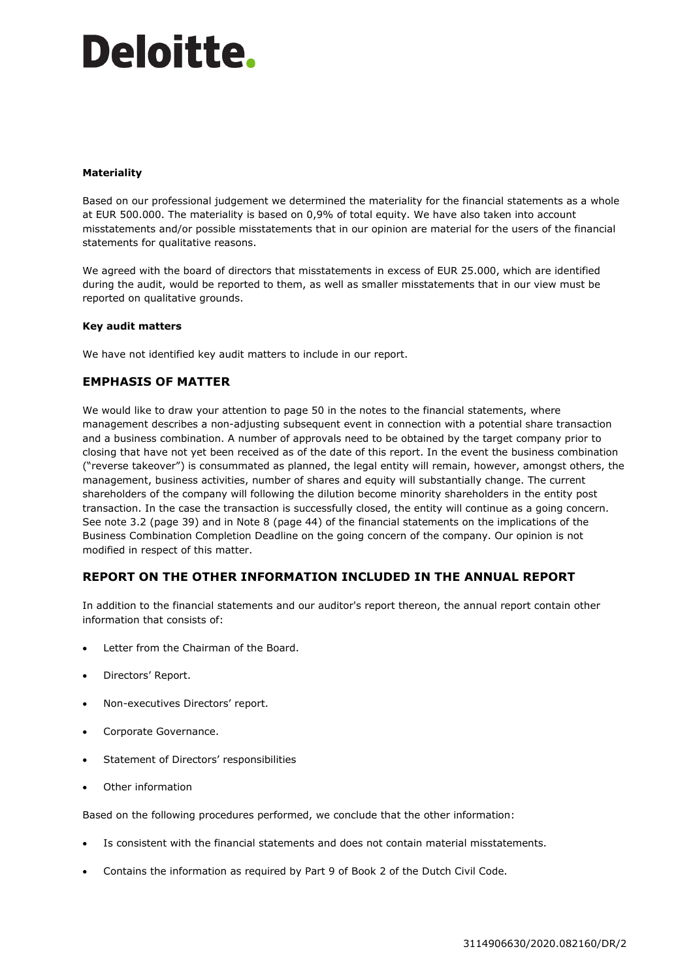#### **Materiality**

Based on our professional judgement we determined the materiality for the financial statements as a whole at EUR 500.000. The materiality is based on 0,9% of total equity. We have also taken into account misstatements and/or possible misstatements that in our opinion are material for the users of the financial statements for qualitative reasons.

We agreed with the board of directors that misstatements in excess of EUR 25.000, which are identified during the audit, would be reported to them, as well as smaller misstatements that in our view must be reported on qualitative grounds.

#### **Key audit matters**

We have not identified key audit matters to include in our report.

#### **EMPHASIS OF MATTER**

We would like to draw your attention to page 50 in the notes to the financial statements, where management describes a non-adjusting subsequent event in connection with a potential share transaction and a business combination. A number of approvals need to be obtained by the target company prior to closing that have not yet been received as of the date of this report. In the event the business combination ("reverse takeover") is consummated as planned, the legal entity will remain, however, amongst others, the management, business activities, number of shares and equity will substantially change. The current shareholders of the company will following the dilution become minority shareholders in the entity post transaction. In the case the transaction is successfully closed, the entity will continue as a going concern. See note 3.2 (page 39) and in Note 8 (page 44) of the financial statements on the implications of the Business Combination Completion Deadline on the going concern of the company. Our opinion is not modified in respect of this matter.

#### **REPORT ON THE OTHER INFORMATION INCLUDED IN THE ANNUAL REPORT**

In addition to the financial statements and our auditor's report thereon, the annual report contain other information that consists of:

- Letter from the Chairman of the Board.
- Directors' Report.
- Non-executives Directors' report.
- Corporate Governance.
- Statement of Directors' responsibilities
- Other information

Based on the following procedures performed, we conclude that the other information:

- Is consistent with the financial statements and does not contain material misstatements.
- Contains the information as required by Part 9 of Book 2 of the Dutch Civil Code.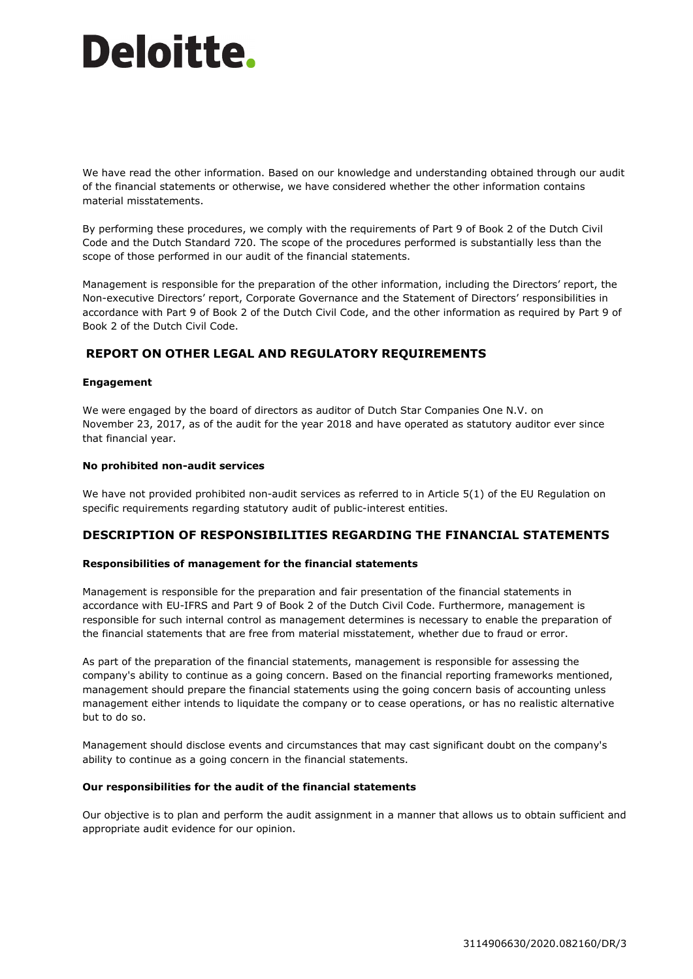We have read the other information. Based on our knowledge and understanding obtained through our audit of the financial statements or otherwise, we have considered whether the other information contains material misstatements.

By performing these procedures, we comply with the requirements of Part 9 of Book 2 of the Dutch Civil Code and the Dutch Standard 720. The scope of the procedures performed is substantially less than the scope of those performed in our audit of the financial statements.

Management is responsible for the preparation of the other information, including the Directors' report, the Non-executive Directors' report, Corporate Governance and the Statement of Directors' responsibilities in accordance with Part 9 of Book 2 of the Dutch Civil Code, and the other information as required by Part 9 of Book 2 of the Dutch Civil Code.

#### **REPORT ON OTHER LEGAL AND REGULATORY REQUIREMENTS**

#### **Engagement**

We were engaged by the board of directors as auditor of Dutch Star Companies One N.V. on November 23, 2017, as of the audit for the year 2018 and have operated as statutory auditor ever since that financial year.

#### **No prohibited non-audit services**

We have not provided prohibited non-audit services as referred to in Article 5(1) of the EU Regulation on specific requirements regarding statutory audit of public-interest entities.

#### **DESCRIPTION OF RESPONSIBILITIES REGARDING THE FINANCIAL STATEMENTS**

#### **Responsibilities of management for the financial statements**

Management is responsible for the preparation and fair presentation of the financial statements in accordance with EU-IFRS and Part 9 of Book 2 of the Dutch Civil Code. Furthermore, management is responsible for such internal control as management determines is necessary to enable the preparation of the financial statements that are free from material misstatement, whether due to fraud or error.

As part of the preparation of the financial statements, management is responsible for assessing the company's ability to continue as a going concern. Based on the financial reporting frameworks mentioned, management should prepare the financial statements using the going concern basis of accounting unless management either intends to liquidate the company or to cease operations, or has no realistic alternative but to do so.

Management should disclose events and circumstances that may cast significant doubt on the company's ability to continue as a going concern in the financial statements.

#### **Our responsibilities for the audit of the financial statements**

Our objective is to plan and perform the audit assignment in a manner that allows us to obtain sufficient and appropriate audit evidence for our opinion.